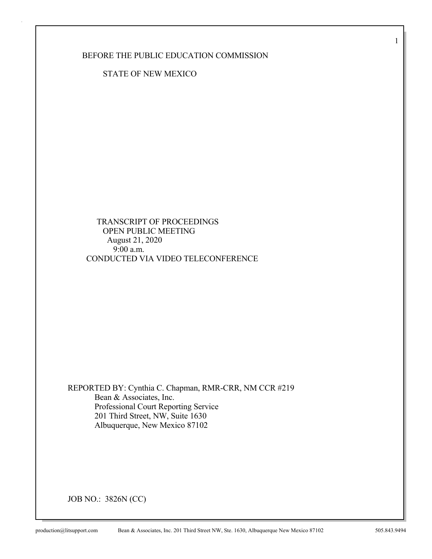BEFORE THE PUBLIC EDUCATION COMMISSION

STATE OF NEW MEXICO

 TRANSCRIPT OF PROCEEDINGS OPEN PUBLIC MEETING August 21, 2020 9:00 a.m. CONDUCTED VIA VIDEO TELECONFERENCE

REPORTED BY: Cynthia C. Chapman, RMR-CRR, NM CCR #219 Bean & Associates, Inc. Professional Court Reporting Service 201 Third Street, NW, Suite 1630 Albuquerque, New Mexico 87102

JOB NO.: 3826N (CC)

1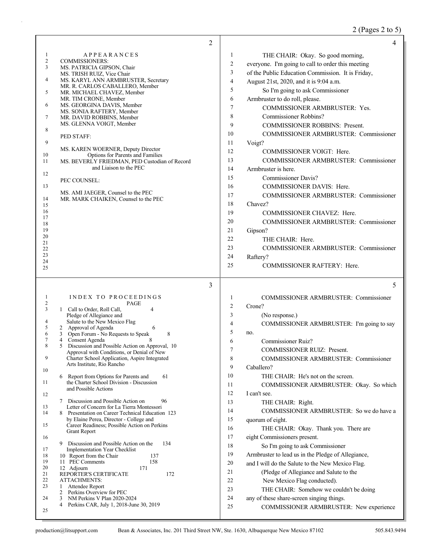## 2 (Pages 2 to 5)

|                     |                                                                                                   | 2              | 4                                                  |
|---------------------|---------------------------------------------------------------------------------------------------|----------------|----------------------------------------------------|
| 1                   | <b>APPEARANCES</b>                                                                                | 1              | THE CHAIR: Okay. So good morning,                  |
| $\mathfrak{2}$      | <b>COMMISSIONERS:</b>                                                                             | $\overline{c}$ | everyone. I'm going to call to order this meeting  |
| 3                   | MS. PATRICIA GIPSON, Chair<br>MS. TRISH RUIZ, Vice Chair                                          | 3              | of the Public Education Commission. It is Friday,  |
| 4                   | MS. KARYL ANN ARMBRUSTER, Secretary                                                               | $\overline{4}$ | August 21st, 2020, and it is 9:04 a.m.             |
|                     | MR. R. CARLOS CABALLERO, Member                                                                   | 5              | So I'm going to ask Commissioner                   |
| 5                   | MR. MICHAEL CHAVEZ, Member<br>MR. TIM CRONE, Member                                               | 6              | Armbruster to do roll, please.                     |
| 6                   | MS. GEORGINA DAVIS, Member                                                                        | $\overline{7}$ | COMMISSIONER ARMBRUSTER: Yes.                      |
| 7                   | MS. SONIA RAFTERY, Member<br>MR. DAVID ROBBINS, Member                                            | 8              | Commissioner Robbins?                              |
|                     | MS. GLENNA VOIGT, Member                                                                          | 9              | <b>COMMISSIONER ROBBINS: Present.</b>              |
| 8                   |                                                                                                   | 10             | COMMISSIONER ARMBRUSTER: Commissioner              |
| 9                   | PED STAFF:                                                                                        | 11             | Voigt?                                             |
|                     | MS. KAREN WOERNER, Deputy Director                                                                | 12             | COMMISSIONER VOIGT: Here.                          |
| 10<br>11            | Options for Parents and Families<br>MS. BEVERLY FRIEDMAN, PED Custodian of Record                 | 13             | <b>COMMISSIONER ARMBRUSTER: Commissioner</b>       |
|                     | and Liaison to the PEC                                                                            | 14             | Armbruster is here.                                |
| 12                  |                                                                                                   | 15             | Commissioner Davis?                                |
| 13                  | PEC COUNSEL:                                                                                      | 16             | COMMISSIONER DAVIS: Here.                          |
|                     | MS. AMI JAEGER, Counsel to the PEC                                                                | 17             | <b>COMMISSIONER ARMBRUSTER: Commissioner</b>       |
| 14<br>15            | MR. MARK CHAIKEN, Counsel to the PEC                                                              | 18             | Chavez?                                            |
| 16                  |                                                                                                   | 19             | COMMISSIONER CHAVEZ: Here.                         |
| 17<br>18            |                                                                                                   | 20             | COMMISSIONER ARMBRUSTER: Commissioner              |
| 19                  |                                                                                                   | 21             | Gipson?                                            |
| 20                  |                                                                                                   | 22             | THE CHAIR: Here.                                   |
| 21<br>22            |                                                                                                   | 23             | <b>COMMISSIONER ARMBRUSTER: Commissioner</b>       |
| 23                  |                                                                                                   | 24             | Raftery?                                           |
| 24<br>25            |                                                                                                   | 25             | COMMISSIONER RAFTERY: Here.                        |
|                     |                                                                                                   |                |                                                    |
|                     |                                                                                                   | 3              | 5                                                  |
| 1                   | INDEX TO PROCEEDINGS                                                                              | 1              | COMMISSIONER ARMBRUSTER: Commissioner              |
| $\overline{c}$<br>3 | PAGE<br>1 Call to Order, Roll Call,<br>4                                                          | $\overline{2}$ | Crone?                                             |
|                     | Pledge of Allegiance and                                                                          | 3              | (No response.)                                     |
| 4                   | Salute to the New Mexico Flag                                                                     | $\overline{4}$ |                                                    |
| 5<br>6              | 2 Approval of Agenda<br>6<br>Open Forum - No Requests to Speak<br>8<br>3                          |                | COMMISSIONER ARMBRUSTER: I'm going to say          |
| 7                   |                                                                                                   | 5              | no.                                                |
| 8                   | Consent Agenda<br>4                                                                               | 6              | <b>Commissioner Ruiz?</b>                          |
|                     | 5<br>Discussion and Possible Action on Approval, 10                                               | $\overline{7}$ | COMMISSIONER RUIZ: Present.                        |
| 9                   | Approval with Conditions, or Denial of New<br>Charter School Application, Aspire Integrated       | 8              | COMMISSIONER ARMBRUSTER: Commissioner              |
|                     | Arts Institute, Rio Rancho                                                                        | 9              | Caballero?                                         |
| 10                  | Report from Options for Parents and<br>61<br>6                                                    | 10             | THE CHAIR: He's not on the screen.                 |
| 11                  | the Charter School Division - Discussion                                                          | 11             | COMMISSIONER ARMBRUSTER: Okay. So which            |
| 12                  | and Possible Actions                                                                              | 12             | I can't see.                                       |
|                     | 96<br>Discussion and Possible Action on<br>7                                                      | 13             | THE CHAIR: Right.                                  |
| 13<br>14            | Letter of Concern for La Tierra Montessori<br>Presentation on Career Technical Education 123<br>8 | 14             | COMMISSIONER ARMBRUSTER: So we do have a           |
|                     | by Elaine Perea, Director - College and                                                           | 15             | quorum of eight.                                   |
| 15                  | Career Readiness; Possible Action on Perkins                                                      | 16             | THE CHAIR: Okay. Thank you. There are              |
| 16                  | <b>Grant Report</b>                                                                               | 17             | eight Commissioners present.                       |
|                     | 9 Discussion and Possible Action on the<br>134                                                    | 18             | So I'm going to ask Commissioner                   |
| 17<br>18            | Implementation Year Checklist<br>10 Report from the Chair<br>137                                  | 19             | Armbruster to lead us in the Pledge of Allegiance, |
| 19                  | 11 PEC Comments<br>158                                                                            | 20             | and I will do the Salute to the New Mexico Flag.   |
| 20<br>21            | 12 Adjourn<br>171<br>REPORTER'S CERTIFICATE<br>172                                                | 21             | (Pledge of Allegiance and Salute to the            |
| 22                  | <b>ATTACHMENTS:</b>                                                                               | 22             | New Mexico Flag conducted).                        |
| 23                  | 1<br>Attendee Report<br>Perkins Overview for PEC<br>2                                             | 23             | THE CHAIR: Somehow we couldn't be doing            |
| 24                  | 3<br>NM Perkins V Plan 2020-2024                                                                  | 24             | any of these share-screen singing things.          |
| 25                  | 4<br>Perkins CAR, July 1, 2018-June 30, 2019                                                      | 25             | COMMISSIONER ARMBRUSTER: New experience            |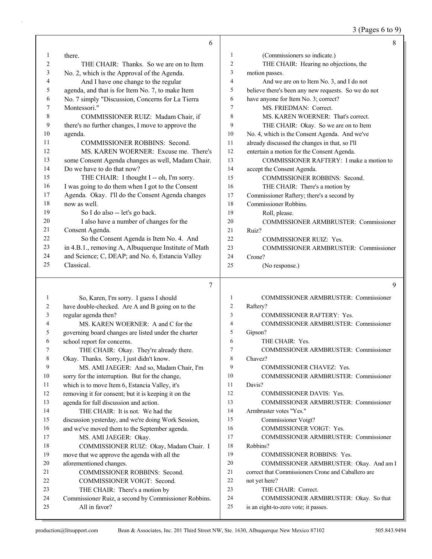3 (Pages 6 to 9)

|              | 6                                                                     |                | 8                                                                                             |
|--------------|-----------------------------------------------------------------------|----------------|-----------------------------------------------------------------------------------------------|
| $\mathbf{1}$ | there.                                                                | 1              | (Commissioners so indicate.)                                                                  |
| 2            | THE CHAIR: Thanks. So we are on to Item                               | $\overline{c}$ | THE CHAIR: Hearing no objections, the                                                         |
| 3            | No. 2, which is the Approval of the Agenda.                           | 3              | motion passes.                                                                                |
| 4            | And I have one change to the regular                                  | $\overline{4}$ | And we are on to Item No. 3, and I do not                                                     |
| 5            | agenda, and that is for Item No. 7, to make Item                      | 5              | believe there's been any new requests. So we do not                                           |
| 6            | No. 7 simply "Discussion, Concerns for La Tierra                      | 6              | have anyone for Item No. 3; correct?                                                          |
| 7            | Montessori."                                                          | 7              | MS. FRIEDMAN: Correct.                                                                        |
| 8            | COMMISSIONER RUIZ: Madam Chair, if                                    | 8              | MS. KAREN WOERNER: That's correct.                                                            |
| 9            | there's no further changes, I move to approve the                     | 9              | THE CHAIR: Okay. So we are on to Item                                                         |
| 10           | agenda.                                                               | 10             | No. 4, which is the Consent Agenda. And we've                                                 |
| 11           | COMMISSIONER ROBBINS: Second.                                         | 11             | already discussed the changes in that, so I'll                                                |
| 12           | MS. KAREN WOERNER: Excuse me. There's                                 | 12             | entertain a motion for the Consent Agenda.                                                    |
| 13           | some Consent Agenda changes as well, Madam Chair.                     | 13             | COMMISSIONER RAFTERY: I make a motion to                                                      |
| 14           | Do we have to do that now?                                            | 14             | accept the Consent Agenda.                                                                    |
| 15           | THE CHAIR: I thought I -- oh, I'm sorry.                              | 15             | COMMISSIONER ROBBINS: Second.                                                                 |
| 16           | I was going to do them when I got to the Consent                      | 16             | THE CHAIR: There's a motion by                                                                |
| 17           | Agenda. Okay. I'll do the Consent Agenda changes                      | 17             | Commissioner Raftery; there's a second by                                                     |
| 18           | now as well.                                                          | 18             | Commissioner Robbins.                                                                         |
| 19           | So I do also -- let's go back.                                        | 19             | Roll, please.                                                                                 |
| 20           | I also have a number of changes for the                               | 20             | COMMISSIONER ARMBRUSTER: Commissioner                                                         |
| 21           | Consent Agenda.                                                       | 21             | Ruiz?                                                                                         |
| 22           | So the Consent Agenda is Item No. 4. And                              | 22             | <b>COMMISSIONER RUIZ: Yes.</b>                                                                |
| 23           | in 4.B.1., removing A, Albuquerque Institute of Math                  | 23             | COMMISSIONER ARMBRUSTER: Commissioner                                                         |
| 24           | and Science; C, DEAP; and No. 6, Estancia Valley                      | 24             | Crone?                                                                                        |
| 25           | Classical.                                                            | 25             | (No response.)                                                                                |
|              |                                                                       |                |                                                                                               |
|              | 7                                                                     |                | 9                                                                                             |
| 1            | So, Karen, I'm sorry. I guess I should                                | $\mathbf{1}$   | COMMISSIONER ARMBRUSTER: Commissioner                                                         |
| 2            | have double-checked. Are A and B going on to the                      | 2              | Raftery?                                                                                      |
| 3            | regular agenda then?                                                  | 3              | <b>COMMISSIONER RAFTERY: Yes.</b>                                                             |
| 4            | MS. KAREN WOERNER: A and C for the                                    | $\overline{4}$ | COMMISSIONER ARMBRUSTER: Commissioner                                                         |
| 5            | governing board changes are listed under the charter                  | 5              | Gipson?                                                                                       |
| 6            | school report for concerns.                                           | 6              | THE CHAIR: Yes.                                                                               |
| 7            | THE CHAIR: Okay. They're already there.                               | 7              | COMMISSIONER ARMBRUSTER: Commissioner                                                         |
| 8            | Okay. Thanks. Sorry, I just didn't know.                              | 8              | Chavez?                                                                                       |
| 9            | MS. AMI JAEGER: And so, Madam Chair, I'm                              | 9              | COMMISSIONER CHAVEZ: Yes.                                                                     |
| 10           | sorry for the interruption. But for the change,                       | 10             | COMMISSIONER ARMBRUSTER: Commissioner                                                         |
| 11           | which is to move Item 6, Estancia Valley, it's                        | 11             | Davis?                                                                                        |
| 12           | removing it for consent; but it is keeping it on the                  | 12             | <b>COMMISSIONER DAVIS: Yes.</b>                                                               |
| 13           | agenda for full discussion and action.                                | 13<br>14       | COMMISSIONER ARMBRUSTER: Commissioner                                                         |
| 14<br>15     | THE CHAIR: It is not. We had the                                      | 15             | Armbruster votes "Yes."                                                                       |
|              | discussion yesterday, and we're doing Work Session,                   | 16             | Commissioner Voigt?                                                                           |
| 16           | and we've moved them to the September agenda.                         | 17             | COMMISSIONER VOIGT: Yes.<br>COMMISSIONER ARMBRUSTER: Commissioner                             |
| 17           | MS. AMI JAEGER: Okay.                                                 | 18             |                                                                                               |
| 18<br>19     | COMMISSIONER RUIZ: Okay, Madam Chair. I                               | 19             | Robbins?                                                                                      |
|              | move that we approve the agenda with all the                          | 20             | <b>COMMISSIONER ROBBINS: Yes.</b>                                                             |
| 20<br>21     | aforementioned changes.<br>COMMISSIONER ROBBINS: Second.              | 21             | COMMISSIONER ARMBRUSTER: Okay. And am I<br>correct that Commissioners Crone and Caballero are |
| 22           |                                                                       | 22             | not yet here?                                                                                 |
| 23           | COMMISSIONER VOIGT: Second.                                           |                |                                                                                               |
|              |                                                                       |                |                                                                                               |
|              | THE CHAIR: There's a motion by                                        | 23             | THE CHAIR: Correct.                                                                           |
| 24<br>25     | Commissioner Ruiz, a second by Commissioner Robbins.<br>All in favor? | 24<br>25       | COMMISSIONER ARMBRUSTER: Okay. So that<br>is an eight-to-zero vote; it passes.                |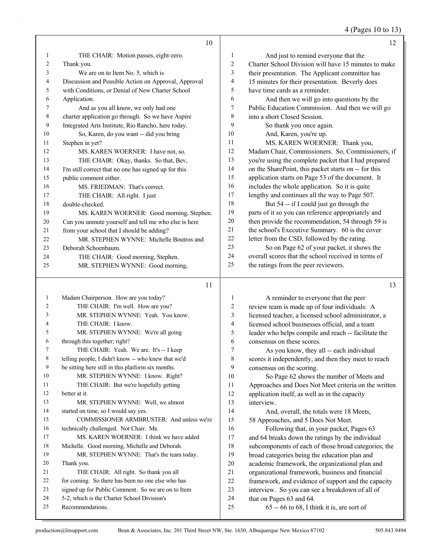4 (Pages 10 to 13)

|    | 10                                                   |                | 12                                                   |
|----|------------------------------------------------------|----------------|------------------------------------------------------|
| 1  | THE CHAIR: Motion passes, eight-zero.                | 1              | And just to remind everyone that the                 |
| 2  | Thank you.                                           | 2              | Charter School Division will have 15 minutes to make |
| 3  | We are on to Item No. 5, which is                    | 3              | their presentation. The Applicant committee has      |
| 4  | Discussion and Possible Action on Approval, Approval | $\overline{4}$ | 15 minutes for their presentation. Beverly does      |
| 5  | with Conditions, or Denial of New Charter School     | 5              | have time cards as a reminder.                       |
| 6  | Application.                                         | 6              | And then we will go into questions by the            |
| 7  | And as you all know, we only had one                 | 7              | Public Education Commission. And then we will go     |
| 8  | charter application go through. So we have Aspire    | 8              | into a short Closed Session.                         |
| 9  | Integrated Arts Institute, Rio Rancho, here today.   | 9              | So thank you once again.                             |
| 10 | So, Karen, do you want -- did you bring              | 10             | And, Karen, you're up.                               |
| 11 | Stephen in yet?                                      | 11             | MS. KAREN WOERNER: Thank you,                        |
| 12 | MS. KAREN WOERNER: I have not, so.                   | 12             | Madam Chair, Commissioners. So, Commissioners, if    |
| 13 | THE CHAIR: Okay, thanks. So that, Bev,               | 13             | you're using the complete packet that I had prepared |
| 14 | I'm still correct that no one has signed up for this | 14             | on the SharePoint, this packet starts on -- for this |
| 15 | public comment either.                               | 15             | application starts on Page 53 of the document. It    |
| 16 | MS. FRIEDMAN: That's correct.                        | 16             | includes the whole application. So it is quite       |
| 17 | THE CHAIR: All right. I just                         | 17             | lengthy and continues all the way to Page 507.       |
| 18 | double-checked.                                      | 18             | But 54 -- if I could just go through the             |
| 19 | MS. KAREN WOERNER: Good morning, Stephen.            | 19             | parts of it so you can reference appropriately and   |
| 20 | Can you unmute yourself and tell me who else is here | 20             | then provide the recommendation, 54 through 59 is    |
| 21 | from your school that I should be adding?            | 21             | the school's Executive Summary. 60 is the cover      |
| 22 | MR. STEPHEN WYNNE: Michelle Boutros and              | 22             | letter from the CSD, followed by the rating.         |
| 23 | Deborah Schoenbaum.                                  | 23             | So on Page 62 of your packet, it shows the           |
| 24 | THE CHAIR: Good morning, Stephen.                    | 24             | overall scores that the school received in terms of  |
| 25 | MR. STEPHEN WYNNE: Good morning,                     | 25             | the ratings from the peer reviewers.                 |
|    |                                                      |                |                                                      |

|    | 11                                                  |                | 13                                                   |
|----|-----------------------------------------------------|----------------|------------------------------------------------------|
| 1  | Madam Chairperson. How are you today?               | 1              | A reminder to everyone that the peer                 |
| 2  | THE CHAIR: I'm well. How are you?                   | 2              | review team is made up of four individuals: A        |
| 3  | MR. STEPHEN WYNNE: Yeah. You know.                  | 3              | licensed teacher, a licensed school administrator, a |
| 4  | THE CHAIR: I know.                                  | $\overline{4}$ | licensed school businesses official, and a team      |
| 5  | MR. STEPHEN WYNNE: We're all going                  | 5              | leader who helps compile and reach -- facilitate the |
| 6  | through this together; right?                       | 6              | consensus on these scores.                           |
| 7  | THE CHAIR: Yeah. We are. It's -- I keep             | 7              | As you know, they all -- each individual             |
| 8  | telling people, I didn't know -- who knew that we'd | 8              | scores it independently, and then they meet to reach |
| 9  | be sitting here still in this platform six months.  | 9              | consensus on the scoring.                            |
| 10 | MR. STEPHEN WYNNE: I know. Right?                   | 10             | So Page 62 shows the number of Meets and             |
| 11 | THE CHAIR: But we're hopefully getting              | 11             | Approaches and Does Not Meet criteria on the written |
| 12 | better at it.                                       | 12             | application itself, as well as in the capacity       |
| 13 | MR. STEPHEN WYNNE: Well, we almost                  | 13             | interview.                                           |
| 14 | started on time, so I would say yes.                | 14             | And, overall, the totals were 18 Meets,              |
| 15 | COMMISSIONER ARMBRUSTER: And unless we're           | 15             | 58 Approaches, and 5 Does Not Meet.                  |
| 16 | technically challenged. Not Chair. Me.              | 16             | Following that, in your packet, Pages 63             |
| 17 | MS. KAREN WOERNER: I think we have added            | 17             | and 64 breaks down the ratings by the individual     |
| 18 | Michelle. Good morning, Michelle and Deborah.       | 18             | subcomponents of each of those broad categories; the |
| 19 | MR. STEPHEN WYNNE: That's the team today.           | 19             | broad categories being the education plan and        |
| 20 | Thank you.                                          | 20             | academic framework, the organizational plan and      |
| 21 | THE CHAIR: All right. So thank you all              | 21             | organizational framework, business and financial     |
| 22 | for coming. So there has been no one else who has   | 22             | framework, and evidence of support and the capacity  |
| 23 | signed up for Public Comment. So we are on to Item  | 23             | interview. So you can see a breakdown of all of      |
| 24 | 5-2, which is the Charter School Division's         | 24             | that on Pages 63 and 64.                             |
| 25 | Recommendations.                                    | 25             | $65 - 66$ to 68, I think it is, are sort of          |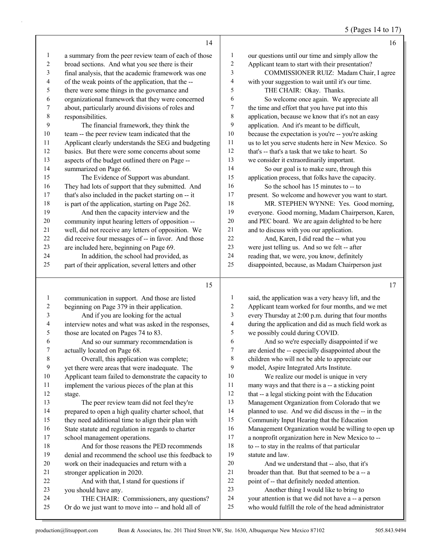## 5 (Pages 14 to 17)

|    | 14                                                   |    | 16                                                  |
|----|------------------------------------------------------|----|-----------------------------------------------------|
| 1  | a summary from the peer review team of each of those | 1  | our questions until our time and simply allow the   |
| 2  | broad sections. And what you see there is their      | 2  | Applicant team to start with their presentation?    |
| 3  | final analysis, that the academic framework was one  | 3  | COMMISSIONER RUIZ: Madam Chair, I agree             |
| 4  | of the weak points of the application, that the --   | 4  | with your suggestion to wait until it's our time.   |
| 5  | there were some things in the governance and         | 5  | THE CHAIR: Okay. Thanks.                            |
| 6  | organizational framework that they were concerned    | 6  | So welcome once again. We appreciate all            |
| 7  | about, particularly around divisions of roles and    | 7  | the time and effort that you have put into this     |
| 8  | responsibilities.                                    | 8  | application, because we know that it's not an easy  |
| 9  | The financial framework, they think the              | 9  | application. And it's meant to be difficult,        |
| 10 | team -- the peer review team indicated that the      | 10 | because the expectation is you're -- you're asking  |
| 11 | Applicant clearly understands the SEG and budgeting  | 11 | us to let you serve students here in New Mexico. So |
| 12 | basics. But there were some concerns about some      | 12 | that's -- that's a task that we take to heart. So   |
| 13 | aspects of the budget outlined there on Page --      | 13 | we consider it extraordinarily important.           |
| 14 | summarized on Page 66.                               | 14 | So our goal is to make sure, through this           |
| 15 | The Evidence of Support was abundant.                | 15 | application process, that folks have the capacity.  |
| 16 | They had lots of support that they submitted. And    | 16 | So the school has 15 minutes to -- to               |
| 17 | that's also included in the packet starting on -- it | 17 | present. So welcome and however you want to start.  |
| 18 | is part of the application, starting on Page 262.    | 18 | MR. STEPHEN WYNNE: Yes. Good morning,               |
| 19 | And then the capacity interview and the              | 19 | everyone. Good morning, Madam Chairperson, Karen,   |
| 20 | community input hearing letters of opposition --     | 20 | and PEC board. We are again delighted to be here    |
| 21 | well, did not receive any letters of opposition. We  | 21 | and to discuss with you our application.            |
| 22 | did receive four messages of -- in favor. And those  | 22 | And, Karen, I did read the -- what you              |
| 23 | are included here, beginning on Page 69.             | 23 | were just telling us. And so we felt -- after       |
| 24 | In addition, the school had provided, as             | 24 | reading that, we were, you know, definitely         |
| 25 | part of their application, several letters and other | 25 | disappointed, because, as Madam Chairperson just    |
|    | 15                                                   |    | 17                                                  |

| -1             | communication in support. And those are listed       |                 | said, the application was a very heavy lift, and the |
|----------------|------------------------------------------------------|-----------------|------------------------------------------------------|
| 2              | beginning on Page 379 in their application.          | 2               | Applicant team worked for four months, and we met    |
| 3              | And if you are looking for the actual                | 3               | every Thursday at 2:00 p.m. during that four months  |
| $\overline{4}$ | interview notes and what was asked in the responses, | 4               | during the application and did as much field work as |
| 5              | those are located on Pages 74 to 83.                 | 5               | we possibly could during COVID.                      |
| 6              | And so our summary recommendation is                 | 6               | And so we're especially disappointed if we           |
| 7              | actually located on Page 68.                         | $7\phantom{.0}$ | are denied the -- especially disappointed about the  |
| $\,8\,$        | Overall, this application was complete;              | 8               | children who will not be able to appreciate our      |
| 9              | yet there were areas that were inadequate. The       | 9               | model, Aspire Integrated Arts Institute.             |
| $10\,$         | Applicant team failed to demonstrate the capacity to | 10              | We realize our model is unique in very               |
| 11             | implement the various pieces of the plan at this     | 11              | many ways and that there is a -- a sticking point    |
| 12             | stage.                                               | 12              | that -- a legal sticking point with the Education    |
| 13             | The peer review team did not feel they're            | 13              | Management Organization from Colorado that we        |
| 14             | prepared to open a high quality charter school, that | 14              | planned to use. And we did discuss in the -- in the  |
| 15             | they need additional time to align their plan with   | 15              | Community Input Hearing that the Education           |
| 16             | State statute and regulation in regards to charter   | 16              | Management Organization would be willing to open up  |
| 17             | school management operations.                        | 17              | a nonprofit organization here in New Mexico to --    |
| 18             | And for those reasons the PED recommends             | 18              | to -- to stay in the realms of that particular       |
| 19             | denial and recommend the school use this feedback to | 19              | statute and law.                                     |
| 20             | work on their inadequacies and return with a         | 20              | And we understand that -- also, that it's            |
| 21             | stronger application in 2020.                        | 21              | broader than that. But that seemed to be a -- a      |
| 22             | And with that, I stand for questions if              | 22              | point of -- that definitely needed attention.        |
| 23             | you should have any.                                 | 23              | Another thing I would like to bring to               |
| 24             | THE CHAIR: Commissioners, any questions?             | 24              | your attention is that we did not have a -- a person |
| 25             | Or do we just want to move into -- and hold all of   | 25              | who would fulfill the role of the head administrator |
|                |                                                      |                 |                                                      |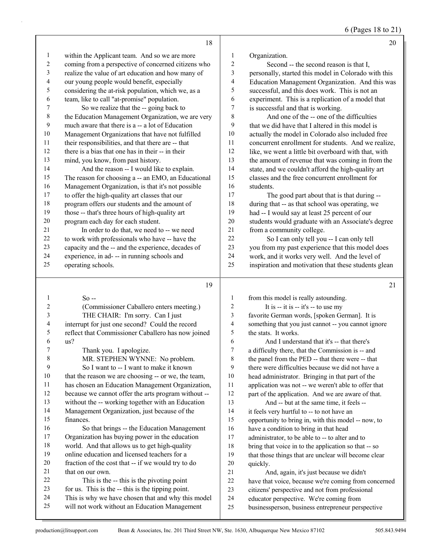6 (Pages 18 to 21)

|                         | 18                                                  |                         | 20                                                   |
|-------------------------|-----------------------------------------------------|-------------------------|------------------------------------------------------|
| 1                       | within the Applicant team. And so we are more       | $\mathbf{1}$            | Organization.                                        |
| $\overline{c}$          | coming from a perspective of concerned citizens who | $\overline{c}$          | Second -- the second reason is that I,               |
| 3                       | realize the value of art education and how many of  | 3                       | personally, started this model in Colorado with this |
| 4                       | our young people would benefit, especially          | 4                       | Education Management Organization. And this was      |
| 5                       | considering the at-risk population, which we, as a  | 5                       | successful, and this does work. This is not an       |
| 6                       | team, like to call "at-promise" population.         | 6                       | experiment. This is a replication of a model that    |
| 7                       | So we realize that the -- going back to             | 7                       | is successful and that is working.                   |
| $\,$ $\,$               | the Education Management Organization, we are very  | 8                       | And one of the -- one of the difficulties            |
| 9                       | much aware that there is a -- a lot of Education    | 9                       | that we did have that I altered in this model is     |
| $10\,$                  | Management Organizations that have not fulfilled    | 10                      | actually the model in Colorado also included free    |
| 11                      | their responsibilities, and that there are -- that  | 11                      | concurrent enrollment for students. And we realize,  |
| 12                      | there is a bias that one has in their -- in their   | 12                      | like, we went a little bit overboard with that, with |
| 13                      | mind, you know, from past history.                  | 13                      | the amount of revenue that was coming in from the    |
| 14                      | And the reason -- I would like to explain.          | 14                      | state, and we couldn't afford the high-quality art   |
| 15                      | The reason for choosing a -- an EMO, an Educational | 15                      | classes and the free concurrent enrollment for       |
| 16                      | Management Organization, is that it's not possible  | 16                      | students.                                            |
| $17\,$                  | to offer the high-quality art classes that our      | 17                      | The good part about that is that during --           |
| $18\,$                  | program offers our students and the amount of       | 18                      | during that -- as that school was operating, we      |
| 19                      | those -- that's three hours of high-quality art     | 19                      | had -- I would say at least 25 percent of our        |
| $20\,$                  | program each day for each student.                  | 20                      | students would graduate with an Associate's degree   |
| 21                      | In order to do that, we need to -- we need          | 21                      | from a community college.                            |
| 22                      | to work with professionals who have -- have the     | 22                      | So I can only tell you -- I can only tell            |
| 23                      | capacity and the -- and the experience, decades of  | 23                      | you from my past experience that this model does     |
| 24                      | experience, in ad- -- in running schools and        | 24                      | work, and it works very well. And the level of       |
| 25                      | operating schools.                                  | 25                      | inspiration and motivation that these students glean |
|                         | 19                                                  |                         | 21                                                   |
| $\mathbf{1}$            | $So -$                                              | $\mathbf{1}$            | from this model is really astounding.                |
| $\overline{c}$          | (Commissioner Caballero enters meeting.)            | $\sqrt{2}$              | It is -- it is -- it's -- to use my                  |
| $\overline{\mathbf{3}}$ | THE CHAIR: I'm sorry. Can I just                    | $\overline{\mathbf{3}}$ | favorite German words, [spoken German]. It is        |
| 4                       | interrupt for just one second? Could the record     | $\overline{4}$          | something that you just cannot -- you cannot ignore  |
| 5                       | reflect that Commissioner Caballero has now joined  | 5                       | the stats. It works.                                 |
| 6                       | us?                                                 | 6                       | And I understand that it's -- that there's           |
| 7                       | Thank you. I apologize                              | 7                       | a difficulty there, that the Commission is -- and    |
| 8                       | MR. STEPHEN WYNNE: No problem.                      | 8                       | the panel from the PED -- that there were -- that    |
| 9                       | So I want to -- I want to make it known             | 9                       | there were difficulties because we did not have a    |
| 10                      | that the reason we are choosing -- or we, the team, | 10                      | head administrator. Bringing in that part of the     |
| 11                      | has chosen an Education Management Organization,    | 11                      | application was not -- we weren't able to offer that |
| 12                      | because we cannot offer the arts program without -- | 12                      | part of the application. And we are aware of that.   |
| 13                      | without the -- working together with an Education   | 13                      | And -- but at the same time, it feels --             |
| 14                      | Management Organization, just because of the        | 14                      | it feels very hurtful to -- to not have an           |
| 15                      | finances.                                           | 15                      | opportunity to bring in, with this model -- now, to  |
| 16                      | So that brings -- the Education Management          | 16                      | have a condition to bring in that head               |

that on our own.

 Organization has buying power in the education world. And that allows us to get high-quality online education and licensed teachers for a fraction of the cost that -- if we would try to do

22 This is the -- this is the pivoting point for us. This is the -- this is the tipping point.

 This is why we have chosen that and why this model will not work without an Education Management

quickly.

17 administrator, to be able to -- to alter and to bring that voice in to the application so that -- so that those things that are unclear will become clear

21 And, again, it's just because we didn't

 citizens' perspective and not from professional educator perspective. We're coming from

businessperson, business entrepreneur perspective

have that voice, because we're coming from concerned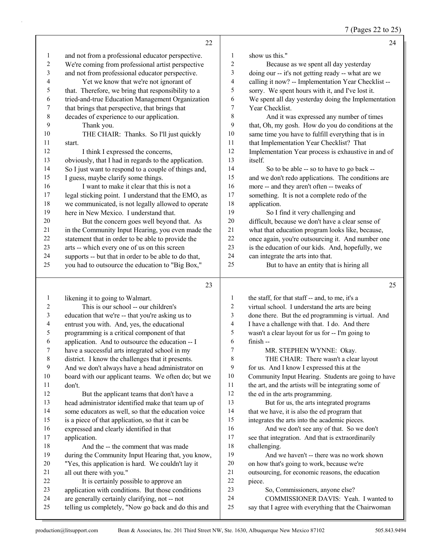7 (Pages 22 to 25)

|    | 22                                                   |    | 24                                                  |
|----|------------------------------------------------------|----|-----------------------------------------------------|
| 1  | and not from a professional educator perspective.    | 1  | show us this."                                      |
| 2  | We're coming from professional artist perspective    | 2  | Because as we spent all day yesterday               |
| 3  | and not from professional educator perspective.      | 3  | doing our -- it's not getting ready -- what are we  |
| 4  | Yet we know that we're not ignorant of               | 4  | calling it now? -- Implementation Year Checklist -- |
| 5  | that. Therefore, we bring that responsibility to a   | 5  | sorry. We spent hours with it, and I've lost it.    |
| 6  | tried-and-true Education Management Organization     | 6  | We spent all day yesterday doing the Implementation |
| 7  | that brings that perspective, that brings that       | 7  | Year Checklist.                                     |
| 8  | decades of experience to our application.            | 8  | And it was expressed any number of times            |
| 9  | Thank you.                                           | 9  | that, Oh, my gosh. How do you do conditions at the  |
| 10 | THE CHAIR: Thanks. So I'll just quickly              | 10 | same time you have to fulfill everything that is in |
| 11 | start.                                               | 11 | that Implementation Year Checklist? That            |
| 12 | I think I expressed the concerns,                    | 12 | Implementation Year process is exhaustive in and of |
| 13 | obviously, that I had in regards to the application. | 13 | itself.                                             |
| 14 | So I just want to respond to a couple of things and, | 14 | So to be able -- so to have to go back --           |
| 15 | I guess, maybe clarify some things.                  | 15 | and we don't redo applications. The conditions are  |
| 16 | I want to make it clear that this is not a           | 16 | more -- and they aren't often -- tweaks of          |
| 17 | legal sticking point. I understand that the EMO, as  | 17 | something. It is not a complete redo of the         |
| 18 | we communicated, is not legally allowed to operate   | 18 | application.                                        |
| 19 | here in New Mexico. I understand that.               | 19 | So I find it very challenging and                   |
| 20 | But the concern goes well beyond that. As            | 20 | difficult, because we don't have a clear sense of   |
| 21 | in the Community Input Hearing, you even made the    | 21 | what that education program looks like, because,    |
| 22 | statement that in order to be able to provide the    | 22 | once again, you're outsourcing it. And number one   |
| 23 | arts -- which every one of us on this screen         | 23 | is the education of our kids. And, hopefully, we    |
| 24 | supports -- but that in order to be able to do that, | 24 | can integrate the arts into that.                   |
| 25 | you had to outsource the education to "Big Box,"     | 25 | But to have an entity that is hiring all            |
|    | 23                                                   |    | 25                                                  |

| 1              | likening it to going to Walmart.                    | 1              | the staff, for that staff -- and, to me, it's a      |
|----------------|-----------------------------------------------------|----------------|------------------------------------------------------|
| $\overline{2}$ | This is our school -- our children's                | $\overline{2}$ | virtual school. I understand the arts are being      |
| 3              | education that we're -- that you're asking us to    | 3              | done there. But the ed programming is virtual. And   |
| 4              | entrust you with. And, yes, the educational         | 4              | I have a challenge with that. I do. And there        |
| 5              | programming is a critical component of that         | 5              | wasn't a clear layout for us for -- I'm going to     |
| 6              | application. And to outsource the education -- I    | 6              | $finish -$                                           |
| 7              | have a successful arts integrated school in my      | $\tau$         | MR. STEPHEN WYNNE: Okay.                             |
| 8              | district. I know the challenges that it presents.   | 8              | THE CHAIR: There wasn't a clear layout               |
| 9              | And we don't always have a head administrator on    | 9              | for us. And I know I expressed this at the           |
| 10             | board with our applicant teams. We often do; but we | 10             | Community Input Hearing. Students are going to have  |
| 11             | don't.                                              | 11             | the art, and the artists will be integrating some of |
| 12             | But the applicant teams that don't have a           | 12             | the ed in the arts programming.                      |
| 13             | head administrator identified make that team up of  | 13             | But for us, the arts integrated programs             |
| 14             | some educators as well, so that the education voice | 14             | that we have, it is also the ed program that         |
| 15             | is a piece of that application, so that it can be   | 15             | integrates the arts into the academic pieces.        |
| 16             | expressed and clearly identified in that            | 16             | And we don't see any of that. So we don't            |
| 17             | application.                                        | 17             | see that integration. And that is extraordinarily    |
| 18             | And the -- the comment that was made                | 18             | challenging.                                         |
| 19             | during the Community Input Hearing that, you know,  | 19             | And we haven't -- there was no work shown            |
| 20             | "Yes, this application is hard. We couldn't lay it  | 20             | on how that's going to work, because we're           |
| 21             | all out there with you."                            | 21             | outsourcing, for economic reasons, the education     |
| 22             | It is certainly possible to approve an              | 22             | piece.                                               |
| 23             | application with conditions. But those conditions   | 23             | So, Commissioners, anyone else?                      |
| 24             | are generally certainly clarifying, not -- not      | 24             | COMMISSIONER DAVIS: Yeah. I wanted to                |
| 25             | telling us completely, "Now go back and do this and | 25             | say that I agree with everything that the Chairwoman |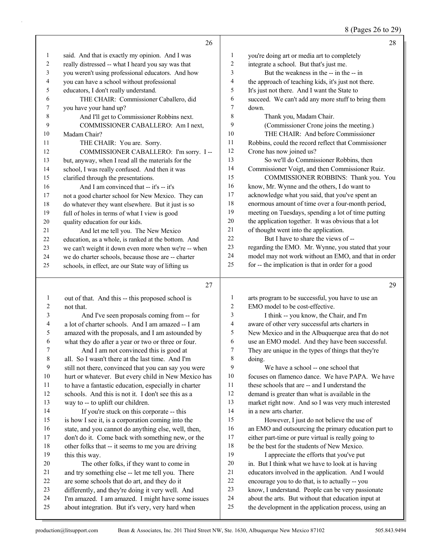#### 8 (Pages 26 to 29)

|              |                                                                                                       |                  | ъ                                                                                                    |
|--------------|-------------------------------------------------------------------------------------------------------|------------------|------------------------------------------------------------------------------------------------------|
|              | 26                                                                                                    |                  | 28                                                                                                   |
| 1            | said. And that is exactly my opinion. And I was                                                       | 1                | you're doing art or media art to completely                                                          |
| 2            | really distressed -- what I heard you say was that                                                    | 2                | integrate a school. But that's just me.                                                              |
| 3            | you weren't using professional educators. And how                                                     | 3                | But the weakness in the -- in the -- in                                                              |
| 4            | you can have a school without professional                                                            | 4                | the approach of teaching kids, it's just not there.                                                  |
| 5            | educators, I don't really understand.                                                                 | 5                | It's just not there. And I want the State to                                                         |
| 6            | THE CHAIR: Commissioner Caballero, did                                                                | 6                | succeed. We can't add any more stuff to bring them                                                   |
| 7            | you have your hand up?                                                                                | 7                | down.                                                                                                |
| 8            | And I'll get to Commissioner Robbins next.                                                            | 8                | Thank you, Madam Chair.                                                                              |
| 9            | COMMISSIONER CABALLERO: Am I next,                                                                    | 9                | (Commissioner Crone joins the meeting.)                                                              |
| 10           | Madam Chair?                                                                                          | 10               | THE CHAIR: And before Commissioner                                                                   |
| 11           | THE CHAIR: You are. Sorry.                                                                            | 11               | Robbins, could the record reflect that Commissioner                                                  |
| 12           | COMMISSIONER CABALLERO: I'm sorry. I --                                                               | 12               | Crone has now joined us?                                                                             |
| 13           | but, anyway, when I read all the materials for the                                                    | 13               | So we'll do Commissioner Robbins, then                                                               |
| 14           | school, I was really confused. And then it was                                                        | 14               | Commissioner Voigt, and then Commissioner Ruiz.                                                      |
| 15           | clarified through the presentations.                                                                  | 15               | COMMISSIONER ROBBINS: Thank you. You                                                                 |
| 16           | And I am convinced that -- it's -- it's                                                               | 16               | know, Mr. Wynne and the others, I do want to                                                         |
| 17           | not a good charter school for New Mexico. They can                                                    | 17               | acknowledge what you said, that you've spent an                                                      |
| 18           | do whatever they want elsewhere. But it just is so                                                    | $18\,$           | enormous amount of time over a four-month period,                                                    |
| 19           | full of holes in terms of what I view is good                                                         | 19               | meeting on Tuesdays, spending a lot of time putting                                                  |
| 20           | quality education for our kids.                                                                       | $20\,$           | the application together. It was obvious that a lot                                                  |
| 21           | And let me tell you. The New Mexico                                                                   | 21               | of thought went into the application.                                                                |
| 22           | education, as a whole, is ranked at the bottom. And                                                   | 22               | But I have to share the views of --                                                                  |
| 23           | we can't weight it down even more when we're -- when                                                  | 23               | regarding the EMO. Mr. Wynne, you stated that your                                                   |
| 24           | we do charter schools, because those are -- charter                                                   | 24               | model may not work without an EMO, and that in order                                                 |
| 25           | schools, in effect, are our State way of lifting us                                                   | 25               | for -- the implication is that in order for a good                                                   |
|              | 27                                                                                                    |                  | 29                                                                                                   |
| 1            | out of that. And this -- this proposed school is                                                      | 1                | arts program to be successful, you have to use an                                                    |
| 2            | not that.                                                                                             | 2                | EMO model to be cost-effective.                                                                      |
| 3            | And I've seen proposals coming from -- for                                                            | 3                | I think -- you know, the Chair, and I'm                                                              |
| 4            | a lot of charter schools. And I am amazed -- I am                                                     | 4                | aware of other very successful arts charters in                                                      |
| 5            | amazed with the proposals, and I am astounded by                                                      | 5                | New Mexico and in the Albuquerque area that do not                                                   |
| 6            | what they do after a year or two or three or four.                                                    | 6                | use an EMO model. And they have been successful.                                                     |
| 7            | And I am not convinced this is good at                                                                | 7                | They are unique in the types of things that they're                                                  |
| $\,$ $\,$    | all. So I wasn't there at the last time. And I'm                                                      | 8                | doing.                                                                                               |
| 9            | still not there, convinced that you can say you were                                                  | 9                | We have a school -- one school that                                                                  |
| $10\,$       | hurt or whatever. But every child in New Mexico has                                                   | $10\,$           | focuses on flamenco dance. We have PAPA. We have                                                     |
| 11           | to have a fantastic education, especially in charter                                                  | 11               | these schools that are -- and I understand the                                                       |
| 12           | schools. And this is not it. I don't see this as a                                                    | 12               | demand is greater than what is available in the                                                      |
| 13           | way to -- to uplift our children.                                                                     | 13               | market right now. And so I was very much interested                                                  |
| 14           | If you're stuck on this corporate -- this                                                             | 14               | in a new arts charter.                                                                               |
| 15           | is how I see it, is a corporation coming into the                                                     | 15               | However, I just do not believe the use of                                                            |
| 16           | state, and you cannot do anything else, well, then,                                                   | 16               | an EMO and outsourcing the primary education part to                                                 |
| 17           | don't do it. Come back with something new, or the                                                     | 17               | either part-time or pure virtual is really going to                                                  |
| 18           | other folks that -- it seems to me you are driving                                                    | 18               | be the best for the students of New Mexico.                                                          |
| 19           | this this way.                                                                                        | 19               | I appreciate the efforts that you've put                                                             |
| 20           | The other folks, if they want to come in                                                              | 20               | in. But I think what we have to look at is having                                                    |
| 21<br>$22\,$ | and try something else -- let me tell you. There                                                      | $21\,$<br>$22\,$ | educators involved in the application. And I would                                                   |
| 23           | are some schools that do art, and they do it                                                          | 23               | encourage you to do that, is to actually -- you<br>know, I understand. People can be very passionate |
| 24           | differently, and they're doing it very well. And<br>I'm amazed. I am amazed. I might have some issues | 24               | about the arts. But without that education input at                                                  |
|              |                                                                                                       |                  |                                                                                                      |

about integration. But it's very, very hard when

the development in the application process, using an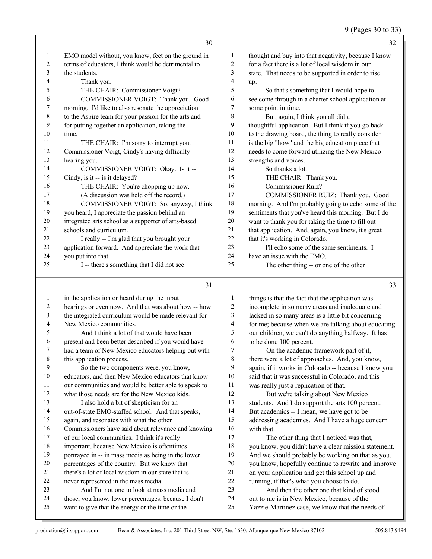9 (Pages 30 to 33)

|    | 30                                                   |    | 32                                                   |
|----|------------------------------------------------------|----|------------------------------------------------------|
| 1  | EMO model without, you know, feet on the ground in   | 1  | thought and buy into that negativity, because I know |
| 2  | terms of educators, I think would be detrimental to  | 2  | for a fact there is a lot of local wisdom in our     |
| 3  | the students.                                        | 3  | state. That needs to be supported in order to rise   |
| 4  | Thank you.                                           | 4  | up.                                                  |
| 5  | THE CHAIR: Commissioner Voigt?                       | 5  | So that's something that I would hope to             |
| 6  | COMMISSIONER VOIGT: Thank you. Good                  | 6  | see come through in a charter school application at  |
| 7  | morning. I'd like to also resonate the appreciation  | 7  | some point in time.                                  |
| 8  | to the Aspire team for your passion for the arts and | 8  | But, again, I think you all did a                    |
| 9  | for putting together an application, taking the      | 9  | thoughtful application. But I think if you go back   |
| 10 | time.                                                | 10 | to the drawing board, the thing to really consider   |
| 11 | THE CHAIR: I'm sorry to interrupt you.               | 11 | is the big "how" and the big education piece that    |
| 12 | Commissioner Voigt, Cindy's having difficulty        | 12 | needs to come forward utilizing the New Mexico       |
| 13 | hearing you.                                         | 13 | strengths and voices.                                |
| 14 | COMMISSIONER VOIGT: Okay. Is it --                   | 14 | So thanks a lot.                                     |
| 15 | Cindy, is it -- is it delayed?                       | 15 | THE CHAIR: Thank you.                                |
| 16 | THE CHAIR: You're chopping up now.                   | 16 | <b>Commissioner Ruiz?</b>                            |
| 17 | (A discussion was held off the record.)              | 17 | COMMISSIONER RUIZ: Thank you. Good                   |
| 18 | COMMISSIONER VOIGT: So, anyway, I think              | 18 | morning. And I'm probably going to echo some of the  |
| 19 | you heard, I appreciate the passion behind an        | 19 | sentiments that you've heard this morning. But I do  |
| 20 | integrated arts school as a supporter of arts-based  | 20 | want to thank you for taking the time to fill out    |
| 21 | schools and curriculum.                              | 21 | that application. And, again, you know, it's great   |
| 22 | I really -- I'm glad that you brought your           | 22 | that it's working in Colorado.                       |
| 23 | application forward. And appreciate the work that    | 23 | I'll echo some of the same sentiments. I             |
| 24 | you put into that.                                   | 24 | have an issue with the EMO.                          |
| 25 | I -- there's something that I did not see            | 25 | The other thing -- or one of the other               |
|    | 31                                                   |    | 33                                                   |

 in the application or heard during the input hearings or even now. And that was about how -- how the integrated curriculum would be made relevant for New Mexico communities. 5 And I think a lot of that would have been present and been better described if you would have had a team of New Mexico educators helping out with this application process. 9 So the two components were, you know, educators, and then New Mexico educators that know our communities and would be better able to speak to what those needs are for the New Mexico kids. 13 I also hold a bit of skepticism for an out-of-state EMO-staffed school. And that speaks, again, and resonates with what the other Commissioners have said about relevance and knowing of our local communities. I think it's really important, because New Mexico is oftentimes portrayed in -- in mass media as being in the lower percentages of the country. But we know that there's a lot of local wisdom in our state that is never represented in the mass media. 23 And I'm not one to look at mass media and those, you know, lower percentages, because I don't want to give that the energy or the time or the things is that the fact that the application was incomplete in so many areas and inadequate and lacked in so many areas is a little bit concerning for me; because when we are talking about educating our children, we can't do anything halfway. It has to be done 100 percent. 7 On the academic framework part of it, there were a lot of approaches. And, you know, again, if it works in Colorado -- because I know you said that it was successful in Colorado, and this was really just a replication of that. 12 But we're talking about New Mexico students. And I do support the arts 100 percent. But academics -- I mean, we have got to be addressing academics. And I have a huge concern with that. 17 The other thing that I noticed was that, you know, you didn't have a clear mission statement. And we should probably be working on that as you, you know, hopefully continue to rewrite and improve on your application and get this school up and running, if that's what you choose to do. 23 And then the other one that kind of stood out to me is in New Mexico, because of the Yazzie-Martinez case, we know that the needs of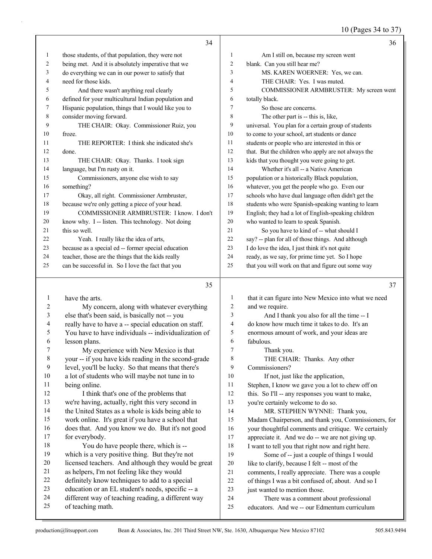10 (Pages 34 to 37)

|              | 34                                                   |                | 36                                                   |
|--------------|------------------------------------------------------|----------------|------------------------------------------------------|
| $\mathbf{1}$ | those students, of that population, they were not    | $\mathbf{1}$   | Am I still on, because my screen went                |
| 2            | being met. And it is absolutely imperative that we   | $\overline{2}$ | blank. Can you still hear me?                        |
| 3            | do everything we can in our power to satisfy that    | 3              | MS. KAREN WOERNER: Yes, we can.                      |
| 4            | need for those kids.                                 | 4              | THE CHAIR: Yes. I was muted.                         |
| 5            | And there wasn't anything real clearly               | 5              | COMMISSIONER ARMBRUSTER: My screen went              |
| 6            | defined for your multicultural Indian population and | 6              | totally black.                                       |
| 7            | Hispanic population, things that I would like you to | $\tau$         | So those are concerns.                               |
| 8            | consider moving forward.                             | 8              | The other part is -- this is, like,                  |
| 9            | THE CHAIR: Okay. Commissioner Ruiz, you              | 9              | universal. You plan for a certain group of students  |
| 10           | froze.                                               | 10             | to come to your school, art students or dance        |
| 11           | THE REPORTER: I think she indicated she's            | 11             | students or people who are interested in this or     |
| 12           | done.                                                | 12             | that. But the children who apply are not always the  |
| 13           | THE CHAIR: Okay. Thanks. I took sign                 | 13             | kids that you thought you were going to get.         |
| 14           | language, but I'm rusty on it.                       | 14             | Whether it's all -- a Native American                |
| 15           | Commissioners, anyone else wish to say               | 15             | population or a historically Black population,       |
| 16           | something?                                           | 16             | whatever, you get the people who go. Even our        |
| 17           | Okay, all right. Commissioner Armbruster,            | 17             | schools who have dual language often didn't get the  |
| 18           | because we're only getting a piece of your head.     | 18             | students who were Spanish-speaking wanting to learn  |
| 19           | COMMISSIONER ARMBRUSTER: I know. I don't             | 19             | English; they had a lot of English-speaking children |
| 20           | know why. I -- listen. This technology. Not doing    | 20             | who wanted to learn to speak Spanish.                |
| 21           | this so well.                                        | 21             | So you have to kind of -- what should I              |
| 22           | Yeah. I really like the idea of arts,                | 22             | say? -- plan for all of those things. And although   |
| 23           | because as a special ed -- former special education  | 23             | I do love the idea, I just think it's not quite      |
| 24           | teacher, those are the things that the kids really   | 24             | ready, as we say, for prime time yet. So I hope      |
| 25           | can be successful in. So I love the fact that you    | 25             | that you will work on that and figure out some way   |
|              | 35                                                   |                | 37                                                   |
| 1            | have the arts.                                       | 1              | that it can figure into New Mexico into what we need |
| 2            | My concern, along with whatever everything           | 2              | and we require.                                      |
| 3            | else that's been said, is basically not -- you       | 3              | And I thank you also for all the time -- I           |
|              |                                                      |                |                                                      |

 really have to have a -- special education on staff. You have to have individuals -- individualization of

- lesson plans. 7 My experience with New Mexico is that
- your -- if you have kids reading in the second-grade
- level, you'll be lucky. So that means that there's
- a lot of students who will maybe not tune in to
- being online. 12 I think that's one of the problems that
- we're having, actually, right this very second in
- the United States as a whole is kids being able to
- work online. It's great if you have a school that
- does that. And you know we do. But it's not good for everybody.
- 18 You do have people there, which is -- which is a very positive thing. But they're not
- licensed teachers. And although they would be great
- as helpers, I'm not feeling like they would definitely know techniques to add to a special
- education or an EL student's needs, specific -- a
- different way of teaching reading, a different way
- of teaching math.
- 
- do know how much time it takes to do. It's an enormous amount of work, and your ideas are fabulous. 7 Thank you. 8 THE CHAIR: Thanks. Any other Commissioners? 10 If not, just like the application, Stephen, I know we gave you a lot to chew off on this. So I'll -- any responses you want to make, you're certainly welcome to do so. 14 MR. STEPHEN WYNNE: Thank you, Madam Chairperson, and thank you, Commissioners, for your thoughtful comments and critique. We certainly appreciate it. And we do -- we are not giving up. 18 I want to tell you that right now and right here. 19 Some of -- just a couple of things I would 20 like to clarify, because I felt -- most of the comments, I really appreciate. There was a couple of things I was a bit confused of, about. And so I 23 just wanted to mention those.
- 24 There was a comment about professional educators. And we -- our Edmentum curriculum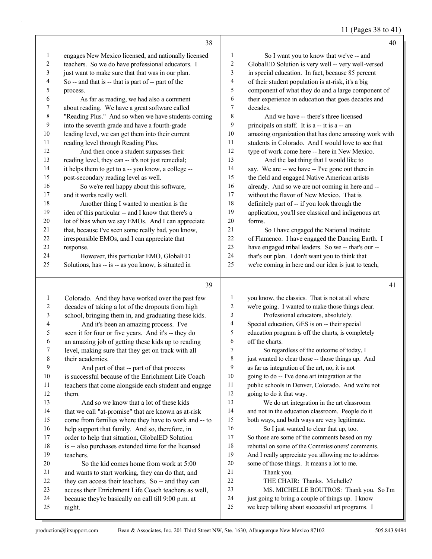11 (Pages 38 to 41)

|              |                                                      |                | $11 \text{ (1450} \cdot 30 \text{ to } 11)$          |
|--------------|------------------------------------------------------|----------------|------------------------------------------------------|
|              | 38                                                   |                | 40                                                   |
| 1            | engages New Mexico licensed, and nationally licensed | $\mathbf{1}$   | So I want you to know that we've -- and              |
| 2            | teachers. So we do have professional educators. I    | $\sqrt{2}$     | GlobalED Solution is very well -- very well-versed   |
| 3            | just want to make sure that that was in our plan.    | $\mathfrak{Z}$ | in special education. In fact, because 85 percent    |
| 4            | So -- and that is -- that is part of -- part of the  | $\overline{4}$ | of their student population is at-risk, it's a big   |
| 5            | process.                                             | 5              | component of what they do and a large component of   |
| 6            | As far as reading, we had also a comment             | 6              | their experience in education that goes decades and  |
| 7            | about reading. We have a great software called       | 7              | decades.                                             |
| $\,$ 8 $\,$  | "Reading Plus." And so when we have students coming  | $\,$ $\,$      | And we have -- there's three licensed                |
| 9            | into the seventh grade and have a fourth-grade       | 9              | principals on staff. It is a -- it is a -- an        |
| 10           | leading level, we can get them into their current    | $10\,$         | amazing organization that has done amazing work with |
| 11           | reading level through Reading Plus.                  | 11             | students in Colorado. And I would love to see that   |
| 12           | And then once a student surpasses their              | 12             | type of work come here -- here in New Mexico.        |
| 13           | reading level, they can -- it's not just remedial;   | 13             | And the last thing that I would like to              |
| 14           | it helps them to get to a -- you know, a college --  | 14             | say. We are -- we have -- I've gone out there in     |
| 15           | post-secondary reading level as well.                | 15             | the field and engaged Native American artists        |
| 16           | So we're real happy about this software,             | 16             | already. And so we are not coming in here and --     |
| 17           | and it works really well.                            | 17             | without the flavor of New Mexico. That is            |
| 18           | Another thing I wanted to mention is the             | $18\,$         | definitely part of -- if you look through the        |
| 19           | idea of this particular -- and I know that there's a | 19             | application, you'll see classical and indigenous art |
| 20           | lot of bias when we say EMOs. And I can appreciate   | 20             | forms.                                               |
| 21           | that, because I've seen some really bad, you know,   | 21             | So I have engaged the National Institute             |
| 22           | irresponsible EMOs, and I can appreciate that        | 22             | of Flamenco. I have engaged the Dancing Earth. I     |
| 23           | response.                                            | 23             | have engaged tribal leaders. So we -- that's our --  |
| 24           | However, this particular EMO, GlobalED               | 24             | that's our plan. I don't want you to think that      |
| 25           | Solutions, has -- is -- as you know, is situated in  | 25             | we're coming in here and our idea is just to teach,  |
|              |                                                      |                |                                                      |
|              | 39                                                   |                | 41                                                   |
| $\mathbf{1}$ | Colorado. And they have worked over the past few     | $\mathbf{1}$   | you know, the classics. That is not at all where     |
| 2            | decades of taking a lot of the dropouts from high    | $\overline{c}$ | we're going. I wanted to make those things clear.    |
| 3            | school, bringing them in, and graduating these kids. | $\mathfrak{Z}$ | Professional educators, absolutely.                  |
| 4            | And it's been an amazing process. I've               | $\overline{4}$ | Special education, GES is on -- their special        |
| 5            | seen it for four or five years. And it's -- they do  | 5              | education program is off the charts, is completely   |
| 6            | an amazing job of getting these kids up to reading   | 6              | off the charts.                                      |
| 7            | level, making sure that they get on track with all   | 7              | So regardless of the outcome of today, I             |
| 8            | their academics.                                     | $\,$ 8 $\,$    | just wanted to clear those -- those things up. And   |
| 9            | And part of that -- part of that process             | 9              | as far as integration of the art, no, it is not      |
| 10           | is successful because of the Enrichment Life Coach   | 10             | going to do -- I've done art integration at the      |
| 11           | teachers that come alongside each student and engage | 11             | public schools in Denver, Colorado. And we're not    |
| 12           | them.                                                | 12             | going to do it that way.                             |
| 13           | And so we know that a lot of these kids              | 13             | We do art integration in the art classroom           |
| 14           | that we call "at-promise" that are known as at-risk  | 14             | and not in the education classroom. People do it     |
| 15           | come from families where they have to work and -- to | 15             | both ways, and both ways are very legitimate.        |
| 16           | help support that family. And so, therefore, in      | 16             | So I just wanted to clear that up, too.              |
| 17           | order to help that situation, GlobalED Solution      | 17             | So those are some of the comments based on my        |
| 18           | is -- also purchases extended time for the licensed  | 18             | rebuttal on some of the Commissioners' comments.     |
| 19           | teachers                                             | 19             | And I really appreciate you allowing me to address   |

 is -- also purchases extended time for the licensed teachers.

- 20 So the kid comes home from work at 5:00 and wants to start working, they can do that, and
- they can access their teachers. So -- and they can
- access their Enrichment Life Coach teachers as well,
- because they're basically on call till 9:00 p.m. at
- night.

production@litsupport.com Bean & Associates, Inc. 201 Third Street NW, Ste. 1630, Albuquerque New Mexico 87102 505.843.9494

And I really appreciate you allowing me to address

MS. MICHELLE BOUTROS: Thank you. So I'm

some of those things. It means a lot to me.

22 THE CHAIR: Thanks. Michelle?<br>23 MS. MICHELLE BOUTROS: The

 just going to bring a couple of things up. I know we keep talking about successful art programs. I

21 Thank you.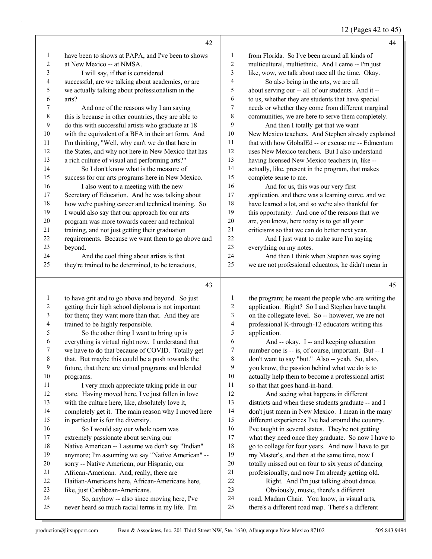12 (Pages 42 to 45)

|                | 42                                                                                      |                          | 44                                                                                                        |
|----------------|-----------------------------------------------------------------------------------------|--------------------------|-----------------------------------------------------------------------------------------------------------|
| 1              | have been to shows at PAPA, and I've been to shows                                      | 1                        | from Florida. So I've been around all kinds of                                                            |
| 2              | at New Mexico -- at NMSA.                                                               | $\sqrt{2}$               | multicultural, multiethnic. And I came -- I'm just                                                        |
| 3              | I will say, if that is considered                                                       | 3                        | like, wow, we talk about race all the time. Okay.                                                         |
| 4              | successful, are we talking about academics, or are                                      | $\overline{\mathcal{A}}$ | So also being in the arts, we are all                                                                     |
| 5              | we actually talking about professionalism in the                                        | 5                        | about serving our -- all of our students. And it --                                                       |
| 6              | arts?                                                                                   | 6                        | to us, whether they are students that have special                                                        |
| 7              | And one of the reasons why I am saying                                                  | 7                        | needs or whether they come from different marginal                                                        |
| 8              | this is because in other countries, they are able to                                    | $\,$ $\,$                | communities, we are here to serve them completely.                                                        |
| 9              | do this with successful artists who graduate at 18                                      | 9                        | And then I totally get that we want                                                                       |
| 10             | with the equivalent of a BFA in their art form. And                                     | 10                       | New Mexico teachers. And Stephen already explained                                                        |
| 11             | I'm thinking, "Well, why can't we do that here in                                       | 11                       | that with how GlobalEd -- or excuse me -- Edmentum                                                        |
| 12             | the States, and why not here in New Mexico that has                                     | $12\,$                   | uses New Mexico teachers. But I also understand                                                           |
| 13             | a rich culture of visual and performing arts?"                                          | 13                       | having licensed New Mexico teachers in, like --                                                           |
| 14             | So I don't know what is the measure of                                                  | 14                       | actually, like, present in the program, that makes                                                        |
| 15             | success for our arts programs here in New Mexico.                                       | 15                       | complete sense to me.                                                                                     |
| 16             | I also went to a meeting with the new                                                   | 16                       | And for us, this was our very first                                                                       |
| 17             | Secretary of Education. And he was talking about                                        | $17\,$                   | application, and there was a learning curve, and we                                                       |
| 18             | how we're pushing career and technical training. So                                     | $18\,$                   | have learned a lot, and so we're also thankful for                                                        |
| 19             | I would also say that our approach for our arts                                         | 19                       | this opportunity. And one of the reasons that we                                                          |
| $20\,$         | program was more towards career and technical                                           | $20\,$                   | are, you know, here today is to get all your                                                              |
| 21             | training, and not just getting their graduation                                         | $21\,$                   | criticisms so that we can do better next year.                                                            |
| 22             | requirements. Because we want them to go above and                                      | $22\,$                   | And I just want to make sure I'm saying                                                                   |
| 23             | beyond.                                                                                 | 23                       | everything on my notes.                                                                                   |
| 24             | And the cool thing about artists is that                                                | 24                       | And then I think when Stephen was saying                                                                  |
| 25             | they're trained to be determined, to be tenacious,                                      | 25                       | we are not professional educators, he didn't mean in                                                      |
|                |                                                                                         |                          |                                                                                                           |
|                | 43                                                                                      |                          | 45                                                                                                        |
|                |                                                                                         |                          |                                                                                                           |
| 1              | to have grit and to go above and beyond. So just                                        | 1                        | the program; he meant the people who are writing the                                                      |
| $\overline{c}$ | getting their high school diploma is not important                                      | $\overline{c}$           | application. Right? So I and Stephen have taught                                                          |
| 3              | for them; they want more than that. And they are                                        | 3                        | on the collegiate level. So -- however, we are not                                                        |
| 4              | trained to be highly responsible.                                                       | $\overline{4}$           | professional K-through-12 educators writing this                                                          |
| 5              | So the other thing I want to bring up is                                                | 5                        | application.                                                                                              |
| 6              | everything is virtual right now. I understand that                                      | 6                        | And -- okay. I -- and keeping education                                                                   |
| 7              | we have to do that because of COVID. Totally get                                        | $\boldsymbol{7}$         | number one is -- is, of course, important. But -- I                                                       |
| $\,8\,$        | that. But maybe this could be a push towards the                                        | 8<br>9                   | don't want to say "but." Also -- yeah. So, also,                                                          |
| $\overline{9}$ | future, that there are virtual programs and blended                                     | $10\,$                   | you know, the passion behind what we do is to                                                             |
| $10\,$         | programs.                                                                               | 11                       | actually help them to become a professional artist                                                        |
| 11<br>12       | I very much appreciate taking pride in our                                              | $12\,$                   | so that that goes hand-in-hand.                                                                           |
| 13             | state. Having moved here, I've just fallen in love                                      | 13                       | And seeing what happens in different                                                                      |
| 14             | with the culture here, like, absolutely love it,                                        | 14                       | districts and when these students graduate -- and I                                                       |
| 15             | completely get it. The main reason why I moved here                                     | 15                       | don't just mean in New Mexico. I mean in the many                                                         |
| 16             | in particular is for the diversity.                                                     | 16                       | different experiences I've had around the country.                                                        |
| 17             | So I would say our whole team was<br>extremely passionate about serving our             | 17                       | I've taught in several states. They're not getting<br>what they need once they graduate. So now I have to |
| 18             | Native American -- I assume we don't say "Indian"                                       | 18                       | go to college for four years. And now I have to get                                                       |
| 19             | anymore; I'm assuming we say "Native American" --                                       | 19                       | my Master's, and then at the same time, now I                                                             |
| 20             |                                                                                         | $20\,$                   |                                                                                                           |
| 21             | sorry -- Native American, our Hispanic, our<br>African-American. And, really, there are | 21                       | totally missed out on four to six years of dancing<br>professionally, and now I'm already getting old.    |
| 22             | Haitian-Americans here, African-Americans here,                                         | $22\,$                   | Right. And I'm just talking about dance.                                                                  |
| 23             | like, just Caribbean-Americans.                                                         | 23                       | Obviously, music, there's a different                                                                     |

24 So, anyhow -- also since moving here, I've never heard so much racial terms in my life. I'm

there's a different road map. There's a different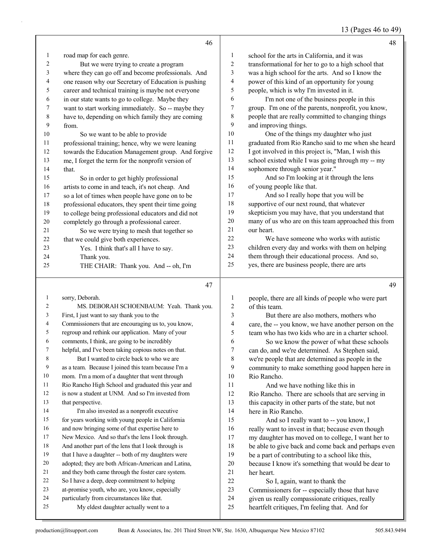13 (Pages 46 to 49)

|              | 46                                                                                  |                         | 48                                                                                                |
|--------------|-------------------------------------------------------------------------------------|-------------------------|---------------------------------------------------------------------------------------------------|
| $\mathbf{1}$ | road map for each genre.                                                            | 1                       | school for the arts in California, and it was                                                     |
| 2            | But we were trying to create a program                                              | $\overline{2}$          | transformational for her to go to a high school that                                              |
| 3            | where they can go off and become professionals. And                                 | 3                       | was a high school for the arts. And so I know the                                                 |
| 4            | one reason why our Secretary of Education is pushing                                | 4                       | power of this kind of an opportunity for young                                                    |
| 5            | career and technical training is maybe not everyone                                 | 5                       | people, which is why I'm invested in it.                                                          |
| 6            | in our state wants to go to college. Maybe they                                     | 6                       | I'm not one of the business people in this                                                        |
| 7            | want to start working immediately. So -- maybe they                                 | $\boldsymbol{7}$        | group. I'm one of the parents, nonprofit, you know,                                               |
| 8            | have to, depending on which family they are coming                                  | 8                       | people that are really committed to changing things                                               |
| 9            | from.                                                                               | 9                       | and improving things.                                                                             |
| 10           | So we want to be able to provide                                                    | 10                      | One of the things my daughter who just                                                            |
| 11           | professional training; hence, why we were leaning                                   | 11                      | graduated from Rio Rancho said to me when she heard                                               |
| 12           | towards the Education Management group. And forgive                                 | 12                      | I got involved in this project is, "Man, I wish this                                              |
| 13           | me, I forget the term for the nonprofit version of                                  | 13                      | school existed while I was going through my -- my                                                 |
| 14           | that.                                                                               | 14                      | sophomore through senior year."                                                                   |
| 15           | So in order to get highly professional                                              | 15                      | And so I'm looking at it through the lens                                                         |
| 16           | artists to come in and teach, it's not cheap. And                                   | 16                      | of young people like that.                                                                        |
| 17           | so a lot of times when people have gone on to be                                    | 17                      | And so I really hope that you will be                                                             |
| 18           | professional educators, they spent their time going                                 | 18                      | supportive of our next round, that whatever                                                       |
| 19           | to college being professional educators and did not                                 | 19                      | skepticism you may have, that you understand that                                                 |
| 20           | completely go through a professional career.                                        | 20                      | many of us who are on this team approached this from                                              |
| 21           | So we were trying to mesh that together so                                          | 21                      | our heart.                                                                                        |
| 22           | that we could give both experiences.                                                | 22                      | We have someone who works with autistic                                                           |
| 23           | Yes. I think that's all I have to say.                                              | 23                      | children every day and works with them on helping                                                 |
| 24           | Thank you.                                                                          | 24                      | them through their educational process. And so,                                                   |
| 25           | THE CHAIR: Thank you. And -- oh, I'm                                                | 25                      | yes, there are business people, there are arts                                                    |
|              |                                                                                     |                         |                                                                                                   |
|              |                                                                                     |                         |                                                                                                   |
|              | 47                                                                                  |                         | 49                                                                                                |
|              |                                                                                     |                         |                                                                                                   |
| $\mathbf{1}$ | sorry, Deborah.                                                                     | 1                       | people, there are all kinds of people who were part                                               |
| 2            | MS. DEBORAH SCHOENBAUM: Yeah. Thank you.                                            | $\boldsymbol{2}$        | of this team.                                                                                     |
| 3            | First, I just want to say thank you to the                                          | 3                       | But there are also mothers, mothers who                                                           |
| 4            | Commissioners that are encouraging us to, you know,                                 | $\overline{\mathbf{4}}$ | care, the -- you know, we have another person on the                                              |
| 5            | regroup and rethink our application. Many of your                                   | 5                       | team who has two kids who are in a charter school.                                                |
| 6            | comments, I think, are going to be incredibly                                       | 6                       | So we know the power of what these schools                                                        |
| 7            | helpful, and I've been taking copious notes on that.                                | 7                       | can do, and we're determined. As Stephen said,                                                    |
| $\,8\,$      | But I wanted to circle back to who we are                                           | $\,8\,$                 | we're people that are determined as people in the                                                 |
| 9            | as a team. Because I joined this team because I'm a                                 | 9                       | community to make something good happen here in                                                   |
| 10           | mom. I'm a mom of a daughter that went through                                      | 10                      | Rio Rancho.                                                                                       |
| 11           | Rio Rancho High School and graduated this year and                                  | 11                      | And we have nothing like this in                                                                  |
| 12           | is now a student at UNM. And so I'm invested from                                   | 12                      | Rio Rancho. There are schools that are serving in                                                 |
| 13           | that perspective.                                                                   | 13                      | this capacity in other parts of the state, but not                                                |
| 14           | I'm also invested as a nonprofit executive                                          | 14                      | here in Rio Rancho.                                                                               |
| 15           | for years working with young people in California                                   | 15                      | And so I really want to -- you know, I                                                            |
| 16           | and now bringing some of that expertise here to                                     | 16                      | really want to invest in that; because even though                                                |
| 17           | New Mexico. And so that's the lens I look through.                                  | 17                      | my daughter has moved on to college, I want her to                                                |
| 18           | And another part of the lens that I look through is                                 | $18\,$                  | be able to give back and come back and perhaps even                                               |
| 19           | that I have a daughter -- both of my daughters were                                 | 19                      | be a part of contributing to a school like this,                                                  |
| 20           | adopted; they are both African-American and Latina,                                 | $20\,$                  | because I know it's something that would be dear to                                               |
| 21           | and they both came through the foster care system.                                  | 21                      | her heart.                                                                                        |
| 22           | So I have a deep, deep commitment to helping                                        | $22\,$                  | So I, again, want to thank the                                                                    |
| 23           | at-promise youth, who are, you know, especially                                     | 23                      | Commissioners for -- especially those that have                                                   |
| 24<br>25     | particularly from circumstances like that.<br>My eldest daughter actually went to a | 24<br>25                | given us really compassionate critiques, really<br>heartfelt critiques, I'm feeling that. And for |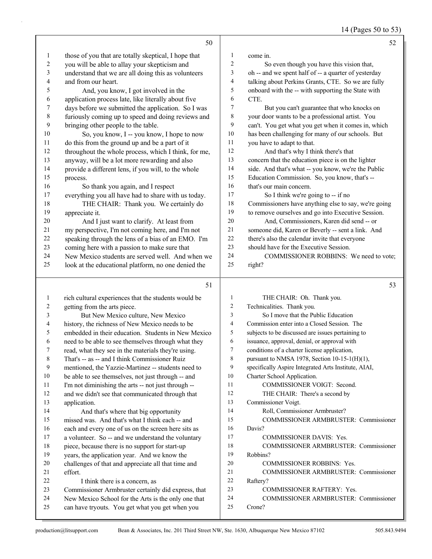14 (Pages 50 to 53)

|              | 50                                                                                                     |                | 52                                                         |
|--------------|--------------------------------------------------------------------------------------------------------|----------------|------------------------------------------------------------|
| $\mathbf{1}$ | those of you that are totally skeptical, I hope that                                                   | 1              | come in.                                                   |
| 2            | you will be able to allay your skepticism and                                                          | $\overline{c}$ | So even though you have this vision that,                  |
| 3            | understand that we are all doing this as volunteers                                                    | 3              | oh -- and we spent half of -- a quarter of yesterday       |
| 4            | and from our heart.                                                                                    | 4              | talking about Perkins Grants, CTE. So we are fully         |
| 5            | And, you know, I got involved in the                                                                   | 5              | onboard with the -- with supporting the State with         |
| 6            | application process late, like literally about five                                                    | 6              | CTE.                                                       |
| 7            | days before we submitted the application. So I was                                                     | 7              | But you can't guarantee that who knocks on                 |
| 8            | furiously coming up to speed and doing reviews and                                                     | 8              | your door wants to be a professional artist. You           |
| 9            | bringing other people to the table.                                                                    | 9              | can't. You get what you get when it comes in, which        |
| 10           | So, you know, I -- you know, I hope to now                                                             | 10             | has been challenging for many of our schools. But          |
| 11           | do this from the ground up and be a part of it                                                         | $11\,$         | you have to adapt to that.                                 |
| 12           | throughout the whole process, which I think, for me,                                                   | 12             | And that's why I think there's that                        |
| 13           | anyway, will be a lot more rewarding and also                                                          | 13             | concern that the education piece is on the lighter         |
| 14           | provide a different lens, if you will, to the whole                                                    | 14             | side. And that's what -- you know, we're the Public        |
| 15           | process.                                                                                               | 15             | Education Commission. So, you know, that's --              |
| 16           | So thank you again, and I respect                                                                      | 16             | that's our main concern.                                   |
| 17           | everything you all have had to share with us today.                                                    | 17             | So I think we're going to -- if no                         |
| 18           | THE CHAIR: Thank you. We certainly do                                                                  | $18\,$         | Commissioners have anything else to say, we're going       |
| 19           | appreciate it.                                                                                         | 19             | to remove ourselves and go into Executive Session.         |
| 20           | And I just want to clarify. At least from                                                              | 20             | And, Commissioners, Karen did send -- or                   |
| 21           | my perspective, I'm not coming here, and I'm not                                                       | $21\,$         | someone did, Karen or Beverly -- sent a link. And          |
| 22           | speaking through the lens of a bias of an EMO. I'm                                                     | 22             | there's also the calendar invite that everyone             |
| 23           | coming here with a passion to make sure that                                                           | 23             | should have for the Executive Session.                     |
| 24           | New Mexico students are served well. And when we                                                       | 24             | COMMISSIONER ROBBINS: We need to vote;                     |
| 25           | look at the educational platform, no one denied the                                                    | 25             | right?                                                     |
|              | 51                                                                                                     |                | 53                                                         |
|              |                                                                                                        |                |                                                            |
|              |                                                                                                        | 1              |                                                            |
| $\mathbf{1}$ | rich cultural experiences that the students would be                                                   | $\overline{c}$ | THE CHAIR: Oh. Thank you.                                  |
| 2<br>3       | getting from the arts piece.                                                                           | 3              | Technicalities. Thank you.                                 |
| 4            | But New Mexico culture, New Mexico                                                                     | 4              | So I move that the Public Education                        |
| 5            | history, the richness of New Mexico needs to be<br>embedded in their education. Students in New Mexico | 5              | Commission enter into a Closed Session. The                |
| 6            |                                                                                                        | 6              | subjects to be discussed are issues pertaining to          |
| 7            | need to be able to see themselves through what they                                                    | 7              | issuance, approval, denial, or approval with               |
|              | read, what they see in the materials they're using.                                                    | 8              | conditions of a charter license application,               |
| 8<br>9       | That's -- as -- and I think Commissioner Ruiz                                                          | 9              | pursuant to NMSA 1978, Section 10-15-1(H)(1),              |
| 10           | mentioned, the Yazzie-Martinez -- students need to                                                     | 10             | specifically Aspire Integrated Arts Institute, AIAI,       |
| 11           | be able to see themselves, not just through -- and                                                     | 11             | Charter School Application.<br>COMMISSIONER VOIGT: Second. |
| 12           | I'm not diminishing the arts -- not just through --                                                    | 12             |                                                            |
| 13           | and we didn't see that communicated through that                                                       | 13             | THE CHAIR: There's a second by<br>Commissioner Voigt.      |
| 14           | application.                                                                                           | 14             | Roll, Commissioner Armbruster?                             |
| 15           | And that's where that big opportunity<br>missed was. And that's what I think each -- and               | 15             | COMMISSIONER ARMBRUSTER: Commissioner                      |
| 16           | each and every one of us on the screen here sits as                                                    | 16             | Davis?                                                     |
| 17           | a volunteer. So -- and we understand the voluntary                                                     | 17             | COMMISSIONER DAVIS: Yes.                                   |
| 18           | piece, because there is no support for start-up                                                        | 18             | COMMISSIONER ARMBRUSTER: Commissioner                      |
| 19           | years, the application year. And we know the                                                           | 19             | Robbins?                                                   |
| 20           | challenges of that and appreciate all that time and                                                    | 20             | COMMISSIONER ROBBINS: Yes.                                 |
| 21           | effort.                                                                                                | 21             | COMMISSIONER ARMBRUSTER: Commissioner                      |
| 22           | I think there is a concern, as                                                                         | 22             | Raftery?                                                   |

- Commissioner Armbruster certainly did express, that
- New Mexico School for the Arts is the only one that
- can have tryouts. You get what you get when you

Crone?

24 COMMISSIONER ARMBRUSTER: Commissioner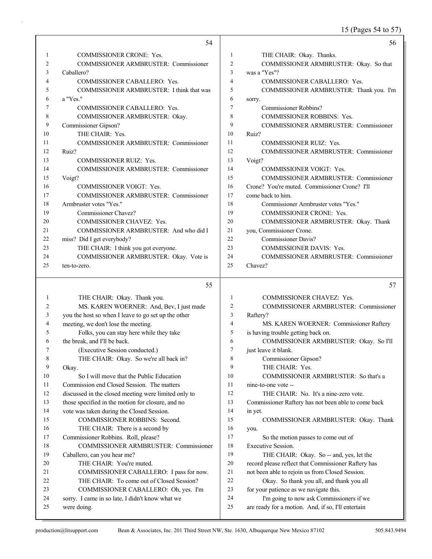15 (Pages 54 to 57)

|    | 54                                           |    | 56                                            |
|----|----------------------------------------------|----|-----------------------------------------------|
|    | <b>COMMISSIONER CRONE: Yes.</b>              | 1  | THE CHAIR: Okay. Thanks.                      |
| 2  | <b>COMMISSIONER ARMBRUSTER: Commissioner</b> | 2  | COMMISSIONER ARMBRUSTER: Okay. So that        |
| 3  | Caballero?                                   | 3  | was a "Yes"?                                  |
| 4  | COMMISSIONER CABALLERO: Yes.                 | 4  | COMMISSIONER CABALLERO: Yes.                  |
| 5  | COMMISSIONER ARMBRUSTER: I think that was    | 5  | COMMISSIONER ARMBRUSTER: Thank you. I'm       |
| 6  | a "Yes."                                     | 6  | sorry.                                        |
|    | COMMISSIONER CABALLERO: Yes.                 | 7  | <b>Commissioner Robbins?</b>                  |
| 8  | COMMISSIONER ARMBRUSTER: Okay.               | 8  | <b>COMMISSIONER ROBBINS: Yes.</b>             |
| 9  | Commissioner Gipson?                         | 9  | <b>COMMISSIONER ARMBRUSTER: Commissioner</b>  |
| 10 | THE CHAIR: Yes.                              | 10 | Ruiz?                                         |
| 11 | <b>COMMISSIONER ARMBRUSTER: Commissioner</b> | 11 | <b>COMMISSIONER RUIZ: Yes.</b>                |
| 12 | Ruiz?                                        | 12 | COMMISSIONER ARMBRUSTER: Commissioner         |
| 13 | <b>COMMISSIONER RUIZ: Yes.</b>               | 13 | Voigt?                                        |
| 14 | COMMISSIONER ARMBRUSTER: Commissioner        | 14 | <b>COMMISSIONER VOIGT: Yes.</b>               |
| 15 | Voigt?                                       | 15 | COMMISSIONER ARMBRUSTER: Commissioner         |
| 16 | <b>COMMISSIONER VOIGT: Yes.</b>              | 16 | Crone? You're muted. Commissioner Crone? I'll |
| 17 | COMMISSIONER ARMBRUSTER: Commissioner        | 17 | come back to him.                             |
| 18 | Armbruster votes "Yes."                      | 18 | Commissioner Armbruster votes "Yes."          |
| 19 | Commissioner Chavez?                         | 19 | <b>COMMISSIONER CRONE: Yes.</b>               |
| 20 | <b>COMMISSIONER CHAVEZ: Yes.</b>             | 20 | COMMISSIONER ARMBRUSTER: Okay. Thank          |
| 21 | COMMISSIONER ARMBRUSTER: And who did I       | 21 | you, Commissioner Crone.                      |
| 22 | miss? Did I get everybody?                   | 22 | <b>Commissioner Davis?</b>                    |
| 23 | THE CHAIR: I think you got everyone.         | 23 | <b>COMMISSIONER DAVIS: Yes.</b>               |
| 24 | COMMISSIONER ARMBRUSTER: Okay. Vote is       | 24 | <b>COMMISSIONER ARMBRUSTER: Commissioner</b>  |
| 25 | ten-to-zero.                                 | 25 | Chavez?                                       |

#### 55

| 1  | THE CHAIR: Okay. Thank you.                          |    | <b>COMMISSIONER CHAVEZ: Yes.</b>                    |
|----|------------------------------------------------------|----|-----------------------------------------------------|
| 2  | MS. KAREN WOERNER: And, Bev, I just made             | 2  | <b>COMMISSIONER ARMBRUSTER: Commissioner</b>        |
| 3  | you the host so when I leave to go set up the other  | 3  | Raftery?                                            |
| 4  | meeting, we don't lose the meeting.                  | 4  | MS. KAREN WOERNER: Commissioner Raftery             |
| 5  | Folks, you can stay here while they take             | 5  | is having trouble getting back on.                  |
| 6  | the break, and I'll be back.                         | 6  | COMMISSIONER ARMBRUSTER: Okay. So I'll              |
| 7  | (Executive Session conducted.)                       | 7  | just leave it blank.                                |
| 8  | THE CHAIR: Okay. So we're all back in?               | 8  | Commissioner Gipson?                                |
| 9  | Okay.                                                | 9  | THE CHAIR: Yes.                                     |
| 10 | So I will move that the Public Education             | 10 | COMMISSIONER ARMBRUSTER: So that's a                |
| 11 | Commission end Closed Session. The matters           | 11 | nine-to-one vote --                                 |
| 12 | discussed in the closed meeting were limited only to | 12 | THE CHAIR: No. It's a nine-zero vote.               |
| 13 | those specified in the motion for closure, and no    | 13 | Commissioner Raftery has not been able to come back |
| 14 | vote was taken during the Closed Session.            | 14 | in yet.                                             |
| 15 | <b>COMMISSIONER ROBBINS: Second.</b>                 | 15 | COMMISSIONER ARMBRUSTER: Okay. Thank                |
| 16 | THE CHAIR: There is a second by                      | 16 | you.                                                |
| 17 | Commissioner Robbins. Roll, please?                  | 17 | So the motion passes to come out of                 |
| 18 | COMMISSIONER ARMBRUSTER: Commissioner                | 18 | Executive Session.                                  |
| 19 | Caballero, can you hear me?                          | 19 | THE CHAIR: Okay. So -- and, yes, let the            |
| 20 | THE CHAIR: You're muted.                             | 20 | record please reflect that Commissioner Raftery has |
| 21 | COMMISSIONER CABALLERO: I pass for now.              | 21 | not been able to rejoin us from Closed Session.     |
| 22 | THE CHAIR: To come out of Closed Session?            | 22 | Okay. So thank you all, and thank you all           |
| 23 | COMMISSIONER CABALLERO: Oh, yes. I'm                 | 23 | for your patience as we navigate this.              |
| 24 | sorry. I came in so late, I didn't know what we      | 24 | I'm going to now ask Commissioners if we            |
| 25 | were doing.                                          | 25 | are ready for a motion. And, if so, I'll entertain  |
|    |                                                      |    |                                                     |

57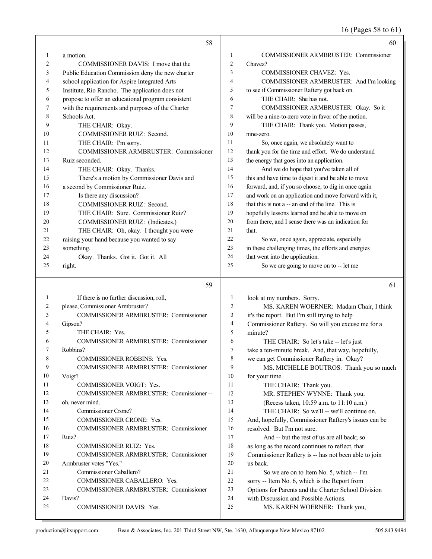16 (Pages 58 to 61)

|    | 58                                                 |                | 60                                                   |
|----|----------------------------------------------------|----------------|------------------------------------------------------|
| 1  | a motion.                                          | 1              | COMMISSIONER ARMBRUSTER: Commissioner                |
| 2  | COMMISSIONER DAVIS: I move that the                | 2              | Chavez?                                              |
| 3  | Public Education Commission deny the new charter   | 3              | <b>COMMISSIONER CHAVEZ: Yes.</b>                     |
| 4  | school application for Aspire Integrated Arts      | $\overline{4}$ | COMMISSIONER ARMBRUSTER: And I'm looking             |
| 5  | Institute, Rio Rancho. The application does not    | 5              | to see if Commissioner Raftery got back on.          |
| 6  | propose to offer an educational program consistent | 6              | THE CHAIR: She has not.                              |
| 7  | with the requirements and purposes of the Charter  | 7              | COMMISSIONER ARMBRUSTER: Okay. So it                 |
| 8  | Schools Act.                                       | 8              | will be a nine-to-zero vote in favor of the motion.  |
| 9  | THE CHAIR: Okay.                                   | 9              | THE CHAIR: Thank you. Motion passes,                 |
| 10 | COMMISSIONER RUIZ: Second.                         | 10             | nine-zero.                                           |
| 11 | THE CHAIR: I'm sorry.                              | 11             | So, once again, we absolutely want to                |
| 12 | COMMISSIONER ARMBRUSTER: Commissioner              | 12             | thank you for the time and effort. We do understand  |
| 13 | Ruiz seconded.                                     | 13             | the energy that goes into an application.            |
| 14 | THE CHAIR: Okay. Thanks.                           | 14             | And we do hope that you've taken all of              |
| 15 | There's a motion by Commissioner Davis and         | 15             | this and have time to digest it and be able to move  |
| 16 | a second by Commissioner Ruiz.                     | 16             | forward, and, if you so choose, to dig in once again |
| 17 | Is there any discussion?                           | 17             | and work on an application and move forward with it, |
| 18 | COMMISSIONER RUIZ: Second.                         | 18             | that this is not a -- an end of the line. This is    |
| 19 | THE CHAIR: Sure. Commissioner Ruiz?                | 19             | hopefully lessons learned and be able to move on     |
| 20 | COMMISSIONER RUIZ: (Indicates.)                    | 20             | from there, and I sense there was an indication for  |
| 21 | THE CHAIR: Oh, okay. I thought you were            | 21             | that.                                                |
| 22 | raising your hand because you wanted to say        | 22             | So we, once again, appreciate, especially            |
| 23 | something.                                         | 23             | in these challenging times, the efforts and energies |
| 24 | Okay. Thanks. Got it. Got it. All                  | 24             | that went into the application.                      |
| 25 | right.                                             | 25             | So we are going to move on to -- let me              |
|    | 59                                                 |                | 61                                                   |
| 1  | If there is no further discussion, roll,           | $\mathbf{1}$   | look at my numbers. Sorry.                           |
| 2  | please, Commissioner Armbruster?                   | $\overline{2}$ | MS. KAREN WOERNER: Madam Chair, I think              |
| 3  | COMMISSIONER ARMBRUSTER: Commissioner              | 3              | it's the report. But I'm still trying to help        |
| 4  | Gipson?                                            | 4              | Commissioner Raftery. So will you excuse me for a    |
| 5  | THE CHAIR: Yes.                                    | 5              | minute?                                              |
| 6  | <b>COMMISSIONER ARMBRUSTER: Commissioner</b>       | 6              | THE CHAIR: So let's take -- let's just               |
| 7  | Robbins?                                           | 7              | take a ten-minute break. And, that way, hopefully,   |
| 8  | COMMISSIONER ROBBINS: Yes.                         | 8              | we can get Commissioner Raftery in. Okay?            |
| 9  | COMMISSIONER ARMBRUSTER: Commissioner              | 9              | MS. MICHELLE BOUTROS: Thank you so much              |
| 10 | Voigt?                                             | 10             | for your time.                                       |
| 11 | COMMISSIONER VOIGT: Yes.                           | 11             | THE CHAIR: Thank you.                                |
| 12 | COMMISSIONER ARMBRUSTER: Commissioner --           | 12             | MR. STEPHEN WYNNE: Thank you.                        |
| 13 | oh, never mind.                                    | 13             | (Recess taken, 10:59 a.m. to 11:10 a.m.)             |
| 14 | Commissioner Crone?                                | 14             | THE CHAIR: So we'll -- we'll continue on.            |
| 15 | COMMISSIONER CRONE: Yes.                           | 15             | And, hopefully, Commissioner Raftery's issues can be |
| 16 | COMMISSIONER ARMBRUSTER: Commissioner              | 16             | resolved. But I'm not sure.                          |
| 17 | Ruiz?                                              | 17             | And -- but the rest of us are all back; so           |
| 18 | COMMISSIONER RUIZ: Yes.                            | 18             | as long as the record continues to reflect, that     |
| 19 | COMMISSIONER ARMBRUSTER: Commissioner              | 19             | Commissioner Raftery is -- has not been able to join |
| 20 | Armbruster votes "Yes."                            | 20             | us back.                                             |
| 21 | Commissioner Caballero?                            | 21             | So we are on to Item No. 5, which -- I'm             |
| 22 | COMMISSIONER CABALLERO: Yes.                       | 22             | sorry -- Item No. 6, which is the Report from        |
| 23 | COMMISSIONER ARMBRUSTER: Commissioner              | 23             | Options for Parents and the Charter School Division  |
| 24 | Davis?                                             | 24             | with Discussion and Possible Actions.                |
| 25 | COMMISSIONER DAVIS: Yes.                           | 25             | MS. KAREN WOERNER: Thank you,                        |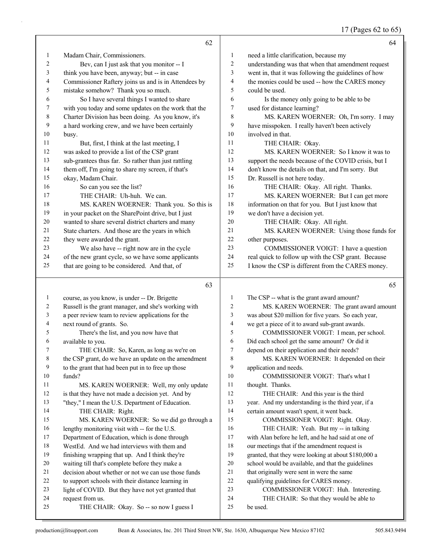## 17 (Pages 62 to 65)

|    | 62                                                   |                | 64                                                   |
|----|------------------------------------------------------|----------------|------------------------------------------------------|
| 1  | Madam Chair, Commissioners.                          | 1              | need a little clarification, because my              |
| 2  | Bev, can I just ask that you monitor -- I            | 2              | understanding was that when that amendment request   |
| 3  | think you have been, anyway; but -- in case          | 3              | went in, that it was following the guidelines of how |
| 4  | Commissioner Raftery joins us and is in Attendees by | $\overline{4}$ | the monies could be used -- how the CARES money      |
| 5  | mistake somehow? Thank you so much.                  | $\overline{5}$ | could be used.                                       |
| 6  | So I have several things I wanted to share           | 6              | Is the money only going to be able to be             |
| 7  | with you today and some updates on the work that the | 7              | used for distance learning?                          |
| 8  | Charter Division has been doing. As you know, it's   | 8              | MS. KAREN WOERNER: Oh, I'm sorry. I may              |
| 9  | a hard working crew, and we have been certainly      | 9              | have misspoken. I really haven't been actively       |
| 10 | busy.                                                | 10             | involved in that.                                    |
| 11 | But, first, I think at the last meeting, I           | 11             | THE CHAIR: Okay.                                     |
| 12 | was asked to provide a list of the CSP grant         | 12             | MS. KAREN WOERNER: So I know it was to               |
| 13 | sub-grantees thus far. So rather than just rattling  | 13             | support the needs because of the COVID crisis, but I |
| 14 | them off, I'm going to share my screen, if that's    | 14             | don't know the details on that, and I'm sorry. But   |
| 15 | okay, Madam Chair.                                   | 15             | Dr. Russell is not here today.                       |
| 16 | So can you see the list?                             | 16             | THE CHAIR: Okay. All right. Thanks.                  |
| 17 | THE CHAIR: Uh-huh. We can.                           | 17             | MS. KAREN WOERNER: But I can get more                |
| 18 | MS. KAREN WOERNER: Thank you. So this is             | 18             | information on that for you. But I just know that    |
| 19 | in your packet on the SharePoint drive, but I just   | 19             | we don't have a decision yet.                        |
| 20 | wanted to share several district charters and many   | 20             | THE CHAIR: Okay. All right.                          |
| 21 | State charters. And those are the years in which     | 21             | MS. KAREN WOERNER: Using those funds for             |
| 22 | they were awarded the grant.                         | 22             | other purposes.                                      |
| 23 | We also have -- right now are in the cycle           | 23             | COMMISSIONER VOIGT: I have a question                |
| 24 | of the new grant cycle, so we have some applicants   | 24             | real quick to follow up with the CSP grant. Because  |
| 25 | that are going to be considered. And that, of        | 25             | I know the CSP is different from the CARES money.    |

#### 

| 1  | course, as you know, is under -- Dr. Brigette        |                | The CSP -- what is the grant award amount?           |
|----|------------------------------------------------------|----------------|------------------------------------------------------|
| 2  | Russell is the grant manager, and she's working with | $\overline{c}$ | MS. KAREN WOERNER: The grant award amount            |
| 3  | a peer review team to review applications for the    | 3              | was about \$20 million for five years. So each year, |
| 4  | next round of grants. So.                            | $\overline{4}$ | we get a piece of it to award sub-grant awards.      |
| 5  | There's the list, and you now have that              | 5              | COMMISSIONER VOIGT: I mean, per school.              |
| 6  | available to you.                                    | 6              | Did each school get the same amount? Or did it       |
|    | THE CHAIR: So, Karen, as long as we're on            | 7              | depend on their application and their needs?         |
| 8  | the CSP grant, do we have an update on the amendment | 8              | MS. KAREN WOERNER: It depended on their              |
| 9  | to the grant that had been put in to free up those   | 9              | application and needs.                               |
| 10 | funds?                                               | 10             | COMMISSIONER VOIGT: That's what I                    |
| 11 | MS. KAREN WOERNER: Well, my only update              | 11             | thought. Thanks.                                     |
| 12 | is that they have not made a decision yet. And by    | 12             | THE CHAIR: And this year is the third                |
| 13 | "they," I mean the U.S. Department of Education.     | 13             | year. And my understanding is the third year, if a   |
| 14 | THE CHAIR: Right.                                    | 14             | certain amount wasn't spent, it went back.           |
| 15 | MS. KAREN WOERNER: So we did go through a            | 15             | COMMISSIONER VOIGT: Right. Okay.                     |
| 16 | lengthy monitoring visit with -- for the U.S.        | 16             | THE CHAIR: Yeah. But my -- in talking                |
| 17 | Department of Education, which is done through       | 17             | with Alan before he left, and he had said at one of  |
| 18 | WestEd. And we had interviews with them and          | 18             | our meetings that if the amendment request is        |
| 19 | finishing wrapping that up. And I think they're      | 19             | granted, that they were looking at about \$180,000 a |
| 20 | waiting till that's complete before they make a      | 20             | school would be available, and that the guidelines   |
| 21 | decision about whether or not we can use those funds | 21             | that originally were sent in were the same           |
| 22 | to support schools with their distance learning in   | 22             | qualifying guidelines for CARES money.               |
| 23 | light of COVID. But they have not yet granted that   | 23             | COMMISSIONER VOIGT: Huh. Interesting.                |
| 24 | request from us.                                     | 24             | THE CHAIR: So that they would be able to             |
| 25 | THE CHAIR: Okay. So -- so now I guess I              | 25             | be used.                                             |
|    |                                                      |                |                                                      |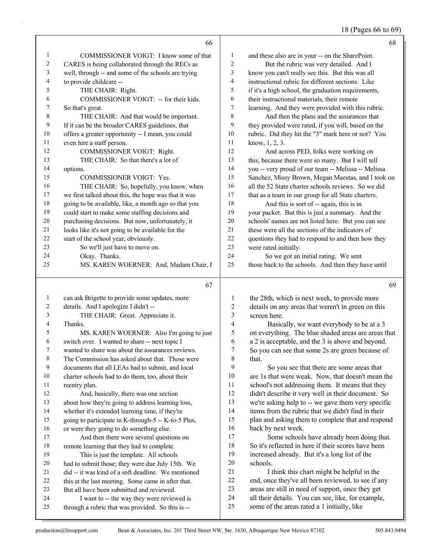# 18 (Pages 66 to 69)

|              | 66                                                                                                      |                | 68                                                               |
|--------------|---------------------------------------------------------------------------------------------------------|----------------|------------------------------------------------------------------|
| 1            | COMMISSIONER VOIGT: I know some of that                                                                 | $\mathbf{1}$   | and these also are in your -- on the SharePoint.                 |
| 2            | CARES is being collaborated through the RECs as                                                         | $\overline{c}$ | But the rubric was very detailed. And I                          |
| 3            | well, through -- and some of the schools are trying                                                     | 3              | know you can't really see this. But this was all                 |
| 4            | to provide childcare --                                                                                 | 4              | instructional rubric for different sections. Like                |
| 5            | THE CHAIR: Right.                                                                                       | 5              | if it's a high school, the graduation requirements,              |
| 6            | COMMISSIONER VOIGT: -- for their kids.                                                                  | 6              | their instructional materials, their remote                      |
| 7            | So that's great.                                                                                        | 7              | learning. And they were provided with this rubric.               |
| 8            | THE CHAIR: And that would be important.                                                                 | 8              | And then the plans and the assurances that                       |
| 9            | If it can be the broader CARES guidelines, that                                                         | 9              | they provided were rated, if you will, based on the              |
| 10           | offers a greater opportunity -- I mean, you could                                                       | $10\,$         | rubric. Did they hit the "3" mark here or not? You               |
| 11           | even hire a staff person.                                                                               | 11             | know, $1, 2, 3$ .                                                |
| 12           | COMMISSIONER VOIGT: Right.                                                                              | 12             | And across PED, folks were working on                            |
| 13           | THE CHAIR: So that there's a lot of                                                                     | 13             | this, because there were so many. But I will tell                |
| 14           | options.                                                                                                | 14             | you -- very proud of our team -- Melissa -- Melissa              |
| 15           | COMMISSIONER VOIGT: Yes.                                                                                | 15             | Sanchez, Missy Brown, Megan Maestas, and I took on               |
| 16           | THE CHAIR: So, hopefully, you know, when                                                                | 16             | all the 52 State charter schools reviews. So we did              |
| 17           | we first talked about this, the hope was that it was                                                    | 17             | that as a team in our group for all State charters.              |
| 18           | going to be available, like, a month ago so that you                                                    | 18             | And this is sort of -- again, this is in                         |
| 19           | could start to make some staffing decisions and                                                         | 19             | your packet. But this is just a summary. And the                 |
| $20\,$       | purchasing decisions. But now, unfortunately, it                                                        | $20\,$         | schools' names are not listed here. But you can see              |
| 21           | looks like it's not going to be available for the                                                       | 21             | these were all the sections of the indicators of                 |
| 22           | start of the school year, obviously.                                                                    | 22             | questions they had to respond to and then how they               |
| 23           | So we'll just have to move on.                                                                          | 23             | were rated initially.                                            |
| 24           | Okay. Thanks.                                                                                           | 24             | So we got an initial rating. We sent                             |
| 25           | MS. KAREN WOERNER: And, Madam Chair, I                                                                  | 25             | those back to the schools. And then they have until              |
|              |                                                                                                         |                |                                                                  |
|              | 67                                                                                                      |                | 69                                                               |
|              |                                                                                                         |                |                                                                  |
| $\mathbf{1}$ | can ask Brigette to provide some updates, more                                                          | 1              | the 28th, which is next week, to provide more                    |
| 2            | details. And I apologize I didn't --                                                                    | $\overline{c}$ | details on any areas that weren't in green on this               |
| 3            | THE CHAIR: Great. Appreciate it.                                                                        | 3              | screen here.                                                     |
| 4            | Thanks.                                                                                                 | 4              | Basically, we want everybody to be at a 3                        |
| 5            | MS. KAREN WOERNER: Also I'm going to just                                                               | 5              | on everything. The blue shaded areas are areas that              |
| 6            | switch over. I wanted to share -- next topic I                                                          | 6              | a 2 is acceptable, and the 3 is above and beyond.                |
| 7            | wanted to share was about the assurances reviews.                                                       | $\tau$         | So you can see that some 2s are green because of                 |
| 8            | The Commission has asked about that. Those were                                                         | 8<br>9         | that.                                                            |
| 9            | documents that all LEAs had to submit, and local                                                        |                | So you see that there are some areas that                        |
| 10           | charter schools had to do them, too, about their                                                        | 10<br>11       | are 1s that were weak. Now, that doesn't mean the                |
| 11           | reentry plan.                                                                                           |                | school's not addressing them. It means that they                 |
| 12           | And, basically, there was one section                                                                   | 12             | didn't describe it very well in their document. So               |
| 13<br>14     | about how they're going to address learning loss,                                                       | 13<br>14       | we're asking help to -- we gave them very specific               |
| 15           | whether it's extended learning time, if they're                                                         | 15             | items from the rubric that we didn't find in their               |
| 16           | going to participate in K-through-5 -- K-to-5 Plus,                                                     | 16             | plan and asking them to complete that and respond                |
| 17           | or were they going to do something else.                                                                | 17             | back by next week.<br>Some schools have already been doing that. |
| 18           | And then there were several questions on                                                                | 18             | So it's reflected in here if their scores have been              |
| 19           | remote learning that they had to complete.                                                              | 19             | increased already. But it's a long list of the                   |
| 20           | This is just the template. All schools                                                                  | 20             | schools.                                                         |
| 21           | had to submit those; they were due July 15th. We<br>did -- it was kind of a soft deadline. We mentioned | 21             | I think this chart might be helpful in the                       |
| 22           |                                                                                                         | $22\,$         | end, once they've all been reviewed, to see if any               |
| 23           | this at the last meeting. Some came in after that.<br>But all have been submitted and reviewed.         | 23             | areas are still in need of support, once they get                |
| 24           | I want to -- the way they were reviewed is                                                              | 24             | all their details. You can see, like, for example,               |
| 25           | through a rubric that was provided. So this is --                                                       | 25             | some of the areas rated a 1 initially, like                      |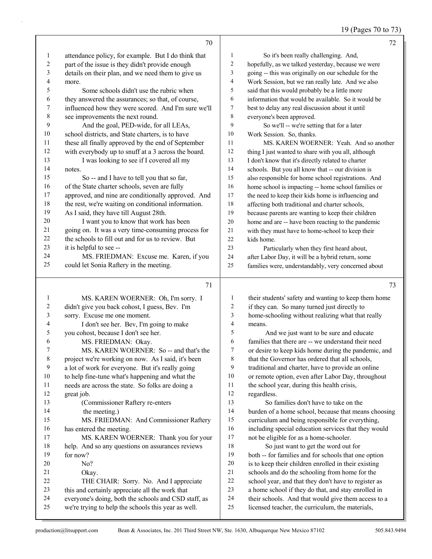19 (Pages 70 to 73)

|                  | 70                                                                                                          |                          | 72                                                                                                      |
|------------------|-------------------------------------------------------------------------------------------------------------|--------------------------|---------------------------------------------------------------------------------------------------------|
| $\mathbf{1}$     | attendance policy, for example. But I do think that                                                         | 1                        | So it's been really challenging. And,                                                                   |
| $\boldsymbol{2}$ | part of the issue is they didn't provide enough                                                             | 2                        | hopefully, as we talked yesterday, because we were                                                      |
| 3                | details on their plan, and we need them to give us                                                          | 3                        | going -- this was originally on our schedule for the                                                    |
| 4                | more.                                                                                                       | 4                        | Work Session, but we ran really late. And we also                                                       |
| 5                | Some schools didn't use the rubric when                                                                     | 5                        | said that this would probably be a little more                                                          |
| 6                | they answered the assurances; so that, of course,                                                           | 6                        | information that would be available. So it would be                                                     |
| 7                | influenced how they were scored. And I'm sure we'll                                                         | 7                        | best to delay any real discussion about it until                                                        |
| $\,$ $\,$        | see improvements the next round.                                                                            | $\,$ $\,$                | everyone's been approved.                                                                               |
| 9                | And the goal, PED-wide, for all LEAs,                                                                       | 9                        | So we'll -- we're setting that for a later                                                              |
| 10               | school districts, and State charters, is to have                                                            | 10                       | Work Session. So, thanks.                                                                               |
| 11               | these all finally approved by the end of September                                                          | 11                       | MS. KAREN WOERNER: Yeah. And so another                                                                 |
| 12               | with everybody up to snuff at a 3 across the board.                                                         | 12                       | thing I just wanted to share with you all, although                                                     |
| 13               | I was looking to see if I covered all my                                                                    | 13                       | I don't know that it's directly related to charter                                                      |
| 14               | notes.                                                                                                      | 14                       | schools. But you all know that -- our division is                                                       |
| 15               | So -- and I have to tell you that so far,                                                                   | 15                       | also responsible for home school registrations. And                                                     |
| 16               | of the State charter schools, seven are fully                                                               | 16                       | home school is impacting -- home school families or                                                     |
| 17               | approved, and nine are conditionally approved. And                                                          | 17                       | the need to keep their kids home is influencing and                                                     |
| 18               | the rest, we're waiting on conditional information.                                                         | 18                       | affecting both traditional and charter schools,                                                         |
| 19               | As I said, they have till August 28th.                                                                      | 19                       | because parents are wanting to keep their children                                                      |
| 20               | I want you to know that work has been                                                                       | $20\,$                   | home and are -- have been reacting to the pandemic                                                      |
| 21               | going on. It was a very time-consuming process for                                                          | 21                       | with they must have to home-school to keep their                                                        |
| 22               | the schools to fill out and for us to review. But                                                           | 22                       | kids home.                                                                                              |
| 23               | it is helpful to see --                                                                                     | 23                       | Particularly when they first heard about,                                                               |
| 24               | MS. FRIEDMAN: Excuse me. Karen, if you                                                                      | 24                       | after Labor Day, it will be a hybrid return, some                                                       |
| 25               | could let Sonia Raftery in the meeting.                                                                     | 25                       | families were, understandably, very concerned about                                                     |
|                  |                                                                                                             |                          |                                                                                                         |
|                  | 71                                                                                                          |                          | 73                                                                                                      |
| 1                | MS. KAREN WOERNER: Oh, I'm sorry. I                                                                         | 1                        | their students' safety and wanting to keep them home                                                    |
| 2                | didn't give you back cohost, I guess, Bev. I'm                                                              | 2                        | if they can. So many turned just directly to                                                            |
| 3                | sorry. Excuse me one moment.                                                                                | 3                        | home-schooling without realizing what that really                                                       |
| 4                | I don't see her. Bev, I'm going to make                                                                     | $\overline{\mathcal{A}}$ | means.                                                                                                  |
| 5                |                                                                                                             |                          |                                                                                                         |
|                  | you cohost, because I don't see her.                                                                        | 5                        | And we just want to be sure and educate                                                                 |
| 6                | MS. FRIEDMAN: Okay.                                                                                         | 6                        | families that there are -- we understand their need                                                     |
| $\boldsymbol{7}$ | MS. KAREN WOERNER: So -- and that's the                                                                     | 7                        | or desire to keep kids home during the pandemic, and                                                    |
| $\,$ 8 $\,$      | project we're working on now. As I said, it's been                                                          | 8                        | that the Governor has ordered that all schools,                                                         |
| 9                | a lot of work for everyone. But it's really going                                                           | 9                        | traditional and charter, have to provide an online                                                      |
| 10               | to help fine-tune what's happening and what the                                                             | 10                       | or remote option, even after Labor Day, throughout                                                      |
| 11               | needs are across the state. So folks are doing a                                                            | 11                       | the school year, during this health crisis,                                                             |
| 12               | great job.                                                                                                  | 12                       | regardless.                                                                                             |
| 13               | (Commissioner Raftery re-enters                                                                             | 13                       | So families don't have to take on the                                                                   |
| 14               | the meeting.)                                                                                               | 14                       | burden of a home school, because that means choosing                                                    |
| 15               | MS. FRIEDMAN: And Commissioner Raftery                                                                      | 15                       | curriculum and being responsible for everything,                                                        |
| 16               | has entered the meeting.                                                                                    | 16                       | including special education services that they would                                                    |
| 17               | MS. KAREN WOERNER: Thank you for your                                                                       | 17                       | not be eligible for as a home-schooler.                                                                 |
| 18               | help. And so any questions on assurances reviews                                                            | 18                       | So just want to get the word out for                                                                    |
| 19               | for now?                                                                                                    | 19                       | both -- for families and for schools that one option                                                    |
| 20               | No?                                                                                                         | $20\,$                   | is to keep their children enrolled in their existing                                                    |
| 21               | Okay.                                                                                                       | $21\,$                   | schools and do the schooling from home for the                                                          |
| 22               | THE CHAIR: Sorry. No. And I appreciate                                                                      | $22\,$                   | school year, and that they don't have to register as                                                    |
| 23               | this and certainly appreciate all the work that                                                             | 23                       | a home school if they do that, and stay enrolled in                                                     |
| 24<br>25         | everyone's doing, both the schools and CSD staff, as<br>we're trying to help the schools this year as well. | 24<br>25                 | their schools. And that would give them access to a<br>licensed teacher, the curriculum, the materials, |

J.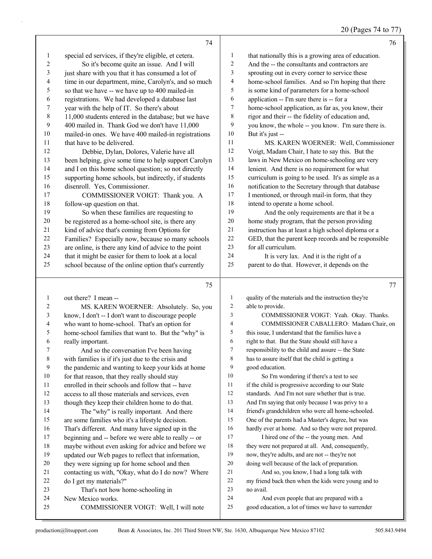## 20 (Pages 74 to 77)

|                | 74                                                                            |                | 76                                                                                              |
|----------------|-------------------------------------------------------------------------------|----------------|-------------------------------------------------------------------------------------------------|
| 1              | special ed services, if they're eligible, et cetera.                          | $\mathbf{1}$   | that nationally this is a growing area of education.                                            |
| 2              | So it's become quite an issue. And I will                                     | $\overline{c}$ | And the -- the consultants and contractors are                                                  |
| 3              | just share with you that it has consumed a lot of                             | 3              | sprouting out in every corner to service these                                                  |
| 4              | time in our department, mine, Carolyn's, and so much                          | 4              | home-school families. And so I'm hoping that there                                              |
| 5              | so that we have -- we have up to 400 mailed-in                                | 5              | is some kind of parameters for a home-school                                                    |
| 6              | registrations. We had developed a database last                               | 6              | application -- I'm sure there is -- for a                                                       |
| $\overline{7}$ | year with the help of IT. So there's about                                    | 7              | home-school application, as far as, you know, their                                             |
| $\,$ $\,$      | 11,000 students entered in the database; but we have                          | 8              | rigor and their -- the fidelity of education and,                                               |
| 9              | 400 mailed in. Thank God we don't have 11,000                                 | 9              | you know, the whole -- you know. I'm sure there is.                                             |
| $10\,$         | mailed-in ones. We have 400 mailed-in registrations                           | $10\,$         | But it's just --                                                                                |
| 11             | that have to be delivered.                                                    | 11             | MS. KAREN WOERNER: Well, Commissioner                                                           |
| 12             | Debbie, Dylan, Dolores, Valerie have all                                      | 12             | Voigt, Madam Chair, I hate to say this. But the                                                 |
| 13             | been helping, give some time to help support Carolyn                          | 13             | laws in New Mexico on home-schooling are very                                                   |
| 14             | and I on this home school question; so not directly                           | 14             | lenient. And there is no requirement for what                                                   |
| 15             | supporting home schools, but indirectly, if students                          | 15             | curriculum is going to be used. It's as simple as a                                             |
| 16             | disenroll. Yes, Commissioner.                                                 | 16             | notification to the Secretary through that database                                             |
| 17             | COMMISSIONER VOIGT: Thank you. A                                              | 17             | I mentioned, or through mail-in form, that they                                                 |
| 18             | follow-up question on that.                                                   | $18\,$         | intend to operate a home school.                                                                |
| 19             | So when these families are requesting to                                      | 19             | And the only requirements are that it be a                                                      |
| $20\,$         | be registered as a home-school site, is there any                             | 20             | home study program, that the person providing                                                   |
| 21             | kind of advice that's coming from Options for                                 | 21             | instruction has at least a high school diploma or a                                             |
| 22             | Families? Especially now, because so many schools                             | $22\,$         | GED, that the parent keep records and be responsible                                            |
| 23             | are online, is there any kind of advice to the point                          | 23             | for all curriculum.                                                                             |
| 24             | that it might be easier for them to look at a local                           | 24             | It is very lax. And it is the right of a                                                        |
| 25             | school because of the online option that's currently                          | 25             | parent to do that. However, it depends on the                                                   |
|                | 75                                                                            |                | 77                                                                                              |
| $\mathbf{1}$   | out there? I mean --                                                          | $\mathbf{1}$   | quality of the materials and the instruction they're                                            |
| 2              | MS. KAREN WOERNER: Absolutely. So, you                                        | $\overline{c}$ | able to provide.                                                                                |
| $\mathfrak{Z}$ | know, I don't -- I don't want to discourage people                            | 3              | COMMISSIONER VOIGT: Yeah. Okay. Thanks.                                                         |
| 4              | who want to home-school. That's an option for                                 | 4              | COMMISSIONER CABALLERO: Madam Chair, on                                                         |
| 5              | home-school families that want to. But the "why" is                           | 5              | this issue, I understand that the families have a                                               |
| 6              | really important.                                                             | 6              | right to that. But the State should still have a                                                |
| 7              | And so the conversation I've been having                                      | 7              | responsibility to the child and assure -- the State                                             |
| 8              | with families is if it's just due to the crisis and                           | 8              | has to assure itself that the child is getting a                                                |
| 9              | the pandemic and wanting to keep your kids at home                            | 9              | good education.                                                                                 |
| 10             | for that reason, that they really should stay                                 | 10<br>11       | So I'm wondering if there's a test to see<br>if the child is progressive according to our State |
| 11             | enrolled in their schools and follow that -- have                             |                |                                                                                                 |
| 12             |                                                                               |                |                                                                                                 |
|                | access to all those materials and services, even                              | 12             | standards. And I'm not sure whether that is true.                                               |
| 13             | though they keep their children home to do that.                              | 13             | And I'm saying that only because I was privy to a                                               |
| 14             | The "why" is really important. And there                                      | 14             | friend's grandchildren who were all home-schooled.                                              |
| 15             | are some families who it's a lifestyle decision.                              | 15             | One of the parents had a Master's degree, but was                                               |
| 16             | That's different. And many have signed up in the                              | 16             | hardly ever at home. And so they were not prepared.                                             |
| 17             | beginning and -- before we were able to really -- or                          | 17             | I hired one of the -- the young men. And                                                        |
| $18\,$         | maybe without even asking for advice and before we                            | 18<br>19       | they were not prepared at all. And, consequently,                                               |
| 19<br>20       | updated our Web pages to reflect that information,                            | 20             | now, they're adults, and are not -- they're not                                                 |
| 21             | they were signing up for home school and then                                 | $21\,$         | doing well because of the lack of preparation.<br>And so, you know, I had a long talk with      |
| 22             | contacting us with, "Okay, what do I do now? Where<br>do I get my materials?" | 22             | my friend back then when the kids were young and to                                             |
| 23             | That's not how home-schooling in                                              | 23             | no avail.                                                                                       |
| 24             | New Mexico works.                                                             | 24             | And even people that are prepared with a                                                        |
| 25             | COMMISSIONER VOIGT: Well, I will note                                         | 25             | good education, a lot of times we have to surrender                                             |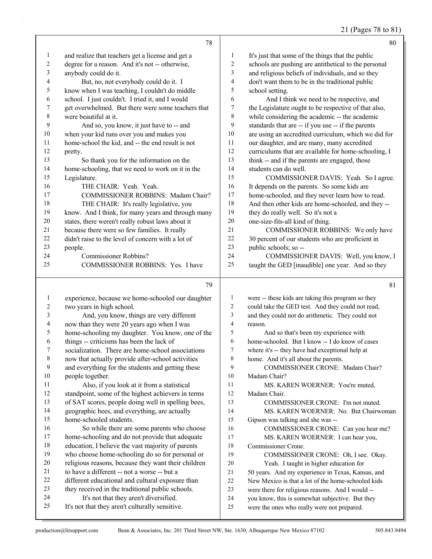#### 21 (Pages 78 to 81)

|              | 78                                                 |    | 80                                                   |
|--------------|----------------------------------------------------|----|------------------------------------------------------|
| $\mathbf{1}$ | and realize that teachers get a license and get a  | 1  | It's just that some of the things that the public    |
| 2            | degree for a reason. And it's not -- otherwise,    | 2  | schools are pushing are antithetical to the personal |
| 3            | anybody could do it.                               | 3  | and religious beliefs of individuals, and so they    |
| 4            | But, no, not everybody could do it. I              | 4  | don't want them to be in the traditional public      |
| 5            | know when I was teaching, I couldn't do middle     | 5  | school setting.                                      |
| 6            | school. I just couldn't. I tried it, and I would   | 6  | And I think we need to be respective, and            |
| 7            | get overwhelmed. But there were some teachers that | 7  | the Legislature ought to be respective of that also, |
| 8            | were beautiful at it.                              | 8  | while considering the academic -- the academic       |
| 9            | And so, you know, it just have to -- and           | 9  | standards that are -- if you use -- if the parents   |
| 10           | when your kid runs over you and makes you          | 10 | are using an accredited curriculum, which we did for |
| 11           | home-school the kid, and -- the end result is not  | 11 | our daughter, and are many, many accredited          |
| 12           | pretty.                                            | 12 | curriculums that are available for home-schooling, I |
| 13           | So thank you for the information on the            | 13 | think -- and if the parents are engaged, those       |
| 14           | home-schooling, that we need to work on it in the  | 14 | students can do well.                                |
| 15           | Legislature.                                       | 15 | COMMISSIONER DAVIS: Yeah. So I agree.                |
| 16           | THE CHAIR: Yeah. Yeah.                             | 16 | It depends on the parents. So some kids are          |
| 17           | COMMISSIONER ROBBINS: Madam Chair?                 | 17 | home-schooled, and they never learn how to read.     |
| 18           | THE CHAIR: It's really legislative, you            | 18 | And then other kids are home-schooled, and they --   |
| 19           | know. And I think, for many years and through many | 19 | they do really well. So it's not a                   |
| 20           | states, there weren't really robust laws about it  | 20 | one-size-fits-all kind of thing.                     |
| 21           | because there were so few families. It really      | 21 | COMMISSIONER ROBBINS: We only have                   |
| 22           | didn't raise to the level of concern with a lot of | 22 | 30 percent of our students who are proficient in     |
| 23           | people.                                            | 23 | public schools; so --                                |
| 24           | Commissioner Robbins?                              | 24 | COMMISSIONER DAVIS: Well, you know, I                |
| 25           | COMMISSIONER ROBBINS: Yes. I have                  | 25 | taught the GED [inaudible] one year. And so they     |
|              | 79                                                 |    | 81                                                   |
| 1            | experience, because we home-schooled our daughter  | 1  | were -- these kids are taking this program so they   |

| 2  | two years in high school.                           | 2  | could take the GED test. And they could not read,  |
|----|-----------------------------------------------------|----|----------------------------------------------------|
| 3  | And, you know, things are very different            | 3  | and they could not do arithmetic. They could not   |
| 4  | now than they were 20 years ago when I was          | 4  | reason.                                            |
| 5  | home-schooling my daughter. You know, one of the    | 5  | And so that's been my experience with              |
| 6  | things -- criticisms has been the lack of           | 6  | home-schooled. But I know -- I do know of cases    |
| 7  | socialization. There are home-school associations   | 7  | where it's -- they have had exceptional help at    |
| 8  | now that actually provide after-school activities   | 8  | home. And it's all about the parents.              |
| 9  | and everything for the students and getting these   | 9  | COMMISSIONER CRONE: Madam Chair?                   |
| 10 | people together.                                    | 10 | Madam Chair?                                       |
| 11 | Also, if you look at it from a statistical          | 11 | MS. KAREN WOERNER: You're muted,                   |
| 12 | standpoint, some of the highest achievers in terms  | 12 | Madam Chair.                                       |
| 13 | of SAT scores, people doing well in spelling bees,  | 13 | COMMISSIONER CRONE: I'm not muted.                 |
| 14 | geographic bees, and everything, are actually       | 14 | MS. KAREN WOERNER: No. But Chairwoman              |
| 15 | home-schooled students.                             | 15 | Gipson was talking and she was --                  |
| 16 | So while there are some parents who choose          | 16 | COMMISSIONER CRONE: Can you hear me?               |
| 17 | home-schooling and do not provide that adequate     | 17 | MS. KAREN WOERNER: I can hear you,                 |
| 18 | education, I believe the vast majority of parents   | 18 | Commissioner Crone.                                |
| 19 | who choose home-schooling do so for personal or     | 19 | COMMISSIONER CRONE: Oh, I see. Okay.               |
| 20 | religious reasons, because they want their children | 20 | Yeah. I taught in higher education for             |
| 21 | to have a different -- not a worse -- but a         | 21 | 50 years. And my experience in Texas, Kansas, and  |
| 22 | different educational and cultural exposure than    | 22 | New Mexico is that a lot of the home-schooled kids |
| 23 | they received in the traditional public schools.    | 23 | were there for religious reasons. And I would --   |
| 24 | It's not that they aren't diversified.              | 24 | you know, this is somewhat subjective. But they    |
| 25 | It's not that they aren't culturally sensitive.     | 25 | were the ones who really were not prepared.        |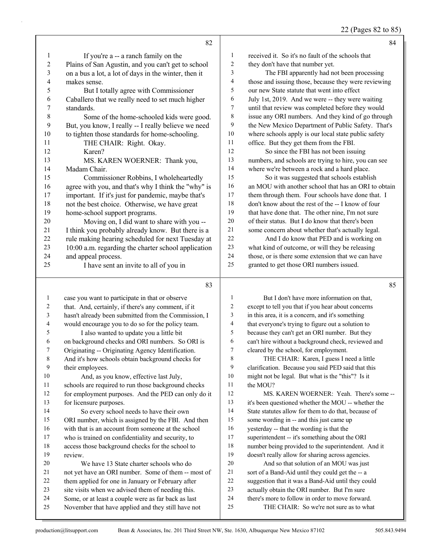22 (Pages 82 to 85)

|                         | 82                                                                                                       |                          | 84                                                                                                      |
|-------------------------|----------------------------------------------------------------------------------------------------------|--------------------------|---------------------------------------------------------------------------------------------------------|
| $\mathbf{1}$            | If you're a -- a ranch family on the                                                                     | 1                        | received it. So it's no fault of the schools that                                                       |
| $\overline{\mathbf{c}}$ | Plains of San Agustin, and you can't get to school                                                       | $\overline{c}$           | they don't have that number yet.                                                                        |
| $\mathfrak{Z}$          | on a bus a lot, a lot of days in the winter, then it                                                     | 3                        | The FBI apparently had not been processing                                                              |
| 4                       | makes sense.                                                                                             | $\overline{\mathcal{A}}$ | those and issuing those, because they were reviewing                                                    |
| 5                       | But I totally agree with Commissioner                                                                    | 5                        | our new State statute that went into effect                                                             |
| 6                       | Caballero that we really need to set much higher                                                         | 6                        | July 1st, 2019. And we were -- they were waiting                                                        |
| 7                       | standards.                                                                                               | 7                        | until that review was completed before they would                                                       |
| 8                       | Some of the home-schooled kids were good.                                                                | $\,$ $\,$                | issue any ORI numbers. And they kind of go through                                                      |
| 9                       | But, you know, I really -- I really believe we need                                                      | 9                        | the New Mexico Department of Public Safety. That's                                                      |
| 10                      | to tighten those standards for home-schooling.                                                           | $10\,$                   | where schools apply is our local state public safety                                                    |
| 11                      | THE CHAIR: Right. Okay.                                                                                  | 11                       | office. But they get them from the FBI.                                                                 |
| 12                      | Karen?                                                                                                   | 12                       | So since the FBI has not been issuing                                                                   |
| 13                      | MS. KAREN WOERNER: Thank you,                                                                            | 13                       | numbers, and schools are trying to hire, you can see                                                    |
| 14                      | Madam Chair.                                                                                             | 14                       | where we're between a rock and a hard place.                                                            |
| 15                      | Commissioner Robbins, I wholeheartedly                                                                   | 15                       | So it was suggested that schools establish                                                              |
| 16                      | agree with you, and that's why I think the "why" is                                                      | 16                       | an MOU with another school that has an ORI to obtain                                                    |
| 17                      | important. If it's just for pandemic, maybe that's                                                       | 17                       | them through them. Four schools have done that. I                                                       |
| 18                      | not the best choice. Otherwise, we have great                                                            | 18                       | don't know about the rest of the -- I know of four                                                      |
| 19                      | home-school support programs.                                                                            | 19                       | that have done that. The other nine, I'm not sure                                                       |
| 20                      | Moving on, I did want to share with you --                                                               | 20                       | of their status. But I do know that there's been                                                        |
| 21                      | I think you probably already know. But there is a                                                        | $21\,$                   | some concern about whether that's actually legal.                                                       |
| 22                      | rule making hearing scheduled for next Tuesday at                                                        | 22                       | And I do know that PED and is working on                                                                |
| 23                      | 10:00 a.m. regarding the charter school application                                                      | 23                       | what kind of outcome, or will they be releasing                                                         |
| 24                      | and appeal process.                                                                                      | 24                       | those, or is there some extension that we can have                                                      |
| 25                      | I have sent an invite to all of you in                                                                   | 25                       | granted to get those ORI numbers issued.                                                                |
|                         |                                                                                                          |                          |                                                                                                         |
|                         | 83                                                                                                       |                          | 85                                                                                                      |
|                         |                                                                                                          |                          |                                                                                                         |
| $\mathbf{1}$            | case you want to participate in that or observe                                                          | $\mathbf{1}$             | But I don't have more information on that,                                                              |
| $\overline{c}$          | that. And, certainly, if there's any comment, if it                                                      | $\overline{c}$<br>3      | except to tell you that if you hear about concerns                                                      |
| $\mathfrak{Z}$          | hasn't already been submitted from the Commission, I                                                     | $\overline{\mathcal{A}}$ | in this area, it is a concern, and it's something                                                       |
| 4<br>5                  | would encourage you to do so for the policy team.                                                        | 5                        | that everyone's trying to figure out a solution to                                                      |
| 6                       | I also wanted to update you a little bit                                                                 | 6                        | because they can't get an ORI number. But they                                                          |
| 7                       | on background checks and ORI numbers. So ORI is                                                          | $\tau$                   | can't hire without a background check, reviewed and                                                     |
| 8                       | Originating -- Originating Agency Identification.                                                        | 8                        | cleared by the school, for employment.                                                                  |
| 9                       | And it's how schools obtain background checks for                                                        | 9                        | THE CHAIR: Karen, I guess I need a little                                                               |
| $10\,$                  | their employees.<br>And, as you know, effective last July,                                               | 10                       | clarification. Because you said PED said that this<br>might not be legal. But what is the "this"? Is it |
| 11                      |                                                                                                          | 11                       | the MOU?                                                                                                |
| 12                      | schools are required to run those background checks                                                      | 12                       | MS. KAREN WOERNER: Yeah. There's some --                                                                |
| 13                      | for employment purposes. And the PED can only do it<br>for licensure purposes.                           | 13                       | it's been questioned whether the MOU -- whether the                                                     |
| 14                      | So every school needs to have their own                                                                  | 14                       | State statutes allow for them to do that, because of                                                    |
| 15                      |                                                                                                          | 15                       | some wording in -- and this just came up                                                                |
| 16                      | ORI number, which is assigned by the FBI. And then<br>with that is an account from someone at the school | 16                       | yesterday -- that the wording is that the                                                               |
| 17                      | who is trained on confidentiality and security, to                                                       | $17$                     | superintendent -- it's something about the ORI                                                          |
| 18                      | access those background checks for the school to                                                         | 18                       | number being provided to the superintendent. And it                                                     |
| 19                      | review.                                                                                                  | 19                       | doesn't really allow for sharing across agencies.                                                       |
| 20                      | We have 13 State charter schools who do                                                                  | $20\,$                   | And so that solution of an MOU was just                                                                 |
| 21                      | not yet have an ORI number. Some of them -- most of                                                      | 21                       | sort of a Band-Aid until they could get the -- a                                                        |
| 22                      | them applied for one in January or February after                                                        | $22\,$                   | suggestion that it was a Band-Aid until they could                                                      |
| 23                      | site visits when we advised them of needing this.                                                        | 23<br>24                 | actually obtain the ORI number. But I'm sure                                                            |

November that have applied and they still have not

24 there's more to follow in order to move forward.<br>25 THE CHAIR: So we're not sure as to what THE CHAIR: So we're not sure as to what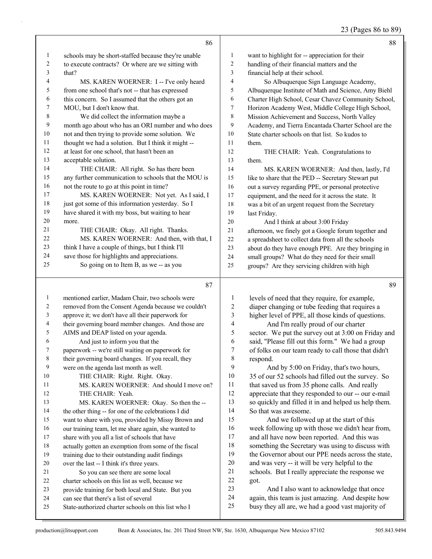23 (Pages 86 to 89)

|                |                                                      |                          | 25 (1 ages ou to 65                                  |
|----------------|------------------------------------------------------|--------------------------|------------------------------------------------------|
|                | 86                                                   |                          | 88                                                   |
| $\mathbf{1}$   | schools may be short-staffed because they're unable  | $\mathbf{1}$             | want to highlight for -- appreciation for their      |
| $\overline{c}$ | to execute contracts? Or where are we sitting with   | 2                        | handling of their financial matters and the          |
| $\mathfrak{Z}$ | that?                                                | 3                        | financial help at their school.                      |
| 4              | MS. KAREN WOERNER: I -- I've only heard              | $\overline{\mathcal{A}}$ | So Albuquerque Sign Language Academy,                |
| 5              | from one school that's not -- that has expressed     | 5                        | Albuquerque Institute of Math and Science, Amy Biehl |
| 6              | this concern. So I assumed that the others got an    | 6                        | Charter High School, Cesar Chavez Community School,  |
| 7              | MOU, but I don't know that.                          | $\tau$                   | Horizon Academy West, Middle College High School,    |
| $\,$ $\,$      | We did collect the information maybe a               | 8                        | Mission Achievement and Success, North Valley        |
| 9              | month ago about who has an ORI number and who does   | 9                        | Academy, and Tierra Encantada Charter School are the |
| $10\,$         | not and then trying to provide some solution. We     | 10                       | State charter schools on that list. So kudos to      |
| 11             | thought we had a solution. But I think it might --   | 11                       | them.                                                |
| $12\,$         | at least for one school, that hasn't been an         | 12                       | THE CHAIR: Yeah. Congratulations to                  |
| 13             | acceptable solution.                                 | 13                       | them.                                                |
| 14             | THE CHAIR: All right. So has there been              | 14                       | MS. KAREN WOERNER: And then, lastly, I'd             |
| 15             | any further communication to schools that the MOU is | 15                       | like to share that the PED -- Secretary Stewart put  |
| 16             | not the route to go at this point in time?           | 16                       | out a survey regarding PPE, or personal protective   |
| 17             | MS. KAREN WOERNER: Not yet. As I said, I             | 17                       | equipment, and the need for it across the state. It  |
| $18\,$         | just got some of this information yesterday. So I    | $18\,$                   | was a bit of an urgent request from the Secretary    |
| 19             | have shared it with my boss, but waiting to hear     | 19                       | last Friday.                                         |
| 20             | more.                                                | $20\,$                   | And I think at about 3:00 Friday                     |
| 21             | THE CHAIR: Okay. All right. Thanks.                  | 21                       | afternoon, we finely got a Google forum together and |
| 22             | MS. KAREN WOERNER: And then, with that, I            | $22\,$                   | a spreadsheet to collect data from all the schools   |
| 23             | think I have a couple of things, but I think I'll    | 23                       | about do they have enough PPE. Are they bringing in  |
| 24             | save those for highlights and appreciations.         | 24                       | small groups? What do they need for their small      |
| 25             | So going on to Item B, as we -- as you               | 25                       | groups? Are they servicing children with high        |
|                | 87                                                   |                          | 89                                                   |
| $\mathbf{1}$   | mentioned earlier, Madam Chair, two schools were     | 1                        | levels of need that they require, for example,       |
| $\sqrt{2}$     | removed from the Consent Agenda because we couldn't  | $\overline{c}$           | diaper changing or tube feeding that requires a      |
| 3              | approve it; we don't have all their paperwork for    | 3                        | higher level of PPE, all those kinds of questions.   |
| 4              | their governing board member changes. And those are  | $\overline{\mathcal{L}}$ | And I'm really proud of our charter                  |
| 5              | AIMS and DEAP listed on your agenda.                 | 5                        | sector. We put the survey out at 3:00 on Friday and  |
| 6              | And just to inform you that the                      | 6                        | said, "Please fill out this form." We had a group    |
| 7              | paperwork -- we're still waiting on paperwork for    | 7                        | of folks on our team ready to call those that didn't |
| 8              | their governing board changes. If you recall, they   | 8                        | respond.                                             |
| 9              | were on the agenda last month as well.               | 9                        | And by 5:00 on Friday, that's two hours,             |
| 10             | THE CHAIR: Right. Right. Okay.                       | 10                       | 35 of our 52 schools had filled out the survey. So   |
| 11             | MS. KAREN WOERNER: And should I move on?             | 11                       | that saved us from 35 phone calls. And really        |
| 12             | THE CHAIR: Yeah.                                     | 12                       | appreciate that they responded to our -- our e-mail  |
| 13             | MS. KAREN WOERNER: Okay. So then the --              | 13                       | so quickly and filled it in and helped us help them. |
| 14             | the other thing -- for one of the celebrations I did | 14                       | So that was awesome.                                 |
| 15             | want to share with you, provided by Missy Brown and  | 15                       | And we followed up at the start of this              |
| 16             | our training team, let me share again, she wanted to | 16                       | week following up with those we didn't hear from,    |
| 17             | share with you all a list of schools that have       | 17                       | and all have now been reported. And this was         |
| 18             | actually gotten an exemption from some of the fiscal | 18                       | something the Secretary was using to discuss with    |

- training due to their outstanding audit findings
- over the last -- I think it's three years.
- 21 So you can see there are some local
- 22 charter schools on this list as well, because we<br>23 provide training for both local and State. But y
- provide training for both local and State. But you
- can see that there's a list of several
- State-authorized charter schools on this list who I

production@litsupport.com Bean & Associates, Inc. 201 Third Street NW, Ste. 1630, Albuquerque New Mexico 87102 505.843.9494

 the Governor about our PPE needs across the state, and was very -- it will be very helpful to the schools. But I really appreciate the response we

23 And I also want to acknowledge that once again, this team is just amazing. And despite how busy they all are, we had a good vast majority of

got.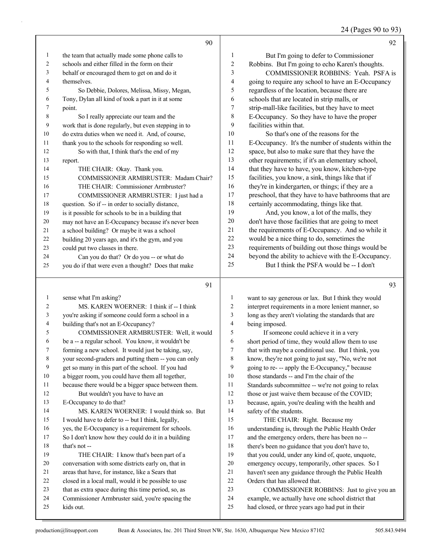24 (Pages 90 to 93)

|    | 90                                                   |              | 92                                                   |
|----|------------------------------------------------------|--------------|------------------------------------------------------|
| 1  | the team that actually made some phone calls to      | $\mathbf{1}$ | But I'm going to defer to Commissioner               |
| 2  | schools and either filled in the form on their       | 2            | Robbins. But I'm going to echo Karen's thoughts.     |
| 3  | behalf or encouraged them to get on and do it        | 3            | <b>COMMISSIONER ROBBINS: Yeah. PSFA is</b>           |
| 4  | themselves.                                          | 4            | going to require any school to have an E-Occupancy   |
| 5  | So Debbie, Dolores, Melissa, Missy, Megan,           | 5            | regardless of the location, because there are        |
| 6  | Tony, Dylan all kind of took a part in it at some    | 6            | schools that are located in strip malls, or          |
| 7  | point.                                               | 7            | strip-mall-like facilities, but they have to meet    |
| 8  | So I really appreciate our team and the              | 8            | E-Occupancy. So they have to have the proper         |
| 9  | work that is done regularly, but even stepping in to | 9            | facilities within that.                              |
| 10 | do extra duties when we need it. And, of course,     | 10           | So that's one of the reasons for the                 |
| 11 | thank you to the schools for responding so well.     | 11           | E-Occupancy. It's the number of students within the  |
| 12 | So with that, I think that's the end of my           | 12           | space, but also to make sure that they have the      |
| 13 | report.                                              | 13           | other requirements; if it's an elementary school,    |
| 14 | THE CHAIR: Okay. Thank you.                          | 14           | that they have to have, you know, kitchen-type       |
| 15 | COMMISSIONER ARMBRUSTER: Madam Chair?                | 15           | facilities, you know, a sink, things like that if    |
| 16 | THE CHAIR: Commissioner Armbruster?                  | 16           | they're in kindergarten, or things; if they are a    |
| 17 | COMMISSIONER ARMBRUSTER: I just had a                | 17           | preschool, that they have to have bathrooms that are |
| 18 | question. So if -- in order to socially distance,    | 18           | certainly accommodating, things like that.           |
| 19 | is it possible for schools to be in a building that  | 19           | And, you know, a lot of the malls, they              |
| 20 | may not have an E-Occupancy because it's never been  | 20           | don't have those facilities that are going to meet   |
| 21 | a school building? Or maybe it was a school          | 21           | the requirements of E-Occupancy. And so while it     |
| 22 | building 20 years ago, and it's the gym, and you     | 22           | would be a nice thing to do, sometimes the           |
| 23 | could put two classes in there.                      | 23           | requirements of building out those things would be   |
| 24 | Can you do that? Or do you -- or what do             | 24           | beyond the ability to achieve with the E-Occupancy.  |
| 25 | you do if that were even a thought? Does that make   | 25           | But I think the PSFA would be -- I don't             |
|    | 91                                                   |              | 93                                                   |

#### 

| $\mathbf{1}$   | sense what I'm asking?                               |  |
|----------------|------------------------------------------------------|--|
| $\overline{c}$ | MS. KAREN WOERNER: I think if -- I think             |  |
| 3              | you're asking if someone could form a school in a    |  |
| $\overline{4}$ | building that's not an E-Occupancy?                  |  |
| 5              | COMMISSIONER ARMBRUSTER: Well, it would              |  |
| 6              | be a -- a regular school. You know, it wouldn't be   |  |
| 7              | forming a new school. It would just be taking, say,  |  |
| 8              | your second-graders and putting them -- you can only |  |
| 9              | get so many in this part of the school. If you had   |  |
| 10             | a bigger room, you could have them all together,     |  |
| 11             | because there would be a bigger space between them.  |  |
| 12             | But wouldn't you have to have an                     |  |
| 13             | E-Occupancy to do that?                              |  |
| 14             | MS. KAREN WOERNER: I would think so. But             |  |
| 15             | I would have to defer to -- but I think, legally,    |  |
| 16             | yes, the E-Occupancy is a requirement for schools.   |  |
| 17             | So I don't know how they could do it in a building   |  |
| 18             | that's not-                                          |  |
| 19             | THE CHAIR: I know that's been part of a              |  |
| 20             | conversation with some districts early on, that in   |  |
| 21             | areas that have, for instance, like a Sears that     |  |
| 22             | closed in a local mall, would it be possible to use  |  |
| 23             | that as extra space during this time period, so, as  |  |
| 24             | Commissioner Armbruster said, you're spacing the     |  |
| 25             | kids out.                                            |  |
|                |                                                      |  |

| 1              | want to say generous or lax. But I think they would  |
|----------------|------------------------------------------------------|
| $\overline{2}$ | interpret requirements in a more lenient manner, so  |
| 3              | long as they aren't violating the standards that are |
| $\overline{4}$ | being imposed.                                       |
| 5              | If someone could achieve it in a very                |
| 6              | short period of time, they would allow them to use   |
| 7              | that with maybe a conditional use. But I think, you  |
| 8              | know, they're not going to just say, "No, we're not  |
| 9              | going to re- -- apply the E-Occupancy," because      |
| 10             | those standards -- and I'm the chair of the          |
| 11             | Standards subcommittee -- we're not going to relax   |
| 12             | those or just waive them because of the COVID;       |
| 13             | because, again, you're dealing with the health and   |
| 14             | safety of the students.                              |
| 15             | THE CHAIR: Right. Because my                         |
| 16             | understanding is, through the Public Health Order    |
| 17             | and the emergency orders, there has been no --       |
| 18             | there's been no guidance that you don't have to,     |
| 19             | that you could, under any kind of, quote, unquote,   |
| 20             | emergency occupy, temporarily, other spaces. So I    |
|                |                                                      |

haven't seen any guidance through the Public Health

22 Orders that has allowed that.<br>23 COMMISSIONER RC

COMMISSIONER ROBBINS: Just to give you an

24 example, we actually have one school district that<br>25 had closed, or three vears ago had put in their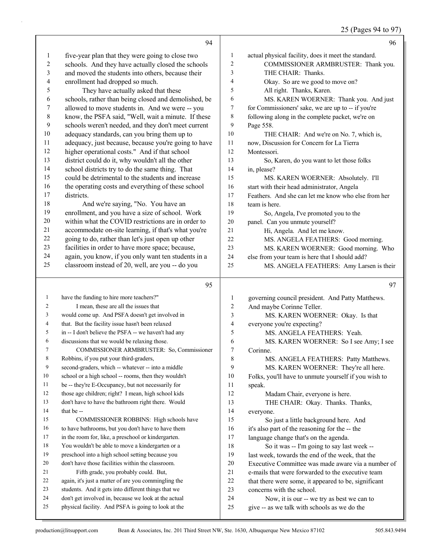## 25 (Pages 94 to 97)

|                | 94                                                                                                          |                | 96                                                                                         |
|----------------|-------------------------------------------------------------------------------------------------------------|----------------|--------------------------------------------------------------------------------------------|
| 1              | five-year plan that they were going to close two                                                            | $\mathbf{1}$   | actual physical facility, does it meet the standard.                                       |
| $\mathbf{2}$   | schools. And they have actually closed the schools                                                          | $\overline{2}$ | COMMISSIONER ARMBRUSTER: Thank you.                                                        |
| 3              | and moved the students into others, because their                                                           | 3              | THE CHAIR: Thanks.                                                                         |
| 4              | enrollment had dropped so much.                                                                             | $\overline{4}$ | Okay. So are we good to move on?                                                           |
| 5              | They have actually asked that these                                                                         | 5              | All right. Thanks, Karen.                                                                  |
| 6              | schools, rather than being closed and demolished, be                                                        | 6              | MS. KAREN WOERNER: Thank you. And just                                                     |
| 7              | allowed to move students in. And we were -- you                                                             | $\tau$         | for Commissioners' sake, we are up to -- if you're                                         |
| $\,8\,$        | know, the PSFA said, "Well, wait a minute. If these                                                         | $\,8\,$        | following along in the complete packet, we're on                                           |
| 9              | schools weren't needed, and they don't meet current                                                         | 9              | Page 558.                                                                                  |
| 10             | adequacy standards, can you bring them up to                                                                | 10             | THE CHAIR: And we're on No. 7, which is,                                                   |
| 11             | adequacy, just because, because you're going to have                                                        | 11             | now, Discussion for Concern for La Tierra                                                  |
| 12             | higher operational costs." And if that school                                                               | 12             | Montessori.                                                                                |
| 13             | district could do it, why wouldn't all the other                                                            | 13             | So, Karen, do you want to let those folks                                                  |
| 14             | school districts try to do the same thing. That                                                             | 14             | in, please?                                                                                |
| 15             | could be detrimental to the students and increase                                                           | 15             | MS. KAREN WOERNER: Absolutely. I'll                                                        |
| 16             | the operating costs and everything of these school                                                          | 16             | start with their head administrator, Angela                                                |
| 17             | districts.                                                                                                  | 17             | Feathers. And she can let me know who else from her                                        |
| $18\,$         | And we're saying, "No. You have an                                                                          | 18             | team is here.                                                                              |
| 19             | enrollment, and you have a size of school. Work                                                             | 19             | So, Angela, I've promoted you to the                                                       |
| 20             | within what the COVID restrictions are in order to                                                          | $20\,$         | panel. Can you unmute yourself?                                                            |
| 21             | accommodate on-site learning, if that's what you're                                                         | 21             | Hi, Angela. And let me know.                                                               |
| $22\,$         | going to do, rather than let's just open up other                                                           | 22             | MS. ANGELA FEATHERS: Good morning.                                                         |
| 23             | facilities in order to have more space; because,                                                            | 23             | MS. KAREN WOERNER: Good morning. Who                                                       |
| 24             | again, you know, if you only want ten students in a                                                         | 24             | else from your team is here that I should add?                                             |
| 25             | classroom instead of 20, well, are you -- do you                                                            | 25             | MS. ANGELA FEATHERS: Amy Larsen is their                                                   |
|                |                                                                                                             |                |                                                                                            |
|                |                                                                                                             |                |                                                                                            |
|                | 95                                                                                                          |                | 97                                                                                         |
|                |                                                                                                             |                |                                                                                            |
| $\mathbf{1}$   | have the funding to hire more teachers?"                                                                    | 1              | governing council president. And Patty Matthews.                                           |
| $\overline{c}$ | I mean, these are all the issues that                                                                       | $\overline{c}$ | And maybe Corinne Teller.                                                                  |
| 3              | would come up. And PSFA doesn't get involved in                                                             | 3              | MS. KAREN WOERNER: Okay. Is that                                                           |
| $\overline{4}$ | that. But the facility issue hasn't been relaxed                                                            | $\overline{4}$ | everyone you're expecting?                                                                 |
| 5              | in -- I don't believe the PSFA -- we haven't had any                                                        | 5              | MS. ANGELA FEATHERS: Yeah.                                                                 |
| 6              | discussions that we would be relaxing those.                                                                | 6              | MS. KAREN WOERNER: So I see Amy; I see                                                     |
| 7              | COMMISSIONER ARMBRUSTER: So, Commissioner                                                                   | 7              | Corinne.                                                                                   |
| 8              | Robbins, if you put your third-graders,                                                                     | 8              | MS. ANGELA FEATHERS: Patty Matthews.                                                       |
| 9              | second-graders, which -- whatever -- into a middle                                                          | 9              | MS. KAREN WOERNER: They're all here.                                                       |
| 10             | school or a high school -- rooms, then they wouldn't                                                        | 10             | Folks, you'll have to unmute yourself if you wish to                                       |
| 11             | be -- they're E-Occupancy, but not necessarily for                                                          | 11             | speak.                                                                                     |
| 12             | those age children; right? I mean, high school kids                                                         | 12             | Madam Chair, everyone is here.                                                             |
| 13             | don't have to have the bathroom right there. Would                                                          | 13             | THE CHAIR: Okay. Thanks. Thanks,                                                           |
| 14             | that be --                                                                                                  | 14             | everyone.                                                                                  |
| 15             | COMMISSIONER ROBBINS: High schools have                                                                     | 15             | So just a little background here. And                                                      |
| 16             | to have bathrooms, but you don't have to have them                                                          | 16             | it's also part of the reasoning for the -- the                                             |
| 17             | in the room for, like, a preschool or kindergarten.                                                         | 17             | language change that's on the agenda.                                                      |
| 18             | You wouldn't be able to move a kindergarten or a                                                            | $18\,$         | So it was -- I'm going to say last week --                                                 |
| 19             | preschool into a high school setting because you                                                            | 19             | last week, towards the end of the week, that the                                           |
| 20             | don't have those facilities within the classroom.                                                           | $20\,$         | Executive Committee was made aware via a number of                                         |
| 21             | Fifth grade, you probably could. But,                                                                       | $21$           | e-mails that were forwarded to the executive team                                          |
| 22             | again, it's just a matter of are you commingling the                                                        | 22             | that there were some, it appeared to be, significant                                       |
| 23             | students. And it gets into different things that we                                                         | 23             | concerns with the school.                                                                  |
| 24<br>25       | don't get involved in, because we look at the actual<br>physical facility. And PSFA is going to look at the | 24<br>25       | Now, it is our -- we try as best we can to<br>give -- as we talk with schools as we do the |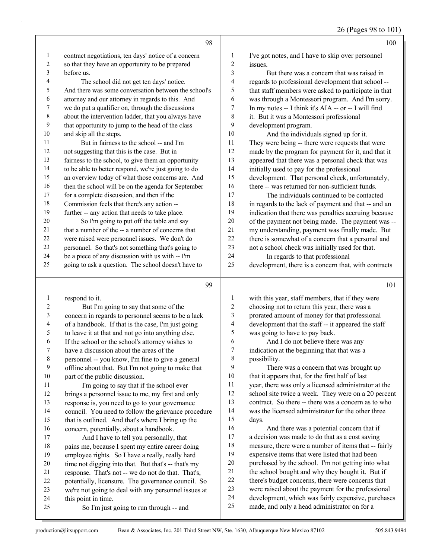|                |                                                      |                          | $20$ (1 ages 70 to 101                               |
|----------------|------------------------------------------------------|--------------------------|------------------------------------------------------|
|                | 98                                                   |                          | 100                                                  |
| $\mathbf{1}$   | contract negotiations, ten days' notice of a concern | $\mathbf{1}$             | I've got notes, and I have to skip over personnel    |
| $\sqrt{2}$     | so that they have an opportunity to be prepared      | $\sqrt{2}$               | issues.                                              |
| 3              | before us.                                           | $\mathfrak{Z}$           | But there was a concern that was raised in           |
| 4              | The school did not get ten days' notice.             | $\overline{\mathcal{A}}$ | regards to professional development that school --   |
| 5              | And there was some conversation between the school's | 5                        | that staff members were asked to participate in that |
| 6              | attorney and our attorney in regards to this. And    | 6                        | was through a Montessori program. And I'm sorry.     |
| 7              | we do put a qualifier on, through the discussions    | $\boldsymbol{7}$         | In my notes -- I think it's AIA -- or -- I will find |
| $\,$ $\,$      | about the intervention ladder, that you always have  | $\,$ 8 $\,$              | it. But it was a Montessori professional             |
| $\overline{9}$ | that opportunity to jump to the head of the class    | 9                        | development program.                                 |
| 10             | and skip all the steps.                              | 10                       | And the individuals signed up for it.                |
| 11             | But in fairness to the school -- and I'm             | 11                       | They were being -- there were requests that were     |
| 12             | not suggesting that this is the case. But in         | 12                       | made by the program for payment for it, and that it  |
| 13             | fairness to the school, to give them an opportunity  | 13                       | appeared that there was a personal check that was    |
| 14             | to be able to better respond, we're just going to do | 14                       | initially used to pay for the professional           |
| 15             | an overview today of what those concerns are. And    | 15                       | development. That personal check, unfortunately,     |
| 16             | then the school will be on the agenda for September  | 16                       | there -- was returned for non-sufficient funds.      |
| 17             | for a complete discussion, and then if the           | 17                       | The individuals continued to be contacted            |
| $18\,$         | Commission feels that there's any action --          | $18\,$                   | in regards to the lack of payment and that -- and an |
| 19             | further -- any action that needs to take place.      | 19                       | indication that there was penalties accruing because |
| 20             | So I'm going to put off the table and say            | $20\,$                   | of the payment not being made. The payment was --    |
| 21             | that a number of the -- a number of concerns that    | 21                       | my understanding, payment was finally made. But      |
| 22             | were raised were personnel issues. We don't do       | 22                       | there is somewhat of a concern that a personal and   |
| 23             | personnel. So that's not something that's going to   | 23                       | not a school check was initially used for that.      |
| 24             | be a piece of any discussion with us with -- I'm     | 24                       | In regards to that professional                      |
| 25             | going to ask a question. The school doesn't have to  | 25                       | development, there is a concern that, with contracts |
|                | 99                                                   |                          | 101                                                  |
| $\mathbf{1}$   | respond to it.                                       | $\mathbf{1}$             | with this year, staff members, that if they were     |
| $\sqrt{2}$     | But I'm going to say that some of the                | $\sqrt{2}$               | choosing not to return this year, there was a        |
| $\mathfrak{Z}$ | concern in regards to personnel seems to be a lack   | $\mathfrak{Z}$           | prorated amount of money for that professional       |
| $\overline{4}$ | of a handbook. If that is the case, I'm just going   | $\overline{4}$           | development that the staff -- it appeared the staff  |
| 5              | to leave it at that and not go into anything else.   | 5                        | was going to have to pay back.                       |
| 6              | If the school or the school's attorney wishes to     | 6                        | And I do not believe there was any                   |
| 7              | have a discussion about the areas of the             | 7                        | indication at the beginning that that was a          |
| 8              | personnel -- you know, I'm fine to give a general    | $\,$ 8 $\,$              | possibility.                                         |
| 9              | offline about that. But I'm not going to make that   | 9                        | There was a concern that was brought up              |
| 10             | part of the public discussion.                       | 10                       | that it appears that, for the first half of last     |
| 11             | I'm going to say that if the school ever             | 11                       | year, there was only a licensed administrator at the |
| 12             | brings a personnel issue to me, my first and only    | 12                       | school site twice a week. They were on a 20 percent  |
| 13             | response is you need to go to your governance        | 13                       | contract. So there -- there was a concern as to who  |

 response is, you need to go to your governance council. You need to follow the grievance procedure that is outlined. And that's where I bring up the concern, potentially, about a handbook.

- 17 And I have to tell you personally, that 18 pains me, because I spent my entire career doing employee rights. So I have a really, really hard time not digging into that. But that's -- that's my response. That's not -- we do not do that. That's, potentially, licensure. The governance council. So we're not going to deal with any personnel issues at this point in time.
- 25 So I'm just going to run through -- and

 was the licensed administrator for the other three days. 16 And there was a potential concern that if a decision was made to do that as a cost saving measure, there were a number of items that -- fairly expensive items that were listed that had been purchased by the school. I'm not getting into what the school bought and why they bought it. But if

- there's budget concerns, there were concerns that
- were raised about the payment for the professional
- development, which was fairly expensive, purchases made, and only a head administrator on for a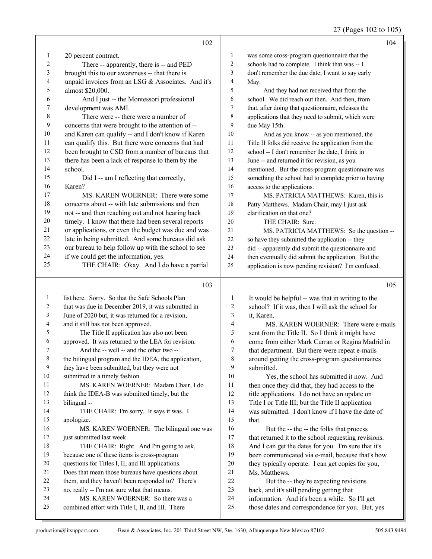## 27 (Pages 102 to 105)

|              | 102                                                                                   |                         | 104                                                                                                       |
|--------------|---------------------------------------------------------------------------------------|-------------------------|-----------------------------------------------------------------------------------------------------------|
| 1            | 20 percent contract.                                                                  | 1                       | was some cross-program questionnaire that the                                                             |
| 2            | There -- apparently, there is -- and PED                                              | $\overline{c}$          | schools had to complete. I think that was -- I                                                            |
| 3            | brought this to our awareness -- that there is                                        | 3                       | don't remember the due date; I want to say early                                                          |
| 4            | unpaid invoices from an LSG & Associates. And it's                                    | 4                       | May.                                                                                                      |
| 5            | almost \$20,000.                                                                      | 5                       | And they had not received that from the                                                                   |
| 6            | And I just -- the Montessori professional                                             | 6                       | school. We did reach out then. And then, from                                                             |
| 7            | development was AMI.                                                                  | 7                       | that, after doing that questionnaire, releases the                                                        |
| 8            | There were -- there were a number of                                                  | 8                       | applications that they need to submit, which were                                                         |
| 9            | concerns that were brought to the attention of --                                     | 9                       | due May 15th.                                                                                             |
| $10\,$       | and Karen can qualify -- and I don't know if Karen                                    | 10                      | And as you know -- as you mentioned, the                                                                  |
| 11           | can qualify this. But there were concerns that had                                    | 11                      | Title II folks did receive the application from the                                                       |
| 12           | been brought to CSD from a number of bureaus that                                     | 12                      | school -- I don't remember the date, I think in                                                           |
| 13           | there has been a lack of response to them by the                                      | 13                      | June -- and returned it for revision, as you                                                              |
| 14           | school.                                                                               | 14                      | mentioned. But the cross-program questionnaire was                                                        |
| 15           | Did I -- am I reflecting that correctly,                                              | 15                      | something the school had to complete prior to having                                                      |
| 16           | Karen?                                                                                | 16                      | access to the applications.                                                                               |
| 17           | MS. KAREN WOERNER: There were some                                                    | 17                      | MS. PATRICIA MATTHEWS: Karen, this is                                                                     |
| 18           | concerns about -- with late submissions and then                                      | $18\,$                  | Patty Matthews. Madam Chair, may I just ask                                                               |
| 19           | not -- and then reaching out and not hearing back                                     | 19                      | clarification on that one?                                                                                |
| $20\,$       | timely. I know that there had been several reports                                    | 20                      | THE CHAIR: Sure.                                                                                          |
| 21           | or applications, or even the budget was due and was                                   | 21                      | MS. PATRICIA MATTHEWS: So the question --                                                                 |
| 22           | late in being submitted. And some bureaus did ask                                     | $22\,$                  | so have they submitted the application -- they                                                            |
| 23           | our bureau to help follow up with the school to see                                   | 23                      |                                                                                                           |
| 24           | if we could get the information, yes.                                                 | 24                      | did -- apparently did submit the questionnaire and                                                        |
| 25           | THE CHAIR: Okay. And I do have a partial                                              | 25                      | then eventually did submit the application. But the<br>application is now pending revision? I'm confused. |
|              |                                                                                       |                         |                                                                                                           |
|              |                                                                                       |                         |                                                                                                           |
|              | 103                                                                                   |                         | 105                                                                                                       |
| $\mathbf{1}$ |                                                                                       | $\mathbf{1}$            |                                                                                                           |
| 2            | list here. Sorry. So that the Safe Schools Plan                                       | 2                       | It would be helpful -- was that in writing to the                                                         |
| 3            | that was due in December 2019, it was submitted in                                    | 3                       | school? If it was, then I will ask the school for                                                         |
| 4            | June of 2020 but, it was returned for a revision,                                     | $\overline{\mathbf{4}}$ | it, Karen.                                                                                                |
| 5            | and it still has not been approved.                                                   |                         | MS. KAREN WOERNER: There were e-mails                                                                     |
| 6            | The Title II application has also not been                                            | 5                       | sent from the Title II. So I think it might have                                                          |
| 7            | approved. It was returned to the LEA for revision.                                    | 6<br>7                  | come from either Mark Curran or Regina Madrid in                                                          |
|              | And the -- well -- and the other two --                                               |                         | that department. But there were repeat e-mails                                                            |
| 8<br>9       | the bilingual program and the IDEA, the application,                                  | 8<br>9                  | around getting the cross-program questionnaires                                                           |
| $10\,$       | they have been submitted, but they were not                                           | $10\,$                  | submitted.                                                                                                |
| 11           | submitted in a timely fashion.<br>MS. KAREN WOERNER: Madam Chair, I do                | 11                      | Yes, the school has submitted it now. And                                                                 |
| 12           |                                                                                       | 12                      | then once they did that, they had access to the                                                           |
| 13           | think the IDEA-B was submitted timely, but the                                        | 13                      | title applications. I do not have an update on                                                            |
| 14           | bilingual-                                                                            | 14                      | Title I or Title III; but the Title II application                                                        |
| 15           | THE CHAIR: I'm sorry. It says it was. I                                               | 15                      | was submitted. I don't know if I have the date of<br>that.                                                |
| 16           | apologize.                                                                            |                         |                                                                                                           |
| 17           | MS. KAREN WOERNER: The bilingual one was                                              | 16                      | But the -- the -- the folks that process                                                                  |
| 18           | just submitted last week.                                                             | 17<br>18                | that returned it to the school requesting revisions.                                                      |
| 19           | THE CHAIR: Right. And I'm going to ask,                                               | 19                      | And I can get the dates for you. I'm sure that it's                                                       |
| 20           | because one of these items is cross-program                                           |                         | been communicated via e-mail, because that's how                                                          |
| 21           | questions for Titles I, II, and III applications.                                     | $20\,$<br>21            | they typically operate. I can get copies for you,<br>Ms. Matthews.                                        |
| $22\,$       | Does that mean those bureaus have questions about                                     | $22\,$                  |                                                                                                           |
| 23           | them, and they haven't been responded to? There's                                     | 23                      | But the -- they're expecting revisions                                                                    |
| 24           | no, really -- I'm not sure what that means.                                           | 24                      | back, and it's still pending getting that                                                                 |
| $25\,$       | MS. KAREN WOERNER: So there was a<br>combined effort with Title I, II, and III. There | $25\,$                  | information. And it's been a while. So I'll get<br>those dates and correspondence for you. But, yes       |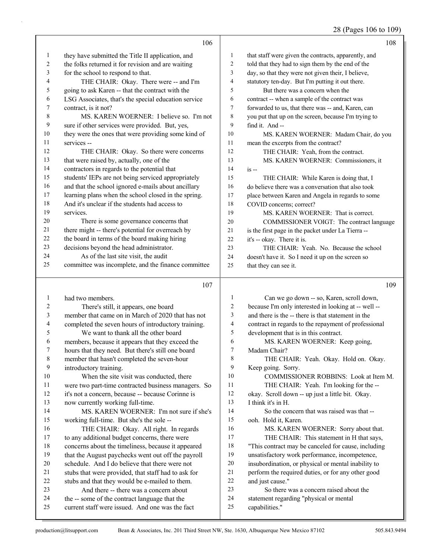## 28 (Pages 106 to 109)

|              | 106                                                                                              |                  | 108                                                       |
|--------------|--------------------------------------------------------------------------------------------------|------------------|-----------------------------------------------------------|
| $\mathbf{1}$ | they have submitted the Title II application, and                                                | 1                | that staff were given the contracts, apparently, and      |
| $\sqrt{2}$   | the folks returned it for revision and are waiting                                               | $\overline{c}$   | told that they had to sign them by the end of the         |
| 3            | for the school to respond to that.                                                               | 3                | day, so that they were not given their, I believe,        |
| 4            | THE CHAIR: Okay. There were -- and I'm                                                           | 4                | statutory ten-day. But I'm putting it out there.          |
| 5            | going to ask Karen -- that the contract with the                                                 | 5                | But there was a concern when the                          |
| 6            | LSG Associates, that's the special education service                                             | 6                | contract -- when a sample of the contract was             |
| 7            | contract, is it not?                                                                             | 7                | forwarded to us, that there was -- and, Karen, can        |
| 8            | MS. KAREN WOERNER: I believe so. I'm not                                                         | 8                | you put that up on the screen, because I'm trying to      |
| 9            | sure if other services were provided. But, yes,                                                  | 9                | find it. And --                                           |
| 10           | they were the ones that were providing some kind of                                              | 10               | MS. KAREN WOERNER: Madam Chair, do you                    |
| 11           | services --                                                                                      | 11               | mean the excerpts from the contract?                      |
| 12           | THE CHAIR: Okay. So there were concerns                                                          | 12               | THE CHAIR: Yeah, from the contract.                       |
| 13           | that were raised by, actually, one of the                                                        | 13               | MS. KAREN WOERNER: Commissioners, it                      |
| 14           | contractors in regards to the potential that                                                     | 14               | $is -$                                                    |
| 15           | students' IEPs are not being serviced appropriately                                              | 15               | THE CHAIR: While Karen is doing that, I                   |
| 16           | and that the school ignored e-mails about ancillary                                              | 16               | do believe there was a conversation that also took        |
| 17           | learning plans when the school closed in the spring.                                             | 17               | place between Karen and Angela in regards to some         |
| $18\,$       | And it's unclear if the students had access to                                                   | 18               | COVID concerns; correct?                                  |
| 19           | services.                                                                                        | 19               | MS. KAREN WOERNER: That is correct.                       |
| 20           | There is some governance concerns that                                                           | 20               | COMMISSIONER VOIGT: The contract language                 |
| 21           | there might -- there's potential for overreach by                                                | 21               | is the first page in the packet under La Tierra --        |
| 22           | the board in terms of the board making hiring                                                    | 22               | it's -- okay. There it is.                                |
| 23           | decisions beyond the head administrator.                                                         | 23               | THE CHAIR: Yeah. No. Because the school                   |
| 24           | As of the last site visit, the audit                                                             | 24               | doesn't have it. So I need it up on the screen so         |
| 25           | committee was incomplete, and the finance committee                                              | 25               | that they can see it.                                     |
|              |                                                                                                  |                  |                                                           |
|              |                                                                                                  |                  |                                                           |
|              | 107                                                                                              |                  | 109                                                       |
| 1            | had two members.                                                                                 | 1                | Can we go down -- so, Karen, scroll down,                 |
| 2            | There's still, it appears, one board                                                             | 2                | because I'm only interested in looking at -- well --      |
| 3            | member that came on in March of 2020 that has not                                                | 3                | and there is the -- there is that statement in the        |
| 4            | completed the seven hours of introductory training.                                              | 4                | contract in regards to the repayment of professional      |
| 5            | We want to thank all the other board                                                             | 5                | development that is in this contract.                     |
| 6            | members, because it appears that they exceed the                                                 | 6                | MS. KAREN WOERNER: Keep going,                            |
| 7            | hours that they need. But there's still one board                                                | 7                | Madam Chair?                                              |
| $\,8\,$      | member that hasn't completed the seven-hour                                                      | 8                | THE CHAIR: Yeah. Okay. Hold on. Okay.                     |
| 9            | introductory training.                                                                           | 9                | Keep going. Sorry.                                        |
| $10\,$       | When the site visit was conducted, there                                                         | 10               | COMMISSIONER ROBBINS: Look at Item M.                     |
| 11           | were two part-time contracted business managers. So                                              | 11               | THE CHAIR: Yeah. I'm looking for the --                   |
| 12           | it's not a concern, because -- because Corinne is                                                | 12               | okay. Scroll down -- up just a little bit. Okay.          |
| 13           | now currently working full-time.                                                                 | 13               | I think it's in H.                                        |
| 14           | MS. KAREN WOERNER: I'm not sure if she's                                                         | 14               | So the concern that was raised was that --                |
| 15           | working full-time. But she's the sole --                                                         | 15               | ooh. Hold it, Karen.                                      |
| 16           | THE CHAIR: Okay. All right. In regards                                                           | 16               | MS. KAREN WOERNER: Sorry about that.                      |
| 17           | to any additional budget concerns, there were                                                    | 17               | THE CHAIR: This statement in H that says,                 |
| 18           | concerns about the timeliness, because it appeared                                               | $18\,$           | "This contract may be canceled for cause, including       |
| 19           | that the August paychecks went out off the payroll                                               | 19               | unsatisfactory work performance, incompetence,            |
| $20\,$       | schedule. And I do believe that there were not                                                   | $20\,$           | insubordination, or physical or mental inability to       |
| 21           | stubs that were provided, that staff had to ask for                                              | $21\,$           | perform the required duties, or for any other good        |
| 22           | stubs and that they would be e-mailed to them.                                                   | $22\,$           | and just cause."                                          |
| 23           | And there -- there was a concern about                                                           | 23               | So there was a concern raised about the                   |
| 24<br>25     | the -- some of the contract language that the<br>current staff were issued. And one was the fact | $24\,$<br>$25\,$ | statement regarding "physical or mental<br>capabilities." |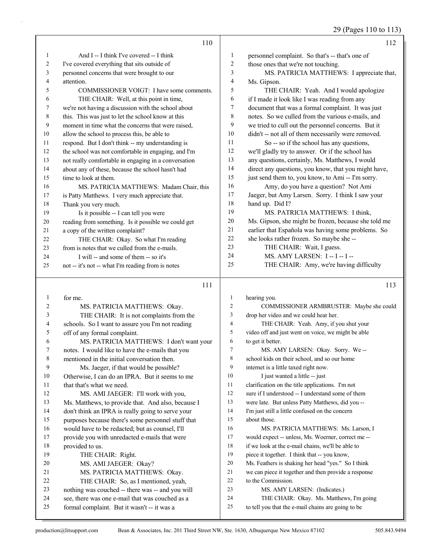## 29 (Pages 110 to 113)

|    | 110                                                  |                | 112                                                  |
|----|------------------------------------------------------|----------------|------------------------------------------------------|
| 1  | And I -- I think I've covered -- I think             | 1              | personnel complaint. So that's -- that's one of      |
| 2  | I've covered everything that sits outside of         | 2              | those ones that we're not touching.                  |
| 3  | personnel concerns that were brought to our          | 3              | MS. PATRICIA MATTHEWS: I appreciate that,            |
| 4  | attention.                                           | $\overline{4}$ | Ms. Gipson.                                          |
| 5  | COMMISSIONER VOIGT: I have some comments.            | 5              | THE CHAIR: Yeah. And I would apologize               |
| 6  | THE CHAIR: Well, at this point in time,              | 6              | if I made it look like I was reading from any        |
| 7  | we're not having a discussion with the school about  | 7              | document that was a formal complaint. It was just    |
| 8  | this. This was just to let the school know at this   | 8              | notes. So we culled from the various e-mails, and    |
| 9  | moment in time what the concerns that were raised,   | 9              | we tried to cull out the personnel concerns. But it  |
| 10 | allow the school to process this, be able to         | 10             | didn't -- not all of them necessarily were removed.  |
| 11 | respond. But I don't think -- my understanding is    | 11             | So -- so if the school has any questions,            |
| 12 | the school was not comfortable in engaging, and I'm  | 12             | we'll gladly try to answer. Or if the school has     |
| 13 | not really comfortable in engaging in a conversation | 13             | any questions, certainly, Ms. Matthews, I would      |
| 14 | about any of these, because the school hasn't had    | 14             | direct any questions, you know, that you might have, |
| 15 | time to look at them.                                | 15             | just send them to, you know, to Ami -- I'm sorry.    |
| 16 | MS. PATRICIA MATTHEWS: Madam Chair, this             | 16             | Amy, do you have a question? Not Ami                 |
| 17 | is Patty Matthews. I very much appreciate that.      | 17             | Jaeger, but Amy Larsen. Sorry. I think I saw your    |
| 18 | Thank you very much.                                 | 18             | hand up. Did I?                                      |
| 19 | Is it possible -- I can tell you were                | 19             | MS. PATRICIA MATTHEWS: I think.                      |
| 20 | reading from something. Is it possible we could get  | 20             | Ms. Gipson, she might be frozen, because she told me |
| 21 | a copy of the written complaint?                     | 21             | earlier that Española was having some problems. So   |
| 22 | THE CHAIR: Okay. So what I'm reading                 | 22             | she looks rather frozen. So maybe she --             |
| 23 | from is notes that we culled from the e-mails.       | 23             | THE CHAIR: Wait, I guess.                            |
| 24 | I will -- and some of them -- so it's                | 24             | MS. AMY LARSEN: I -- I -- I --                       |
| 25 | not -- it's not -- what I'm reading from is notes    | 25             | THE CHAIR: Amy, we're having difficulty              |

#### 

| 1  | for me.                                            | 1  | hearing you.                                         |
|----|----------------------------------------------------|----|------------------------------------------------------|
| 2  | MS. PATRICIA MATTHEWS: Okay.                       | 2  | COMMISSIONER ARMBRUSTER: Maybe she could             |
| 3  | THE CHAIR: It is not complaints from the           | 3  | drop her video and we could hear her.                |
| 4  | schools. So I want to assure you I'm not reading   | 4  | THE CHAIR: Yeah. Amy, if you shut your               |
| 5  | off of any formal complaint.                       | 5  | video off and just went on voice, we might be able   |
| 6  | MS. PATRICIA MATTHEWS: I don't want your           | 6  | to get it better.                                    |
| 7  | notes. I would like to have the e-mails that you   | 7  | MS. AMY LARSEN: Okay. Sorry. We--                    |
| 8  | mentioned in the initial conversation then.        | 8  | school kids on their school, and so our home         |
| 9  | Ms. Jaeger, if that would be possible?             | 9  | internet is a little taxed right now.                |
| 10 | Otherwise, I can do an IPRA. But it seems to me    | 10 | I just wanted a little -- just                       |
| 11 | that that's what we need.                          | 11 | clarification on the title applications. I'm not     |
| 12 | MS. AMI JAEGER: I'll work with you,                | 12 | sure if I understood -- I understand some of them    |
| 13 | Ms. Matthews, to provide that. And also, because I | 13 | were late. But unless Patty Matthews, did you --     |
| 14 | don't think an IPRA is really going to serve your  | 14 | I'm just still a little confused on the concern      |
| 15 | purposes because there's some personnel stuff that | 15 | about those.                                         |
| 16 | would have to be redacted; but as counsel, I'll    | 16 | MS. PATRICIA MATTHEWS: Ms. Larson, I                 |
| 17 | provide you with unredacted e-mails that were      | 17 | would expect -- unless, Ms. Woerner, correct me --   |
| 18 | provided to us.                                    | 18 | if we look at the e-mail chains, we'll be able to    |
| 19 | THE CHAIR: Right.                                  | 19 | piece it together. I think that -- you know,         |
| 20 | MS. AMI JAEGER: Okay?                              | 20 | Ms. Feathers is shaking her head "yes." So I think   |
| 21 | MS. PATRICIA MATTHEWS: Okay.                       | 21 | we can piece it together and then provide a response |
| 22 | THE CHAIR: So, as I mentioned, yeah,               | 22 | to the Commission.                                   |
| 23 | nothing was couched -- there was -- and you will   | 23 | MS. AMY LARSEN: (Indicates.)                         |
| 24 | see, there was one e-mail that was couched as a    | 24 | THE CHAIR: Okay. Ms. Matthews, I'm going             |
| 25 | formal complaint. But it wasn't -- it was a        | 25 | to tell you that the e-mail chains are going to be   |
|    |                                                    |    |                                                      |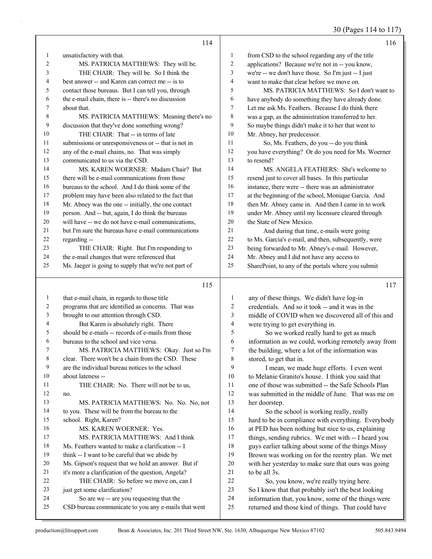30 (Pages 114 to 117)

|                | 114                                                                                                |                | 116                                                                                                       |
|----------------|----------------------------------------------------------------------------------------------------|----------------|-----------------------------------------------------------------------------------------------------------|
| $\mathbf{1}$   | unsatisfactory with that.                                                                          | 1              | from CSD to the school regarding any of the title                                                         |
| 2              | MS. PATRICIA MATTHEWS: They will be.                                                               | 2              | applications? Because we're not in -- you know,                                                           |
| 3              | THE CHAIR: They will be. So I think the                                                            | 3              | we're -- we don't have those. So I'm just -- I just                                                       |
| 4              | best answer -- and Karen can correct me -- is to                                                   | 4              | want to make that clear before we move on.                                                                |
| 5              | contact those bureaus. But I can tell you, through                                                 | 5              | MS. PATRICIA MATTHEWS: So I don't want to                                                                 |
| 6              | the e-mail chain, there is -- there's no discussion                                                | 6              | have anybody do something they have already done.                                                         |
| 7              | about that.                                                                                        | 7              | Let me ask Ms. Feathers. Because I do think there                                                         |
| 8              | MS. PATRICIA MATTHEWS: Meaning there's no                                                          | 8              | was a gap, as the administration transferred to her.                                                      |
| 9              | discussion that they've done something wrong?                                                      | 9              | So maybe things didn't make it to her that went to                                                        |
| 10             | THE CHAIR: That -- in terms of late                                                                | 10             | Mr. Abney, her predecessor.                                                                               |
| 11             | submissions or unresponsiveness or -- that is not in                                               | 11             | So, Ms. Feathers, do you -- do you think                                                                  |
| 12             | any of the e-mail chains, no. That was simply                                                      | 12             | you have everything? Or do you need for Ms. Woerner                                                       |
| 13             | communicated to us via the CSD.                                                                    | 13             | to resend?                                                                                                |
| 14             | MS. KAREN WOERNER: Madam Chair? But                                                                | 14             | MS. ANGELA FEATHERS: She's welcome to                                                                     |
| 15             | there will be e-mail communications from those                                                     | 15             | resend just to cover all bases. In this particular                                                        |
| 16             | bureaus to the school. And I do think some of the                                                  | 16             | instance, there were -- there was an administrator                                                        |
| 17             | problem may have been also related to the fact that                                                | 17             | at the beginning of the school, Monique Garcia. And                                                       |
| 18             | Mr. Abney was the one -- initially, the one contact                                                | 18             | then Mr. Abney came in. And then I came in to work                                                        |
| 19             | person. And -- but, again, I do think the bureaus                                                  | 19             | under Mr. Abney until my licensure cleared through                                                        |
| 20             | will have -- we do not have e-mail communications,                                                 | 20             | the State of New Mexico.                                                                                  |
| 21             | but I'm sure the bureaus have e-mail communications                                                | 21             | And during that time, e-mails were going                                                                  |
| 22             | regarding --                                                                                       | 22             | to Ms. Garcia's e-mail, and then, subsequently, were                                                      |
| 23             | THE CHAIR: Right. But I'm responding to                                                            | 23             | being forwarded to Mr. Abney's e-mail. However,                                                           |
| 24             | the e-mail changes that were referenced that                                                       | 24             | Mr. Abney and I did not have any access to                                                                |
| 25             | Ms. Jaeger is going to supply that we're not part of                                               | 25             | SharePoint, to any of the portals where you submit                                                        |
|                |                                                                                                    |                |                                                                                                           |
|                | 115                                                                                                |                | 117                                                                                                       |
| $\mathbf{1}$   |                                                                                                    | $\mathbf{1}$   |                                                                                                           |
| $\overline{c}$ | that e-mail chain, in regards to those title<br>programs that are identified as concerns. That was | $\overline{c}$ | any of these things. We didn't have log-in<br>credentials. And so it took -- and it was in the            |
| 3              | brought to our attention through CSD.                                                              | 3              | middle of COVID when we discovered all of this and                                                        |
| 4              | But Karen is absolutely right. There                                                               | 4              | were trying to get everything in.                                                                         |
| 5              | should be e-mails -- records of e-mails from those                                                 | 5              | So we worked really hard to get as much                                                                   |
| 6              | bureaus to the school and vice versa.                                                              | 6              | information as we could, working remotely away from                                                       |
| 7              | MS. PATRICIA MATTHEWS: Okay. Just so I'm                                                           | 7              | the building, where a lot of the information was                                                          |
| 8              | clear. There won't be a chain from the CSD. These                                                  | 8              | stored, to get that in.                                                                                   |
| 9              | are the individual bureau notices to the school                                                    | 9              | I mean, we made huge efforts. I even went                                                                 |
| 10             | about lateness --                                                                                  | 10             | to Melanie Granito's house. I think you said that                                                         |
| 11             | THE CHAIR: No. There will not be to us,                                                            | 11             | one of those was submitted -- the Safe Schools Plan                                                       |
| 12             | no.                                                                                                | 12             | was submitted in the middle of June. That was me on                                                       |
| 13             | MS. PATRICIA MATTHEWS: No. No. No, not                                                             | 13             | her doorstep.                                                                                             |
| 14             | to you. These will be from the bureau to the                                                       | 14             | So the school is working really, really                                                                   |
| 15             | school. Right, Karen?                                                                              | 15             | hard to be in compliance with everything. Everybody                                                       |
| 16             | MS. KAREN WOERNER: Yes.                                                                            | 16             | at PED has been nothing but nice to us, explaining                                                        |
| 17             | MS. PATRICIA MATTHEWS: And I think                                                                 | 17             | things, sending rubrics. We met with -- I heard you                                                       |
| 18             | Ms. Feathers wanted to make a clarification -- I                                                   | 18             | guys earlier talking about some of the things Missy                                                       |
| 19             | think -- I want to be careful that we abide by                                                     | 19             | Brown was working on for the reentry plan. We met                                                         |
| 20             | Ms. Gipson's request that we hold an answer. But if                                                | $20\,$         | with her yesterday to make sure that ours was going                                                       |
| 21             | it's more a clarification of the question, Angela?                                                 | $21\,$         | to be all 3s.                                                                                             |
| 22             | THE CHAIR: So before we move on, can I                                                             | 22             | So, you know, we're really trying here.                                                                   |
| 23             | just get some clarification?                                                                       | 23             | So I know that that probably isn't the best looking                                                       |
| 24<br>25       | So are we -- are you requesting that the<br>CSD bureau communicate to you any e-mails that went    | 24<br>25       | information that, you know, some of the things were<br>returned and those kind of things. That could have |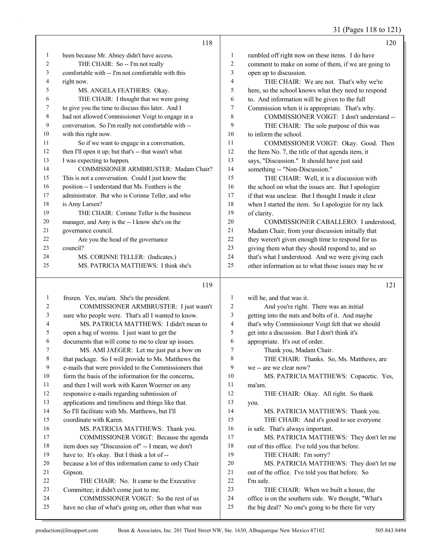31 (Pages 118 to 121)

|    | 118                                                  |                | 120                                                 |
|----|------------------------------------------------------|----------------|-----------------------------------------------------|
| 1  | been because Mr. Abney didn't have access.           | 1              | rambled off right now on these items. I do have     |
| 2  | THE CHAIR: So -- I'm not really                      | 2              | comment to make on some of them, if we are going to |
| 3  | comfortable with -- I'm not comfortable with this    | 3              | open up to discussion.                              |
| 4  | right now.                                           | $\overline{4}$ | THE CHAIR: We are not. That's why we're             |
| 5  | MS. ANGELA FEATHERS: Okay.                           | 5              | here, so the school knows what they need to respond |
| 6  | THE CHAIR: I thought that we were going              | 6              | to. And information will be given to the full       |
| 7  | to give you the time to discuss this later. And I    | 7              | Commission when it is appropriate. That's why.      |
| 8  | had not allowed Commissioner Voigt to engage in a    | 8              | COMMISSIONER VOIGT: I don't understand --           |
| 9  | conversation. So I'm really not comfortable with --  | 9              | THE CHAIR: The sole purpose of this was             |
| 10 | with this right now.                                 | 10             | to inform the school.                               |
| 11 | So if we want to engage in a conversation,           | 11             | COMMISSIONER VOIGT: Okay. Good. Then                |
| 12 | then I'll open it up; but that's -- that wasn't what | 12             | the Item No. 7, the title of that agenda item, it   |
| 13 | I was expecting to happen.                           | 13             | says, "Discussion." It should have just said        |
| 14 | <b>COMMISSIONER ARMBRUSTER: Madam Chair?</b>         | 14             | something -- "Non-Discussion."                      |
| 15 | This is not a conversation. Could I just know the    | 15             | THE CHAIR: Well, it is a discussion with            |
| 16 | position -- I understand that Ms. Feathers is the    | 16             | the school on what the issues are. But I apologize  |
| 17 | administrator. But who is Corinne Teller, and who    | 17             | if that was unclear. But I thought I made it clear  |
| 18 | is Amy Larsen?                                       | 18             | when I started the item. So I apologize for my lack |
| 19 | THE CHAIR: Corinne Teller is the business            | 19             | of clarity.                                         |
| 20 | manager, and Amy is the -- I know she's on the       | 20             | COMMISSIONER CABALLERO: I understood.               |
| 21 | governance council.                                  | 21             | Madam Chair, from your discussion initially that    |
| 22 | Are you the head of the governance                   | 22             | they weren't given enough time to respond for us    |
| 23 | council?                                             | 23             | giving them what they should respond to, and so     |
| 24 | MS. CORINNE TELLER: (Indicates.)                     | 24             | that's what I understood. And we were giving each   |
| 25 | MS. PATRICIA MATTHEWS: I think she's                 | 25             | other information as to what those issues may be or |

#### 

| 1  | frozen. Yes, ma'am. She's the president.             | 1              | will be, and that was it.                           |
|----|------------------------------------------------------|----------------|-----------------------------------------------------|
| 2  | COMMISSIONER ARMBRUSTER: I just wasn't               | $\overline{2}$ | And you're right. There was an initial              |
| 3  | sure who people were. That's all I wanted to know.   | 3              | getting into the nuts and bolts of it. And maybe    |
| 4  | MS. PATRICIA MATTHEWS: I didn't mean to              | 4              | that's why Commissioner Voigt felt that we should   |
| 5  | open a bag of worms. I just want to get the          | 5              | get into a discussion. But I don't think it's       |
| 6  | documents that will come to me to clear up issues.   | 6              | appropriate. It's out of order.                     |
| 7  | MS. AMI JAEGER: Let me just put a bow on             | $\overline{7}$ | Thank you, Madam Chair.                             |
| 8  | that package. So I will provide to Ms. Matthews the  | 8              | THE CHAIR: Thanks. So, Ms. Matthews, are            |
| 9  | e-mails that were provided to the Commissioners that | 9              | we -- are we clear now?                             |
| 10 | form the basis of the information for the concerns,  | 10             | MS. PATRICIA MATTHEWS: Copacetic. Yes,              |
| 11 | and then I will work with Karen Woerner on any       | 11             | ma'am.                                              |
| 12 | responsive e-mails regarding submission of           | 12             | THE CHAIR: Okay. All right. So thank                |
| 13 | applications and timeliness and things like that.    | 13             | you.                                                |
| 14 | So I'll facilitate with Ms. Matthews, but I'll       | 14             | MS. PATRICIA MATTHEWS: Thank you.                   |
| 15 | coordinate with Karen.                               | 15             | THE CHAIR: And it's good to see everyone            |
| 16 | MS. PATRICIA MATTHEWS: Thank you.                    | 16             | is safe. That's always important.                   |
| 17 | COMMISSIONER VOIGT: Because the agenda               | 17             | MS. PATRICIA MATTHEWS: They don't let me            |
| 18 | item does say "Discussion of" -- I mean, we don't    | 18             | out of this office. I've told you that before.      |
| 19 | have to. It's okay. But I think a lot of --          | 19             | THE CHAIR: I'm sorry?                               |
| 20 | because a lot of this information came to only Chair | 20             | MS. PATRICIA MATTHEWS: They don't let me            |
| 21 | Gipson.                                              | 21             | out of the office. I've told you that before. So    |
| 22 | THE CHAIR: No. It came to the Executive              | 22             | I'm safe.                                           |
| 23 | Committee; it didn't come just to me.                | 23             | THE CHAIR: When we built a house, the               |
| 24 | COMMISSIONER VOIGT: So the rest of us                | 24             | office is on the southern side. We thought, "What's |
| 25 | have no clue of what's going on, other than what was | 25             | the big deal? No one's going to be there for very   |

production@litsupport.com Bean & Associates, Inc. 201 Third Street NW, Ste. 1630, Albuquerque New Mexico 87102 505.843.9494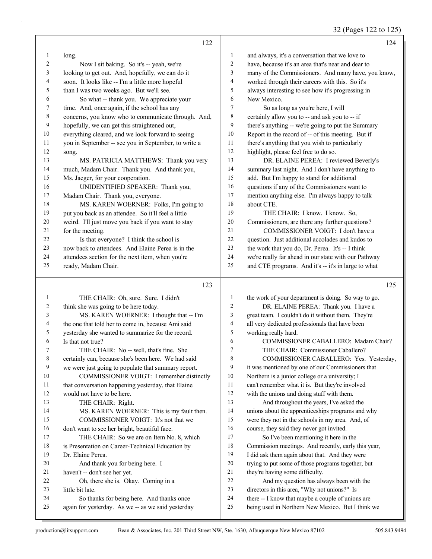32 (Pages 122 to 125)

|                | 122                                                  |                         | 124                                                  |
|----------------|------------------------------------------------------|-------------------------|------------------------------------------------------|
| 1              | long.                                                | 1                       | and always, it's a conversation that we love to      |
| $\overline{2}$ | Now I sit baking. So it's -- yeah, we're             | $\mathbf{2}$            | have, because it's an area that's near and dear to   |
| 3              | looking to get out. And, hopefully, we can do it     | 3                       | many of the Commissioners. And many have, you know,  |
| 4              | soon. It looks like -- I'm a little more hopeful     | $\overline{\mathbf{4}}$ | worked through their careers with this. So it's      |
| 5              | than I was two weeks ago. But we'll see.             | 5                       | always interesting to see how it's progressing in    |
| 6              | So what -- thank you. We appreciate your             | 6                       | New Mexico.                                          |
| 7              | time. And, once again, if the school has any         | $\tau$                  | So as long as you're here, I will                    |
| $8\phantom{1}$ | concerns, you know who to communicate through. And,  | 8                       | certainly allow you to -- and ask you to -- if       |
| 9              | hopefully, we can get this straightened out,         | 9                       | there's anything -- we're going to put the Summary   |
| 10             | everything cleared, and we look forward to seeing    | 10                      | Report in the record of -- of this meeting. But if   |
| 11             | you in September -- see you in September, to write a | 11                      | there's anything that you wish to particularly       |
| 12             | song.                                                | 12                      | highlight, please feel free to do so.                |
| 13             | MS. PATRICIA MATTHEWS: Thank you very                | 13                      | DR. ELAINE PEREA: I reviewed Beverly's               |
| 14             | much, Madam Chair. Thank you. And thank you,         | 14                      | summary last night. And I don't have anything to     |
| 15             | Ms. Jaeger, for your cooperation.                    | 15                      | add. But I'm happy to stand for additional           |
| 16             | UNIDENTIFIED SPEAKER: Thank you,                     | 16                      | questions if any of the Commissioners want to        |
| 17             | Madam Chair. Thank you, everyone.                    | 17                      | mention anything else. I'm always happy to talk      |
| 18             | MS. KAREN WOERNER: Folks, I'm going to               | 18                      | about CTE.                                           |
| 19             | put you back as an attendee. So it'll feel a little  | 19                      | THE CHAIR: I know. I know. So,                       |
| 20             | weird. I'll just move you back if you want to stay   | 20                      | Commissioners, are there any further questions?      |
| 21             | for the meeting.                                     | 21                      | COMMISSIONER VOIGT: I don't have a                   |
| 22             | Is that everyone? I think the school is              | 22                      | question. Just additional accolades and kudos to     |
| 23             | now back to attendees. And Elaine Perea is in the    | 23                      | the work that you do, Dr. Perea. It's -- I think     |
| 24             | attendees section for the next item, when you're     | 24                      | we're really far ahead in our state with our Pathway |
| 25             | ready, Madam Chair.                                  | 25                      | and CTE programs. And it's -- it's in large to what  |
|                | 123                                                  |                         | 125                                                  |
| 1              | THE CHAIR: Oh, sure. Sure. I didn't                  | $\mathbf{1}$            | the work of your department is doing. So way to go.  |
| 2              | think she was going to be here today.                | $\overline{c}$          | DR. ELAINE PEREA: Thank you. I have a                |
| 3              | MS. KAREN WOERNER: I thought that -- I'm             | 3                       | great team. I couldn't do it without them. They're   |
| $\overline{4}$ | the one that told her to come in, because Ami said   | 4                       | all very dedicated professionals that have been      |
| 5              | yesterday she wanted to summarize for the record.    | 5                       | working really hard.                                 |
| 6              | Is that not true?                                    | 6                       | COMMISSIONER CABALLERO: Madam Chair?                 |
| 7              | THE CHAIR: No -- well, that's fine. She              | 7                       | THE CHAIR: Commissioner Caballero?                   |
| 8              | certainly can, because she's been here. We had said  | 8                       | COMMISSIONER CABALLERO: Yes. Yesterday,              |
| 9              | we were just going to populate that summary report.  | 9                       | it was mentioned by one of our Commissioners that    |
|                |                                                      |                         |                                                      |

10 Northern is a junior college or a university; I

can't remember what it is. But they're involved

 with the unions and doing stuff with them. 13 And throughout the years, I've asked the unions about the apprenticeships programs and why were they not in the schools in my area. And, of

- course, they said they never got invited. 17 So I've been mentioning it here in the Commission meetings. And recently, early this year, I did ask them again about that. And they were trying to put some of those programs together, but they're having some difficulty.
- 22 And my question has always been with the
- directors in this area, "Why not unions?" Is
- there -- I know that maybe a couple of unions are
- being used in Northern New Mexico. But I think we

little bit late.

Dr. Elaine Perea.

10 COMMISSIONER VOIGT: I remember distinctly 11 that conversation happening yesterday, that Elaine

14 MS. KAREN WOERNER: This is my fault then. 15 COMMISSIONER VOIGT: It's not that we don't want to see her bright, beautiful face.

17 THE CHAIR: So we are on Item No. 8, which is Presentation on Career-Technical Education by

20 And thank you for being here. I

22 Oh, there she is. Okay. Coming in a

24 So thanks for being here. And thanks once again for yesterday. As we -- as we said yesterday

 would not have to be here. 13 THE CHAIR: Right.

haven't -- don't see her yet.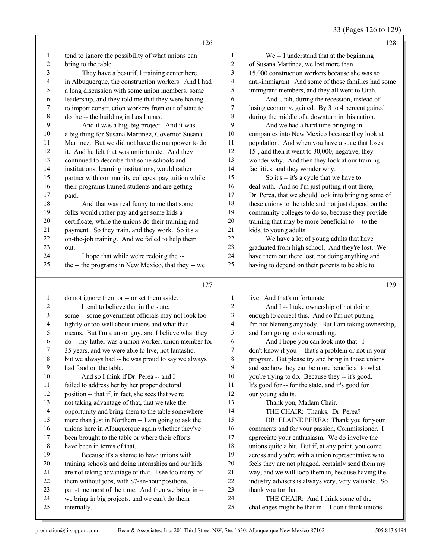| 33 (Pages 126 to 129) |  |  |
|-----------------------|--|--|
|                       |  |  |

|                          | 126                                                                                                  |                          | 128                                                                                                      |
|--------------------------|------------------------------------------------------------------------------------------------------|--------------------------|----------------------------------------------------------------------------------------------------------|
| 1                        | tend to ignore the possibility of what unions can                                                    | 1                        | We -- I understand that at the beginning                                                                 |
| $\boldsymbol{2}$         | bring to the table.                                                                                  | $\sqrt{2}$               | of Susana Martinez, we lost more than                                                                    |
| 3                        | They have a beautiful training center here                                                           | 3                        | 15,000 construction workers because she was so                                                           |
| 4                        | in Albuquerque, the construction workers. And I had                                                  | $\overline{\mathcal{A}}$ | anti-immigrant. And some of those families had some                                                      |
| 5                        | a long discussion with some union members, some                                                      | 5                        | immigrant members, and they all went to Utah.                                                            |
| 6                        | leadership, and they told me that they were having                                                   | $\epsilon$               | And Utah, during the recession, instead of                                                               |
| $\boldsymbol{7}$         | to import construction workers from out of state to                                                  | $\boldsymbol{7}$         | losing economy, gained. By 3 to 4 percent gained                                                         |
| $\,8\,$                  | do the -- the building in Los Lunas.                                                                 | $\,8\,$                  | during the middle of a downturn in this nation.                                                          |
| 9                        | And it was a big, big project. And it was                                                            | 9                        | And we had a hard time bringing in                                                                       |
| $10$                     | a big thing for Susana Martinez, Governor Susana                                                     | $10\,$                   | companies into New Mexico because they look at                                                           |
| 11                       | Martinez. But we did not have the manpower to do                                                     | 11                       | population. And when you have a state that loses                                                         |
| 12                       | it. And he felt that was unfortunate. And they                                                       | 12                       | 15-, and then it went to 30,000, negative, they                                                          |
| 13                       | continued to describe that some schools and                                                          | 13                       | wonder why. And then they look at our training                                                           |
| 14                       | institutions, learning institutions, would rather                                                    | 14                       | facilities, and they wonder why.                                                                         |
| 15                       | partner with community colleges, pay tuition while                                                   | 15                       | So it's -- it's a cycle that we have to                                                                  |
| 16                       | their programs trained students and are getting                                                      | 16                       |                                                                                                          |
| 17                       |                                                                                                      | 17                       | deal with. And so I'm just putting it out there,<br>Dr. Perea, that we should look into bringing some of |
| 18                       | paid.                                                                                                | 18                       |                                                                                                          |
|                          | And that was real funny to me that some                                                              | 19                       | these unions to the table and not just depend on the                                                     |
| 19                       | folks would rather pay and get some kids a                                                           |                          | community colleges to do so, because they provide                                                        |
| $20\,$                   | certificate, while the unions do their training and                                                  | $20\,$<br>21             | training that may be more beneficial to -- to the                                                        |
| 21                       | payment. So they train, and they work. So it's a                                                     |                          | kids, to young adults.                                                                                   |
| 22                       | on-the-job training. And we failed to help them                                                      | $22\,$                   | We have a lot of young adults that have                                                                  |
| 23                       | out.                                                                                                 | 23                       | graduated from high school. And they're lost. We                                                         |
| 24                       | I hope that while we're redoing the --                                                               | 24                       | have them out there lost, not doing anything and                                                         |
| 25                       | the -- the programs in New Mexico, that they -- we                                                   | 25                       | having to depend on their parents to be able to                                                          |
|                          |                                                                                                      |                          |                                                                                                          |
|                          |                                                                                                      |                          |                                                                                                          |
|                          | 127                                                                                                  |                          | 129                                                                                                      |
| $\mathbf{1}$             | do not ignore them or -- or set them aside.                                                          | $\mathbf{1}$             | live. And that's unfortunate.                                                                            |
| $\overline{c}$           | I tend to believe that in the state,                                                                 | $\sqrt{2}$               | And I -- I take ownership of not doing                                                                   |
| $\mathfrak{Z}$           | some -- some government officials may not look too                                                   | 3                        | enough to correct this. And so I'm not putting --                                                        |
| $\overline{\mathcal{A}}$ | lightly or too well about unions and what that                                                       | $\overline{\mathbf{4}}$  | I'm not blaming anybody. But I am taking ownership,                                                      |
| 5                        | means. But I'm a union guy, and I believe what they                                                  | 5                        | and I am going to do something.                                                                          |
| 6                        | do -- my father was a union worker, union member for                                                 | $\epsilon$               | And I hope you can look into that. I                                                                     |
| 7                        | 35 years, and we were able to live, not fantastic,                                                   | $\tau$                   | don't know if you -- that's a problem or not in your                                                     |
| 8                        | but we always had -- he was proud to say we always                                                   | 8                        | program. But please try and bring in those unions                                                        |
| 9                        | had food on the table.                                                                               | 9                        | and see how they can be more beneficial to what                                                          |
| $10\,$                   | And so I think if Dr. Perea -- and I                                                                 | 10                       | you're trying to do. Because they -- it's good.                                                          |
| 11                       | failed to address her by her proper doctoral                                                         | 11                       | It's good for -- for the state, and it's good for                                                        |
| 12                       | position -- that if, in fact, she sees that we're                                                    | 12                       | our young adults.                                                                                        |
| 13                       | not taking advantage of that, that we take the                                                       | 13                       | Thank you, Madam Chair.                                                                                  |
| 14                       | opportunity and bring them to the table somewhere                                                    | 14                       | THE CHAIR: Thanks. Dr. Perea?                                                                            |
| 15                       | more than just in Northern -- I am going to ask the                                                  | 15                       | DR. ELAINE PEREA: Thank you for your                                                                     |
| 16                       |                                                                                                      | 16                       | comments and for your passion, Commissioner. I                                                           |
| 17                       | unions here in Albuquerque again whether they've<br>been brought to the table or where their efforts | 17                       | appreciate your enthusiasm. We do involve the                                                            |
| $18\,$                   | have been in terms of that.                                                                          | 18                       | unions quite a bit. But if, at any point, you come                                                       |
| 19                       | Because it's a shame to have unions with                                                             | 19                       | across and you're with a union representative who                                                        |
| $20\,$                   | training schools and doing internships and our kids                                                  | $20\,$                   | feels they are not plugged, certainly send them my                                                       |
| 21                       |                                                                                                      | 21                       | way, and we will loop them in, because having the                                                        |
| $22\,$                   | are not taking advantage of that. I see too many of                                                  | $22\,$                   |                                                                                                          |
| 23                       | them without jobs, with \$7-an-hour positions,                                                       | 23                       | industry advisers is always very, very valuable. So                                                      |
| 24                       | part-time most of the time. And then we bring in --                                                  | 24                       | thank you for that.<br>THE CHAIR: And I think some of the                                                |
| 25                       | we bring in big projects, and we can't do them<br>internally.                                        | 25                       | challenges might be that in -- I don't think unions                                                      |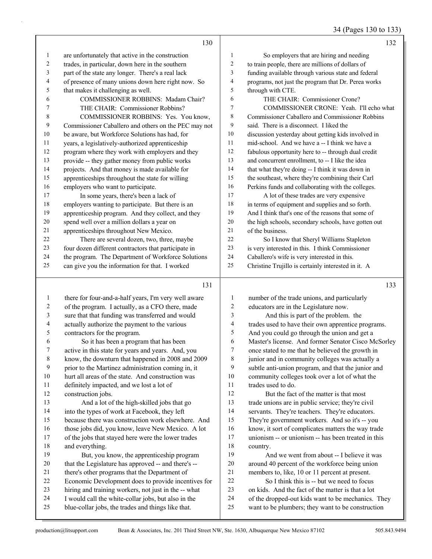34 (Pages 130 to 133)

|              | 130                                                  |                  | 132                                                  |
|--------------|------------------------------------------------------|------------------|------------------------------------------------------|
| $\mathbf{1}$ | are unfortunately that active in the construction    | $\mathbf{1}$     | So employers that are hiring and needing             |
| 2            | trades, in particular, down here in the southern     | 2                | to train people, there are millions of dollars of    |
| 3            | part of the state any longer. There's a real lack    | 3                | funding available through various state and federal  |
| 4            | of presence of many unions down here right now. So   | 4                | programs, not just the program that Dr. Perea works  |
| 5            | that makes it challenging as well.                   | 5                | through with CTE.                                    |
| 6            | COMMISSIONER ROBBINS: Madam Chair?                   | 6                | THE CHAIR: Commissioner Crone?                       |
| 7            | THE CHAIR: Commissioner Robbins?                     | 7                | COMMISSIONER CRONE: Yeah. I'll echo what             |
| 8            | COMMISSIONER ROBBINS: Yes. You know,                 | 8                | Commissioner Caballero and Commissioner Robbins      |
| 9            | Commissioner Caballero and others on the PEC may not | 9                | said. There is a disconnect. I liked the             |
| 10           | be aware, but Workforce Solutions has had, for       | 10               | discussion yesterday about getting kids involved in  |
| 11           | years, a legislatively-authorized apprenticeship     | 11               | mid-school. And we have a -- I think we have a       |
| 12           | program where they work with employers and they      | 12               | fabulous opportunity here to -- through dual credit  |
| 13           | provide -- they gather money from public works       | 13               | and concurrent enrollment, to -- I like the idea     |
| 14           | projects. And that money is made available for       | 14               | that what they're doing -- I think it was down in    |
| 15           | apprenticeships throughout the state for willing     | 15               | the southeast, where they're combining their Carl    |
| 16           | employers who want to participate.                   | 16               | Perkins funds and collaborating with the colleges.   |
| 17           | In some years, there's been a lack of                | 17               | A lot of these trades are very expensive             |
| 18           | employers wanting to participate. But there is an    | 18               | in terms of equipment and supplies and so forth.     |
| 19           | apprenticeship program. And they collect, and they   | 19               | And I think that's one of the reasons that some of   |
| 20           | spend well over a million dollars a year on          | $20\,$           | the high schools, secondary schools, have gotten out |
| 21           | apprenticeships throughout New Mexico.               | $21\,$           | of the business.                                     |
| 22           | There are several dozen, two, three, maybe           | 22               | So I know that Sheryl Williams Stapleton             |
| 23           | four dozen different contractors that participate in | 23               | is very interested in this. I think Commissioner     |
| 24           | the program. The Department of Workforce Solutions   | 24               | Caballero's wife is very interested in this.         |
| 25           | can give you the information for that. I worked      | 25               | Christine Trujillo is certainly interested in it. A  |
|              | 131                                                  |                  | 133                                                  |
| $\mathbf{1}$ | there for four-and-a-half years, I'm very well aware | $\mathbf{1}$     | number of the trade unions, and particularly         |
| 2            | of the program. I actually, as a CFO there, made     | $\overline{c}$   | educators are in the Legislature now.                |
| 3            | sure that that funding was transferred and would     | 3                | And this is part of the problem. the                 |
| 4            | actually authorize the payment to the various        | $\overline{4}$   | trades used to have their own apprentice programs.   |
| 5            | contractors for the program.                         | 5                | And you could go through the union and get a         |
| 6            | So it has been a program that has been               | 6                | Master's license. And former Senator Cisco McSorley  |
| 7            | active in this state for years and years. And, you   | $\boldsymbol{7}$ | once stated to me that he believed the growth in     |
| 8            | know, the downturn that happened in 2008 and 2009    | 8                | junior and in community colleges was actually a      |
| 9            | prior to the Martinez administration coming in, it   | 9                | subtle anti-union program, and that the junior and   |
| 10           | hurt all areas of the state. And construction was    | 10               | community colleges took over a lot of what the       |
| 11           | definitely impacted, and we lost a lot of            | 11               | trades used to do.                                   |
| 12           | construction jobs.                                   | 12               | But the fact of the matter is that most              |
| 13           | And a lot of the high-skilled jobs that go           | 13               | trade unions are in public service; they're civil    |
| 14           | into the types of work at Facebook, they left        | 14               | servants. They're teachers. They're educators.       |
| 15           | because there was construction work elsewhere. And   | 15               | They're government workers. And so it's -- you       |
| 16           | those jobs did, you know, leave New Mexico. A lot    | 16               | know, it sort of complicates matters the way trade   |
| 17           | of the jobs that stayed here were the lower trades   | $17\,$           | unionism -- or unionism -- has been treated in this  |
| $18\,$       | and everything.                                      | $18\,$           | country.                                             |

19 And we went from about -- I believe it was around 40 percent of the workforce being union members to, like, 10 or 11 percent at present. 22 So I think this is -- but we need to focus

 on kids. And the fact of the matter is that a lot of the dropped-out kids want to be mechanics. They want to be plumbers; they want to be construction

19 But, you know, the apprenticeship program that the Legislature has approved -- and there's -- there's other programs that the Department of

 Economic Development does to provide incentives for hiring and training workers, not just in the -- what I would call the white-collar jobs, but also in the blue-collar jobs, the trades and things like that.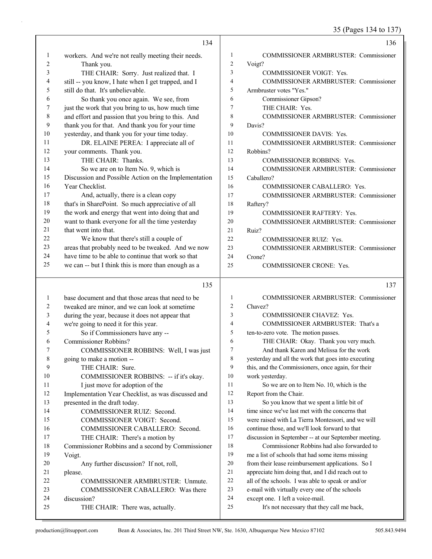35 (Pages 134 to 137)

|        | 134                                                                       |                     | 136                                                                                             |
|--------|---------------------------------------------------------------------------|---------------------|-------------------------------------------------------------------------------------------------|
| 1      | workers. And we're not really meeting their needs.                        | 1                   | COMMISSIONER ARMBRUSTER: Commissioner                                                           |
| 2      | Thank you.                                                                | $\overline{2}$      | Voigt?                                                                                          |
| 3      | THE CHAIR: Sorry. Just realized that. I                                   | 3                   | COMMISSIONER VOIGT: Yes.                                                                        |
| 4      | still -- you know, I hate when I get trapped, and I                       | $\overline{4}$      | COMMISSIONER ARMBRUSTER: Commissioner                                                           |
| 5      | still do that. It's unbelievable.                                         | 5                   | Armbruster votes "Yes."                                                                         |
| 6      | So thank you once again. We see, from                                     | 6                   | Commissioner Gipson?                                                                            |
| 7      | just the work that you bring to us, how much time                         | 7                   | THE CHAIR: Yes.                                                                                 |
| 8      | and effort and passion that you bring to this. And                        | 8                   | COMMISSIONER ARMBRUSTER: Commissioner                                                           |
| 9      | thank you for that. And thank you for your time                           | 9                   | Davis?                                                                                          |
| 10     | yesterday, and thank you for your time today.                             | 10                  | <b>COMMISSIONER DAVIS: Yes.</b>                                                                 |
| 11     | DR. ELAINE PEREA: I appreciate all of                                     | 11                  | <b>COMMISSIONER ARMBRUSTER: Commissioner</b>                                                    |
| 12     | your comments. Thank you.                                                 | 12                  | Robbins?                                                                                        |
| 13     | THE CHAIR: Thanks.                                                        | 13                  | <b>COMMISSIONER ROBBINS: Yes.</b>                                                               |
| 14     | So we are on to Item No. 9, which is                                      | 14                  | <b>COMMISSIONER ARMBRUSTER: Commissioner</b>                                                    |
| 15     | Discussion and Possible Action on the Implementation                      | 15                  | Caballero?                                                                                      |
| 16     | Year Checklist.                                                           | 16                  | COMMISSIONER CABALLERO: Yes.                                                                    |
| 17     | And, actually, there is a clean copy                                      | 17                  | <b>COMMISSIONER ARMBRUSTER: Commissioner</b>                                                    |
| 18     | that's in SharePoint. So much appreciative of all                         | 18                  | Raftery?                                                                                        |
| 19     | the work and energy that went into doing that and                         | 19                  | <b>COMMISSIONER RAFTERY: Yes.</b>                                                               |
| 20     | want to thank everyone for all the time yesterday                         | 20                  | <b>COMMISSIONER ARMBRUSTER: Commissioner</b>                                                    |
| 21     | that went into that.                                                      | 21                  | Ruiz?                                                                                           |
| 22     | We know that there's still a couple of                                    | 22                  | <b>COMMISSIONER RUIZ: Yes.</b>                                                                  |
| 23     | areas that probably need to be tweaked. And we now                        | 23                  | COMMISSIONER ARMBRUSTER: Commissioner                                                           |
| 24     | have time to be able to continue that work so that                        | 24                  | Crone?                                                                                          |
| 25     | we can -- but I think this is more than enough as a                       | 25                  | COMMISSIONER CRONE: Yes.                                                                        |
|        | 135                                                                       |                     | 137                                                                                             |
|        |                                                                           |                     |                                                                                                 |
| 1      | base document and that those areas that need to be                        | $\mathbf{1}$        | COMMISSIONER ARMBRUSTER: Commissioner                                                           |
| 2      | tweaked are minor, and we can look at sometime                            | $\overline{2}$      | Chavez?                                                                                         |
| 3      | during the year, because it does not appear that                          | 3<br>$\overline{4}$ | COMMISSIONER CHAVEZ: Yes.                                                                       |
| 4      | we're going to need it for this year.                                     | 5                   | COMMISSIONER ARMBRUSTER: That's a                                                               |
| 5      | So if Commissioners have any --                                           | 6                   | ten-to-zero vote. The motion passes.                                                            |
| 6<br>7 | Commissioner Robbins?                                                     | 7                   | THE CHAIR: Okay. Thank you very much.                                                           |
|        | COMMISSIONER ROBBINS: Well, I was just                                    | 8                   | And thank Karen and Melissa for the work<br>yesterday and all the work that goes into executing |
| 8<br>9 | going to make a motion --<br>THE CHAIR: Sure.                             | 9                   |                                                                                                 |
| 10     |                                                                           | 10                  | this, and the Commissioners, once again, for their<br>work yesterday.                           |
| 11     | COMMISSIONER ROBBINS: -- if it's okay.<br>I just move for adoption of the | 11                  | So we are on to Item No. 10, which is the                                                       |
| 12     | Implementation Year Checklist, as was discussed and                       | 12                  | Report from the Chair.                                                                          |
| 13     | presented in the draft today.                                             | 13                  | So you know that we spent a little bit of                                                       |
| 14     | COMMISSIONER RUIZ: Second.                                                | 14                  | time since we've last met with the concerns that                                                |
| 15     | COMMISSIONER VOIGT: Second.                                               | 15                  | were raised with La Tierra Montessori, and we will                                              |
| 16     | COMMISSIONER CABALLERO: Second.                                           | 16                  | continue those, and we'll look forward to that                                                  |
| 17     | THE CHAIR: There's a motion by                                            | 17                  | discussion in September -- at our September meeting.                                            |
| 18     | Commissioner Robbins and a second by Commissioner                         | 18                  | Commissioner Robbins had also forwarded to                                                      |
| 19     | Voigt.                                                                    | 19                  | me a list of schools that had some items missing                                                |
| 20     | Any further discussion? If not, roll,                                     | $20\,$              | from their lease reimbursement applications. So I                                               |
| 21     | please.                                                                   | 21                  | appreciate him doing that, and I did reach out to                                               |
| 22     | COMMISSIONER ARMBRUSTER: Unmute.                                          | 22                  | all of the schools. I was able to speak or and/or                                               |
| 23     | COMMISSIONER CABALLERO: Was there                                         | 23                  | e-mail with virtually every one of the schools                                                  |
| 24     | discussion?                                                               | 24                  | except one. I left a voice-mail.                                                                |
|        |                                                                           |                     |                                                                                                 |
| 25     | THE CHAIR: There was, actually.                                           | 25                  | It's not necessary that they call me back,                                                      |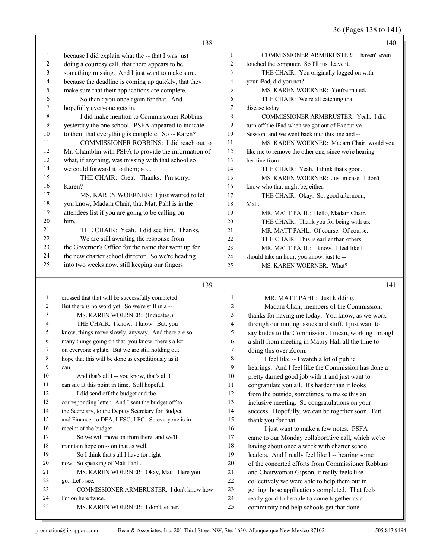36 (Pages 138 to 141)

|                          | 138                                                                                |                | 140                                                                                             |
|--------------------------|------------------------------------------------------------------------------------|----------------|-------------------------------------------------------------------------------------------------|
| $\mathbf{1}$             | because I did explain what the -- that I was just                                  | $\mathbf{1}$   | COMMISSIONER ARMBRUSTER: I haven't even                                                         |
| $\overline{\mathbf{c}}$  | doing a courtesy call, that there appears to be                                    | $\overline{c}$ | touched the computer. So I'll just leave it.                                                    |
| 3                        | something missing. And I just want to make sure,                                   | 3              | THE CHAIR: You originally logged on with                                                        |
| $\overline{\mathcal{A}}$ | because the deadline is coming up quickly, that they                               | 4              | your iPad, did you not?                                                                         |
| 5                        | make sure that their applications are complete.                                    | 5              | MS. KAREN WOERNER: You're muted.                                                                |
| 6                        | So thank you once again for that. And                                              | 6              | THE CHAIR: We're all catching that                                                              |
| 7                        | hopefully everyone gets in.                                                        | 7              | disease today.                                                                                  |
| $\,$ 8 $\,$              | I did make mention to Commissioner Robbins                                         | 8              | COMMISSIONER ARMBRUSTER: Yeah. I did                                                            |
| 9                        | yesterday the one school. PSFA appeared to indicate                                | 9              | turn off the iPad when we got out of Executive                                                  |
| 10                       | to them that everything is complete. So -- Karen?                                  | 10             | Session, and we went back into this one and --                                                  |
| 11                       | COMMISSIONER ROBBINS: I did reach out to                                           | 11             | MS. KAREN WOERNER: Madam Chair, would you                                                       |
| 12                       | Mr. Chamblin with PSFA to provide the information of                               | 12             | like me to remove the other one, since we're hearing                                            |
| 13                       | what, if anything, was missing with that school so                                 | 13             | her fine from --                                                                                |
| 14                       | we could forward it to them; so                                                    | 14             | THE CHAIR: Yeah. I think that's good.                                                           |
| 15                       | THE CHAIR: Great. Thanks. I'm sorry.                                               | 15             | MS. KAREN WOERNER: Just in case. I don't                                                        |
| 16                       | Karen?                                                                             | 16             | know who that might be, either.                                                                 |
| 17                       | MS. KAREN WOERNER: I just wanted to let                                            | 17             | THE CHAIR: Okay. So, good afternoon,                                                            |
| $18\,$                   | you know, Madam Chair, that Matt Pahl is in the                                    | 18             | Matt.                                                                                           |
| 19                       | attendees list if you are going to be calling on                                   | 19             | MR. MATT PAHL: Hello, Madam Chair.                                                              |
| 20                       | him.                                                                               | 20             | THE CHAIR: Thank you for being with us.                                                         |
| 21                       | THE CHAIR: Yeah. I did see him. Thanks.                                            | 21             | MR. MATT PAHL: Of course. Of course.                                                            |
| 22                       | We are still awaiting the response from                                            | 22             | THE CHAIR: This is earlier than others.                                                         |
| 23                       | the Governor's Office for the name that went up for                                | 23             | MR. MATT PAHL: I know. I feel like I                                                            |
| 24                       | the new charter school director. So we're heading                                  | 24             | should take an hour, you know, just to --                                                       |
| 25                       | into two weeks now, still keeping our fingers                                      | 25             | MS. KAREN WOERNER: What?                                                                        |
|                          |                                                                                    |                |                                                                                                 |
|                          |                                                                                    |                |                                                                                                 |
|                          | 139                                                                                |                | 141                                                                                             |
| $\mathbf{1}$             | crossed that that will be successfully completed.                                  | $\mathbf{1}$   | MR. MATT PAHL: Just kidding.                                                                    |
| 2                        | But there is no word yet. So we're still in a --                                   | $\overline{c}$ | Madam Chair, members of the Commission,                                                         |
| 3                        | MS. KAREN WOERNER: (Indicates.)                                                    | 3              | thanks for having me today. You know, as we work                                                |
| 4                        | THE CHAIR: I know. I know. But, you                                                | 4              | through our muting issues and stuff, I just want to                                             |
| 5                        | know, things move slowly, anyway. And there are so                                 | 5              | say kudos to the Commission, I mean, working through                                            |
| 6<br>7                   | many things going on that, you know, there's a lot                                 | 6              | a shift from meeting in Mabry Hall all the time to                                              |
| 8                        | on everyone's plate. But we are still holding out                                  | 7<br>8         | doing this over Zoom.                                                                           |
| 9                        | hope that this will be done as expeditiously as it<br>can.                         | 9              | I feel like -- I watch a lot of public                                                          |
| 10                       |                                                                                    | 10             | hearings. And I feel like the Commission has done a                                             |
| 11                       | And that's all I -- you know, that's all I                                         | 11             | pretty darned good job with it and just want to                                                 |
| 12                       | can say at this point in time. Still hopeful.<br>I did send off the budget and the | $12\,$         | congratulate you all. It's harder than it looks<br>from the outside, sometimes, to make this an |
| 13                       | corresponding letter. And I sent the budget off to                                 | 13             | inclusive meeting. So congratulations on your                                                   |
| 14                       | the Secretary, to the Deputy Secretary for Budget                                  | 14             | success. Hopefully, we can be together soon. But                                                |
| 15                       | and Finance, to DFA, LESC, LFC. So everyone is in                                  | 15             | thank you for that.                                                                             |
| 16                       | receipt of the budget.                                                             | 16             | I just want to make a few notes. PSFA                                                           |
| 17                       | So we will move on from there, and we'll                                           | 17             | came to our Monday collaborative call, which we're                                              |
| 18                       | maintain hope on -- on that as well.                                               | 18             | having about once a week with charter school                                                    |
| 19                       | So I think that's all I have for right                                             | 19             | leaders. And I really feel like I -- hearing some                                               |
| 20                       | now. So speaking of Matt Pahl                                                      | $20\,$         | of the concerted efforts from Commissioner Robbins                                              |
| 21                       | MS. KAREN WOERNER: Okay, Matt. Here you                                            | 21             | and Chairwoman Gipson, it really feels like                                                     |
| 22                       | go. Let's see.                                                                     | $22\,$         | collectively we were able to help them out in                                                   |
| 23                       | COMMISSIONER ARMBRUSTER: I don't know how                                          | 23             | getting those applications completed. That feels                                                |
| 24                       | I'm on here twice.<br>MS. KAREN WOERNER: I don't, either.                          | 24<br>25       | really good to be able to come together as a<br>community and help schools get that done.       |

production@litsupport.com Bean & Associates, Inc. 201 Third Street NW, Ste. 1630, Albuquerque New Mexico 87102 505.843.9494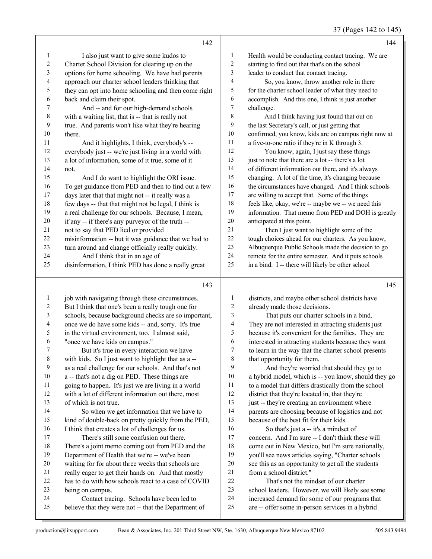#### 37 (Pages 142 to 145)

|           | 142                                                  |                | 144                                                  |
|-----------|------------------------------------------------------|----------------|------------------------------------------------------|
| 1         | I also just want to give some kudos to               | 1              | Health would be conducting contact tracing. We are   |
| 2         | Charter School Division for clearing up on the       | $\overline{c}$ | starting to find out that that's on the school       |
| 3         | options for home schooling. We have had parents      | 3              | leader to conduct that contact tracing.              |
| 4         | approach our charter school leaders thinking that    | 4              | So, you know, throw another role in there            |
| 5         | they can opt into home schooling and then come right | 5              | for the charter school leader of what they need to   |
| 6         | back and claim their spot.                           | 6              | accomplish. And this one, I think is just another    |
| 7         | And -- and for our high-demand schools               | 7              | challenge.                                           |
| $\,$ $\,$ | with a waiting list, that is -- that is really not   | 8              | And I think having just found that out on            |
| 9         | true. And parents won't like what they're hearing    | 9              | the last Secretary's call, or just getting that      |
| 10        | there.                                               | 10             | confirmed, you know, kids are on campus right now at |
| 11        | And it highlights, I think, everybody's --           | 11             | a five-to-one ratio if they're in K through 3.       |
| 12        | everybody just -- we're just living in a world with  | 12             | You know, again, I just say these things             |
| 13        | a lot of information, some of it true, some of it    | 13             | just to note that there are a lot -- there's a lot   |
| 14        | not.                                                 | 14             | of different information out there, and it's always  |
| 15        | And I do want to highlight the ORI issue.            | 15             | changing. A lot of the time, it's changing because   |
| 16        | To get guidance from PED and then to find out a few  | 16             | the circumstances have changed. And I think schools  |
| 17        | days later that that might not -- it really was a    | 17             | are willing to accept that. Some of the things       |
| 18        | few days -- that that might not be legal, I think is | 18             | feels like, okay, we're -- maybe we -- we need this  |
| 19        | a real challenge for our schools. Because, I mean,   | 19             | information. That memo from PED and DOH is greatly   |
| 20        | if any -- if there's any purveyor of the truth --    | 20             | anticipated at this point.                           |
| 21        | not to say that PED lied or provided                 | 21             | Then I just want to highlight some of the            |
| 22        | misinformation -- but it was guidance that we had to | 22             | tough choices ahead for our charters. As you know,   |
| 23        | turn around and change officially really quickly.    | 23             | Albuquerque Public Schools made the decision to go   |
| 24        | And I think that in an age of                        | 24             | remote for the entire semester. And it puts schools  |
| 25        | disinformation, I think PED has done a really great  | 25             | in a bind. I -- there will likely be other school    |
|           | 143                                                  |                | 145                                                  |
|           | job with navigating through these circumstances      |                | districts and maybe other school districts have      |

| 1  | job with navigating through these circumstances.     | 1  | d                  |
|----|------------------------------------------------------|----|--------------------|
| 2  | But I think that one's been a really tough one for   | 2  | a.                 |
| 3  | schools, because background checks are so important, | 3  |                    |
| 4  | once we do have some kids -- and, sorry. It's true   | 4  | T                  |
| 5  | in the virtual environment, too. I almost said,      | 5  | $\mathbf b$        |
| 6  | "once we have kids on campus."                       | 6  | $\dot{\mathbf{r}}$ |
| 7  | But it's true in every interaction we have           | 7  | to                 |
| 8  | with kids. So I just want to highlight that as a --  | 8  | t                  |
| 9  | as a real challenge for our schools. And that's not  | 9  |                    |
| 10 | a -- that's not a dig on PED. These things are       | 10 | $\mathbf{a}$       |
| 11 | going to happen. It's just we are living in a world  | 11 | to                 |
| 12 | with a lot of different information out there, most  | 12 | $\mathbf{d}$       |
| 13 | of which is not true.                                | 13 | jı                 |
| 14 | So when we get information that we have to           | 14 | $\mathbf{p}$       |
| 15 | kind of double-back on pretty quickly from the PED,  | 15 | b                  |
| 16 | I think that creates a lot of challenges for us.     | 16 |                    |
| 17 | There's still some confusion out there.              | 17 | $\mathbf{C}$       |
| 18 | There's a joint memo coming out from PED and the     | 18 | $\mathbf{C}$       |
| 19 | Department of Health that we're -- we've been        | 19 | y                  |
| 20 | waiting for for about three weeks that schools are   | 20 | S <sub>6</sub>     |
| 21 | really eager to get their hands on. And that mostly  | 21 | $\mathbf{f}$       |
| 22 | has to do with how schools react to a case of COVID  | 22 |                    |
| 23 | being on campus.                                     | 23 | S(                 |
| 24 | Contact tracing. Schools have been led to            | 24 | ir                 |
| 25 | believe that they were not -- that the Department of | 25 | a                  |
|    |                                                      |    |                    |

#### districts, and maybe other school districts have lready made those decisions.

That puts our charter schools in a bind. hey are not interested in attracting students just ecause it's convenient for the families. They are terested in attracting students because they want I dearn in the way that the charter school presents at opportunity for them. And they're worried that should they go to hybrid model, which is -- you know, should they go 11 a model that differs drastically from the school istrict that they're located in, that they're 1st -- they're creating an environment where arents are choosing because of logistics and not ecause of the best fit for their kids. So that's just a -- it's a mindset of oncern. And I'm sure -- I don't think these will ome out in New Mexico, but I'm sure nationally, ou'll see news articles saying, "Charter schools ee this as an opportunity to get all the students om a school district."

That's not the mindset of our charter chool leaders. However, we will likely see some ncreased demand for some of our programs that re -- offer some in-person services in a hybrid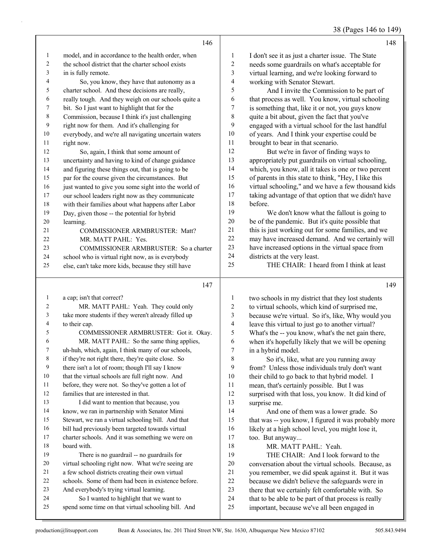38 (Pages 146 to 149)

| model, and in accordance to the health order, when<br>$\mathbf{1}$<br>I don't see it as just a charter issue. The State<br>1<br>2<br>the school district that the charter school exists<br>2<br>needs some guardrails on what's acceptable for<br>3<br>virtual learning, and we're looking forward to<br>3<br>in is fully remote.<br>4<br>working with Senator Stewart.<br>4<br>So, you know, they have that autonomy as a<br>charter school. And these decisions are really,<br>5<br>And I invite the Commission to be part of<br>5<br>6<br>really tough. And they weigh on our schools quite a<br>6<br>that process as well. You know, virtual schooling<br>$\boldsymbol{7}$<br>bit. So I just want to highlight that for the<br>is something that, like it or not, you guys know<br>7<br>8<br>$\,8\,$<br>quite a bit about, given the fact that you've<br>Commission, because I think it's just challenging<br>9<br>right now for them. And it's challenging for<br>9<br>engaged with a virtual school for the last handful<br>10<br>of years. And I think your expertise could be<br>10<br>everybody, and we're all navigating uncertain waters<br>11<br>brought to bear in that scenario.<br>11<br>right now.<br>12<br>But we're in favor of finding ways to<br>12<br>So, again, I think that some amount of<br>13<br>appropriately put guardrails on virtual schooling,<br>uncertainty and having to kind of change guidance<br>13<br>14<br>which, you know, all it takes is one or two percent<br>14<br>and figuring these things out, that is going to be<br>15<br>of parents in this state to think, "Hey, I like this<br>par for the course given the circumstances. But<br>15<br>16<br>virtual schooling," and we have a few thousand kids<br>just wanted to give you some sight into the world of<br>16<br>17<br>taking advantage of that option that we didn't have<br>17<br>our school leaders right now as they communicate<br>18<br>before.<br>18<br>with their families about what happens after Labor<br>19<br>We don't know what the fallout is going to<br>19<br>Day, given those -- the potential for hybrid<br>20<br>be of the pandemic. But it's quite possible that<br>$20\,$<br>learning.<br>$21\,$<br>this is just working out for some families, and we<br>21<br>COMMISSIONER ARMBRUSTER: Matt?<br>22<br>may have increased demand. And we certainly will<br>22<br>MR. MATT PAHL: Yes.<br>23<br>have increased options in the virtual space from<br>23<br>COMMISSIONER ARMBRUSTER: So a charter<br>24<br>districts at the very least.<br>24<br>school who is virtual right now, as is everybody<br>25<br>THE CHAIR: I heard from I think at least<br>else, can't take more kids, because they still have<br>25<br>149<br>147<br>a cap; isn't that correct?<br>$\mathbf{1}$<br>$\mathbf{1}$<br>two schools in my district that they lost students<br>$\overline{c}$<br>$\overline{c}$<br>MR. MATT PAHL: Yeah. They could only<br>to virtual schools, which kind of surprised me,<br>3<br>3<br>take more students if they weren't already filled up<br>because we're virtual. So it's, like, Why would you<br>$\overline{\mathcal{L}}$<br>4<br>to their cap.<br>leave this virtual to just go to another virtual?<br>5<br>5<br>COMMISSIONER ARMBRUSTER: Got it. Okay.<br>What's the -- you know, what's the net gain there,<br>6<br>MR. MATT PAHL: So the same thing applies,<br>6<br>when it's hopefully likely that we will be opening<br>7<br>uh-huh, which, again, I think many of our schools,<br>7<br>in a hybrid model.<br>8<br>if they're not right there, they're quite close. So<br>8<br>So it's, like, what are you running away<br>9<br>there isn't a lot of room; though I'll say I know<br>9<br>from? Unless those individuals truly don't want<br>that the virtual schools are full right now. And<br>10<br>their child to go back to that hybrid model. I<br>10<br>before, they were not. So they've gotten a lot of<br>11<br>11<br>mean, that's certainly possible. But I was<br>families that are interested in that.<br>12<br>12<br>surprised with that loss, you know. It did kind of<br>13<br>13<br>I did want to mention that because, you<br>surprise me.<br>14<br>14<br>know, we ran in partnership with Senator Mimi<br>And one of them was a lower grade. So<br>15<br>Stewart, we ran a virtual schooling bill. And that<br>15<br>that was -- you know, I figured it was probably more<br>bill had previously been targeted towards virtual<br>16<br>16<br>likely at a high school level, you might lose it,<br>17<br>17<br>charter schools. And it was something we were on<br>too. But anyway<br>18<br>18<br>board with.<br>MR. MATT PAHL: Yeah.<br>19<br>19<br>THE CHAIR: And I look forward to the<br>There is no guardrail -- no guardrails for<br>$20\,$<br>virtual schooling right now. What we're seeing are<br>20<br>conversation about the virtual schools. Because, as<br>a few school districts creating their own virtual<br>21<br>you remember, we did speak against it. But it was<br>21<br>schools. Some of them had been in existence before.<br>$22\,$<br>22<br>because we didn't believe the safeguards were in<br>$23\,$<br>And everybody's trying virtual learning.<br>23<br>there that we certainly felt comfortable with. So<br>24<br>So I wanted to highlight that we want to<br>that to be able to be part of that process is really<br>24 | 146 | 148 |
|------------------------------------------------------------------------------------------------------------------------------------------------------------------------------------------------------------------------------------------------------------------------------------------------------------------------------------------------------------------------------------------------------------------------------------------------------------------------------------------------------------------------------------------------------------------------------------------------------------------------------------------------------------------------------------------------------------------------------------------------------------------------------------------------------------------------------------------------------------------------------------------------------------------------------------------------------------------------------------------------------------------------------------------------------------------------------------------------------------------------------------------------------------------------------------------------------------------------------------------------------------------------------------------------------------------------------------------------------------------------------------------------------------------------------------------------------------------------------------------------------------------------------------------------------------------------------------------------------------------------------------------------------------------------------------------------------------------------------------------------------------------------------------------------------------------------------------------------------------------------------------------------------------------------------------------------------------------------------------------------------------------------------------------------------------------------------------------------------------------------------------------------------------------------------------------------------------------------------------------------------------------------------------------------------------------------------------------------------------------------------------------------------------------------------------------------------------------------------------------------------------------------------------------------------------------------------------------------------------------------------------------------------------------------------------------------------------------------------------------------------------------------------------------------------------------------------------------------------------------------------------------------------------------------------------------------------------------------------------------------------------------------------------------------------------------------------------------------------------------------------------------------------------------------------------------------------------------------------------------------------------------------------------------------------------------------------------------------------------------------------------------------------------------------------------------------------------------------------------------------------------------------------------------------------------------------------------------------------------------------------------------------------------------------------------------------------------------------------------------------------------------------------------------------------------------------------------------------------------------------------------------------------------------------------------------------------------------------------------------------------------------------------------------------------------------------------------------------------------------------------------------------------------------------------------------------------------------------------------------------------------------------------------------------------------------------------------------------------------------------------------------------------------------------------------------------------------------------------------------------------------------------------------------------------------------------------------------------------------------------------------------------------------------------------------------------------------------------------------------------------------------------------------------------------------------------------------------------------------------------------------------------------------------------------------------------------------------------------------------------------------------------------------------------------------------------------------------------------------------------------------------------------------------------------------------------------------------------------------------------------------------------------------------------------------------------------------------------------------------------------------------------------------------------|-----|-----|
|                                                                                                                                                                                                                                                                                                                                                                                                                                                                                                                                                                                                                                                                                                                                                                                                                                                                                                                                                                                                                                                                                                                                                                                                                                                                                                                                                                                                                                                                                                                                                                                                                                                                                                                                                                                                                                                                                                                                                                                                                                                                                                                                                                                                                                                                                                                                                                                                                                                                                                                                                                                                                                                                                                                                                                                                                                                                                                                                                                                                                                                                                                                                                                                                                                                                                                                                                                                                                                                                                                                                                                                                                                                                                                                                                                                                                                                                                                                                                                                                                                                                                                                                                                                                                                                                                                                                                                                                                                                                                                                                                                                                                                                                                                                                                                                                                                                                                                                                                                                                                                                                                                                                                                                                                                                                                                                                                                                                                        |     |     |
|                                                                                                                                                                                                                                                                                                                                                                                                                                                                                                                                                                                                                                                                                                                                                                                                                                                                                                                                                                                                                                                                                                                                                                                                                                                                                                                                                                                                                                                                                                                                                                                                                                                                                                                                                                                                                                                                                                                                                                                                                                                                                                                                                                                                                                                                                                                                                                                                                                                                                                                                                                                                                                                                                                                                                                                                                                                                                                                                                                                                                                                                                                                                                                                                                                                                                                                                                                                                                                                                                                                                                                                                                                                                                                                                                                                                                                                                                                                                                                                                                                                                                                                                                                                                                                                                                                                                                                                                                                                                                                                                                                                                                                                                                                                                                                                                                                                                                                                                                                                                                                                                                                                                                                                                                                                                                                                                                                                                                        |     |     |
|                                                                                                                                                                                                                                                                                                                                                                                                                                                                                                                                                                                                                                                                                                                                                                                                                                                                                                                                                                                                                                                                                                                                                                                                                                                                                                                                                                                                                                                                                                                                                                                                                                                                                                                                                                                                                                                                                                                                                                                                                                                                                                                                                                                                                                                                                                                                                                                                                                                                                                                                                                                                                                                                                                                                                                                                                                                                                                                                                                                                                                                                                                                                                                                                                                                                                                                                                                                                                                                                                                                                                                                                                                                                                                                                                                                                                                                                                                                                                                                                                                                                                                                                                                                                                                                                                                                                                                                                                                                                                                                                                                                                                                                                                                                                                                                                                                                                                                                                                                                                                                                                                                                                                                                                                                                                                                                                                                                                                        |     |     |
|                                                                                                                                                                                                                                                                                                                                                                                                                                                                                                                                                                                                                                                                                                                                                                                                                                                                                                                                                                                                                                                                                                                                                                                                                                                                                                                                                                                                                                                                                                                                                                                                                                                                                                                                                                                                                                                                                                                                                                                                                                                                                                                                                                                                                                                                                                                                                                                                                                                                                                                                                                                                                                                                                                                                                                                                                                                                                                                                                                                                                                                                                                                                                                                                                                                                                                                                                                                                                                                                                                                                                                                                                                                                                                                                                                                                                                                                                                                                                                                                                                                                                                                                                                                                                                                                                                                                                                                                                                                                                                                                                                                                                                                                                                                                                                                                                                                                                                                                                                                                                                                                                                                                                                                                                                                                                                                                                                                                                        |     |     |
|                                                                                                                                                                                                                                                                                                                                                                                                                                                                                                                                                                                                                                                                                                                                                                                                                                                                                                                                                                                                                                                                                                                                                                                                                                                                                                                                                                                                                                                                                                                                                                                                                                                                                                                                                                                                                                                                                                                                                                                                                                                                                                                                                                                                                                                                                                                                                                                                                                                                                                                                                                                                                                                                                                                                                                                                                                                                                                                                                                                                                                                                                                                                                                                                                                                                                                                                                                                                                                                                                                                                                                                                                                                                                                                                                                                                                                                                                                                                                                                                                                                                                                                                                                                                                                                                                                                                                                                                                                                                                                                                                                                                                                                                                                                                                                                                                                                                                                                                                                                                                                                                                                                                                                                                                                                                                                                                                                                                                        |     |     |
|                                                                                                                                                                                                                                                                                                                                                                                                                                                                                                                                                                                                                                                                                                                                                                                                                                                                                                                                                                                                                                                                                                                                                                                                                                                                                                                                                                                                                                                                                                                                                                                                                                                                                                                                                                                                                                                                                                                                                                                                                                                                                                                                                                                                                                                                                                                                                                                                                                                                                                                                                                                                                                                                                                                                                                                                                                                                                                                                                                                                                                                                                                                                                                                                                                                                                                                                                                                                                                                                                                                                                                                                                                                                                                                                                                                                                                                                                                                                                                                                                                                                                                                                                                                                                                                                                                                                                                                                                                                                                                                                                                                                                                                                                                                                                                                                                                                                                                                                                                                                                                                                                                                                                                                                                                                                                                                                                                                                                        |     |     |
|                                                                                                                                                                                                                                                                                                                                                                                                                                                                                                                                                                                                                                                                                                                                                                                                                                                                                                                                                                                                                                                                                                                                                                                                                                                                                                                                                                                                                                                                                                                                                                                                                                                                                                                                                                                                                                                                                                                                                                                                                                                                                                                                                                                                                                                                                                                                                                                                                                                                                                                                                                                                                                                                                                                                                                                                                                                                                                                                                                                                                                                                                                                                                                                                                                                                                                                                                                                                                                                                                                                                                                                                                                                                                                                                                                                                                                                                                                                                                                                                                                                                                                                                                                                                                                                                                                                                                                                                                                                                                                                                                                                                                                                                                                                                                                                                                                                                                                                                                                                                                                                                                                                                                                                                                                                                                                                                                                                                                        |     |     |
|                                                                                                                                                                                                                                                                                                                                                                                                                                                                                                                                                                                                                                                                                                                                                                                                                                                                                                                                                                                                                                                                                                                                                                                                                                                                                                                                                                                                                                                                                                                                                                                                                                                                                                                                                                                                                                                                                                                                                                                                                                                                                                                                                                                                                                                                                                                                                                                                                                                                                                                                                                                                                                                                                                                                                                                                                                                                                                                                                                                                                                                                                                                                                                                                                                                                                                                                                                                                                                                                                                                                                                                                                                                                                                                                                                                                                                                                                                                                                                                                                                                                                                                                                                                                                                                                                                                                                                                                                                                                                                                                                                                                                                                                                                                                                                                                                                                                                                                                                                                                                                                                                                                                                                                                                                                                                                                                                                                                                        |     |     |
|                                                                                                                                                                                                                                                                                                                                                                                                                                                                                                                                                                                                                                                                                                                                                                                                                                                                                                                                                                                                                                                                                                                                                                                                                                                                                                                                                                                                                                                                                                                                                                                                                                                                                                                                                                                                                                                                                                                                                                                                                                                                                                                                                                                                                                                                                                                                                                                                                                                                                                                                                                                                                                                                                                                                                                                                                                                                                                                                                                                                                                                                                                                                                                                                                                                                                                                                                                                                                                                                                                                                                                                                                                                                                                                                                                                                                                                                                                                                                                                                                                                                                                                                                                                                                                                                                                                                                                                                                                                                                                                                                                                                                                                                                                                                                                                                                                                                                                                                                                                                                                                                                                                                                                                                                                                                                                                                                                                                                        |     |     |
|                                                                                                                                                                                                                                                                                                                                                                                                                                                                                                                                                                                                                                                                                                                                                                                                                                                                                                                                                                                                                                                                                                                                                                                                                                                                                                                                                                                                                                                                                                                                                                                                                                                                                                                                                                                                                                                                                                                                                                                                                                                                                                                                                                                                                                                                                                                                                                                                                                                                                                                                                                                                                                                                                                                                                                                                                                                                                                                                                                                                                                                                                                                                                                                                                                                                                                                                                                                                                                                                                                                                                                                                                                                                                                                                                                                                                                                                                                                                                                                                                                                                                                                                                                                                                                                                                                                                                                                                                                                                                                                                                                                                                                                                                                                                                                                                                                                                                                                                                                                                                                                                                                                                                                                                                                                                                                                                                                                                                        |     |     |
|                                                                                                                                                                                                                                                                                                                                                                                                                                                                                                                                                                                                                                                                                                                                                                                                                                                                                                                                                                                                                                                                                                                                                                                                                                                                                                                                                                                                                                                                                                                                                                                                                                                                                                                                                                                                                                                                                                                                                                                                                                                                                                                                                                                                                                                                                                                                                                                                                                                                                                                                                                                                                                                                                                                                                                                                                                                                                                                                                                                                                                                                                                                                                                                                                                                                                                                                                                                                                                                                                                                                                                                                                                                                                                                                                                                                                                                                                                                                                                                                                                                                                                                                                                                                                                                                                                                                                                                                                                                                                                                                                                                                                                                                                                                                                                                                                                                                                                                                                                                                                                                                                                                                                                                                                                                                                                                                                                                                                        |     |     |
|                                                                                                                                                                                                                                                                                                                                                                                                                                                                                                                                                                                                                                                                                                                                                                                                                                                                                                                                                                                                                                                                                                                                                                                                                                                                                                                                                                                                                                                                                                                                                                                                                                                                                                                                                                                                                                                                                                                                                                                                                                                                                                                                                                                                                                                                                                                                                                                                                                                                                                                                                                                                                                                                                                                                                                                                                                                                                                                                                                                                                                                                                                                                                                                                                                                                                                                                                                                                                                                                                                                                                                                                                                                                                                                                                                                                                                                                                                                                                                                                                                                                                                                                                                                                                                                                                                                                                                                                                                                                                                                                                                                                                                                                                                                                                                                                                                                                                                                                                                                                                                                                                                                                                                                                                                                                                                                                                                                                                        |     |     |
|                                                                                                                                                                                                                                                                                                                                                                                                                                                                                                                                                                                                                                                                                                                                                                                                                                                                                                                                                                                                                                                                                                                                                                                                                                                                                                                                                                                                                                                                                                                                                                                                                                                                                                                                                                                                                                                                                                                                                                                                                                                                                                                                                                                                                                                                                                                                                                                                                                                                                                                                                                                                                                                                                                                                                                                                                                                                                                                                                                                                                                                                                                                                                                                                                                                                                                                                                                                                                                                                                                                                                                                                                                                                                                                                                                                                                                                                                                                                                                                                                                                                                                                                                                                                                                                                                                                                                                                                                                                                                                                                                                                                                                                                                                                                                                                                                                                                                                                                                                                                                                                                                                                                                                                                                                                                                                                                                                                                                        |     |     |
|                                                                                                                                                                                                                                                                                                                                                                                                                                                                                                                                                                                                                                                                                                                                                                                                                                                                                                                                                                                                                                                                                                                                                                                                                                                                                                                                                                                                                                                                                                                                                                                                                                                                                                                                                                                                                                                                                                                                                                                                                                                                                                                                                                                                                                                                                                                                                                                                                                                                                                                                                                                                                                                                                                                                                                                                                                                                                                                                                                                                                                                                                                                                                                                                                                                                                                                                                                                                                                                                                                                                                                                                                                                                                                                                                                                                                                                                                                                                                                                                                                                                                                                                                                                                                                                                                                                                                                                                                                                                                                                                                                                                                                                                                                                                                                                                                                                                                                                                                                                                                                                                                                                                                                                                                                                                                                                                                                                                                        |     |     |
|                                                                                                                                                                                                                                                                                                                                                                                                                                                                                                                                                                                                                                                                                                                                                                                                                                                                                                                                                                                                                                                                                                                                                                                                                                                                                                                                                                                                                                                                                                                                                                                                                                                                                                                                                                                                                                                                                                                                                                                                                                                                                                                                                                                                                                                                                                                                                                                                                                                                                                                                                                                                                                                                                                                                                                                                                                                                                                                                                                                                                                                                                                                                                                                                                                                                                                                                                                                                                                                                                                                                                                                                                                                                                                                                                                                                                                                                                                                                                                                                                                                                                                                                                                                                                                                                                                                                                                                                                                                                                                                                                                                                                                                                                                                                                                                                                                                                                                                                                                                                                                                                                                                                                                                                                                                                                                                                                                                                                        |     |     |
|                                                                                                                                                                                                                                                                                                                                                                                                                                                                                                                                                                                                                                                                                                                                                                                                                                                                                                                                                                                                                                                                                                                                                                                                                                                                                                                                                                                                                                                                                                                                                                                                                                                                                                                                                                                                                                                                                                                                                                                                                                                                                                                                                                                                                                                                                                                                                                                                                                                                                                                                                                                                                                                                                                                                                                                                                                                                                                                                                                                                                                                                                                                                                                                                                                                                                                                                                                                                                                                                                                                                                                                                                                                                                                                                                                                                                                                                                                                                                                                                                                                                                                                                                                                                                                                                                                                                                                                                                                                                                                                                                                                                                                                                                                                                                                                                                                                                                                                                                                                                                                                                                                                                                                                                                                                                                                                                                                                                                        |     |     |
|                                                                                                                                                                                                                                                                                                                                                                                                                                                                                                                                                                                                                                                                                                                                                                                                                                                                                                                                                                                                                                                                                                                                                                                                                                                                                                                                                                                                                                                                                                                                                                                                                                                                                                                                                                                                                                                                                                                                                                                                                                                                                                                                                                                                                                                                                                                                                                                                                                                                                                                                                                                                                                                                                                                                                                                                                                                                                                                                                                                                                                                                                                                                                                                                                                                                                                                                                                                                                                                                                                                                                                                                                                                                                                                                                                                                                                                                                                                                                                                                                                                                                                                                                                                                                                                                                                                                                                                                                                                                                                                                                                                                                                                                                                                                                                                                                                                                                                                                                                                                                                                                                                                                                                                                                                                                                                                                                                                                                        |     |     |
|                                                                                                                                                                                                                                                                                                                                                                                                                                                                                                                                                                                                                                                                                                                                                                                                                                                                                                                                                                                                                                                                                                                                                                                                                                                                                                                                                                                                                                                                                                                                                                                                                                                                                                                                                                                                                                                                                                                                                                                                                                                                                                                                                                                                                                                                                                                                                                                                                                                                                                                                                                                                                                                                                                                                                                                                                                                                                                                                                                                                                                                                                                                                                                                                                                                                                                                                                                                                                                                                                                                                                                                                                                                                                                                                                                                                                                                                                                                                                                                                                                                                                                                                                                                                                                                                                                                                                                                                                                                                                                                                                                                                                                                                                                                                                                                                                                                                                                                                                                                                                                                                                                                                                                                                                                                                                                                                                                                                                        |     |     |
|                                                                                                                                                                                                                                                                                                                                                                                                                                                                                                                                                                                                                                                                                                                                                                                                                                                                                                                                                                                                                                                                                                                                                                                                                                                                                                                                                                                                                                                                                                                                                                                                                                                                                                                                                                                                                                                                                                                                                                                                                                                                                                                                                                                                                                                                                                                                                                                                                                                                                                                                                                                                                                                                                                                                                                                                                                                                                                                                                                                                                                                                                                                                                                                                                                                                                                                                                                                                                                                                                                                                                                                                                                                                                                                                                                                                                                                                                                                                                                                                                                                                                                                                                                                                                                                                                                                                                                                                                                                                                                                                                                                                                                                                                                                                                                                                                                                                                                                                                                                                                                                                                                                                                                                                                                                                                                                                                                                                                        |     |     |
|                                                                                                                                                                                                                                                                                                                                                                                                                                                                                                                                                                                                                                                                                                                                                                                                                                                                                                                                                                                                                                                                                                                                                                                                                                                                                                                                                                                                                                                                                                                                                                                                                                                                                                                                                                                                                                                                                                                                                                                                                                                                                                                                                                                                                                                                                                                                                                                                                                                                                                                                                                                                                                                                                                                                                                                                                                                                                                                                                                                                                                                                                                                                                                                                                                                                                                                                                                                                                                                                                                                                                                                                                                                                                                                                                                                                                                                                                                                                                                                                                                                                                                                                                                                                                                                                                                                                                                                                                                                                                                                                                                                                                                                                                                                                                                                                                                                                                                                                                                                                                                                                                                                                                                                                                                                                                                                                                                                                                        |     |     |
|                                                                                                                                                                                                                                                                                                                                                                                                                                                                                                                                                                                                                                                                                                                                                                                                                                                                                                                                                                                                                                                                                                                                                                                                                                                                                                                                                                                                                                                                                                                                                                                                                                                                                                                                                                                                                                                                                                                                                                                                                                                                                                                                                                                                                                                                                                                                                                                                                                                                                                                                                                                                                                                                                                                                                                                                                                                                                                                                                                                                                                                                                                                                                                                                                                                                                                                                                                                                                                                                                                                                                                                                                                                                                                                                                                                                                                                                                                                                                                                                                                                                                                                                                                                                                                                                                                                                                                                                                                                                                                                                                                                                                                                                                                                                                                                                                                                                                                                                                                                                                                                                                                                                                                                                                                                                                                                                                                                                                        |     |     |
|                                                                                                                                                                                                                                                                                                                                                                                                                                                                                                                                                                                                                                                                                                                                                                                                                                                                                                                                                                                                                                                                                                                                                                                                                                                                                                                                                                                                                                                                                                                                                                                                                                                                                                                                                                                                                                                                                                                                                                                                                                                                                                                                                                                                                                                                                                                                                                                                                                                                                                                                                                                                                                                                                                                                                                                                                                                                                                                                                                                                                                                                                                                                                                                                                                                                                                                                                                                                                                                                                                                                                                                                                                                                                                                                                                                                                                                                                                                                                                                                                                                                                                                                                                                                                                                                                                                                                                                                                                                                                                                                                                                                                                                                                                                                                                                                                                                                                                                                                                                                                                                                                                                                                                                                                                                                                                                                                                                                                        |     |     |
|                                                                                                                                                                                                                                                                                                                                                                                                                                                                                                                                                                                                                                                                                                                                                                                                                                                                                                                                                                                                                                                                                                                                                                                                                                                                                                                                                                                                                                                                                                                                                                                                                                                                                                                                                                                                                                                                                                                                                                                                                                                                                                                                                                                                                                                                                                                                                                                                                                                                                                                                                                                                                                                                                                                                                                                                                                                                                                                                                                                                                                                                                                                                                                                                                                                                                                                                                                                                                                                                                                                                                                                                                                                                                                                                                                                                                                                                                                                                                                                                                                                                                                                                                                                                                                                                                                                                                                                                                                                                                                                                                                                                                                                                                                                                                                                                                                                                                                                                                                                                                                                                                                                                                                                                                                                                                                                                                                                                                        |     |     |
|                                                                                                                                                                                                                                                                                                                                                                                                                                                                                                                                                                                                                                                                                                                                                                                                                                                                                                                                                                                                                                                                                                                                                                                                                                                                                                                                                                                                                                                                                                                                                                                                                                                                                                                                                                                                                                                                                                                                                                                                                                                                                                                                                                                                                                                                                                                                                                                                                                                                                                                                                                                                                                                                                                                                                                                                                                                                                                                                                                                                                                                                                                                                                                                                                                                                                                                                                                                                                                                                                                                                                                                                                                                                                                                                                                                                                                                                                                                                                                                                                                                                                                                                                                                                                                                                                                                                                                                                                                                                                                                                                                                                                                                                                                                                                                                                                                                                                                                                                                                                                                                                                                                                                                                                                                                                                                                                                                                                                        |     |     |
|                                                                                                                                                                                                                                                                                                                                                                                                                                                                                                                                                                                                                                                                                                                                                                                                                                                                                                                                                                                                                                                                                                                                                                                                                                                                                                                                                                                                                                                                                                                                                                                                                                                                                                                                                                                                                                                                                                                                                                                                                                                                                                                                                                                                                                                                                                                                                                                                                                                                                                                                                                                                                                                                                                                                                                                                                                                                                                                                                                                                                                                                                                                                                                                                                                                                                                                                                                                                                                                                                                                                                                                                                                                                                                                                                                                                                                                                                                                                                                                                                                                                                                                                                                                                                                                                                                                                                                                                                                                                                                                                                                                                                                                                                                                                                                                                                                                                                                                                                                                                                                                                                                                                                                                                                                                                                                                                                                                                                        |     |     |
|                                                                                                                                                                                                                                                                                                                                                                                                                                                                                                                                                                                                                                                                                                                                                                                                                                                                                                                                                                                                                                                                                                                                                                                                                                                                                                                                                                                                                                                                                                                                                                                                                                                                                                                                                                                                                                                                                                                                                                                                                                                                                                                                                                                                                                                                                                                                                                                                                                                                                                                                                                                                                                                                                                                                                                                                                                                                                                                                                                                                                                                                                                                                                                                                                                                                                                                                                                                                                                                                                                                                                                                                                                                                                                                                                                                                                                                                                                                                                                                                                                                                                                                                                                                                                                                                                                                                                                                                                                                                                                                                                                                                                                                                                                                                                                                                                                                                                                                                                                                                                                                                                                                                                                                                                                                                                                                                                                                                                        |     |     |
|                                                                                                                                                                                                                                                                                                                                                                                                                                                                                                                                                                                                                                                                                                                                                                                                                                                                                                                                                                                                                                                                                                                                                                                                                                                                                                                                                                                                                                                                                                                                                                                                                                                                                                                                                                                                                                                                                                                                                                                                                                                                                                                                                                                                                                                                                                                                                                                                                                                                                                                                                                                                                                                                                                                                                                                                                                                                                                                                                                                                                                                                                                                                                                                                                                                                                                                                                                                                                                                                                                                                                                                                                                                                                                                                                                                                                                                                                                                                                                                                                                                                                                                                                                                                                                                                                                                                                                                                                                                                                                                                                                                                                                                                                                                                                                                                                                                                                                                                                                                                                                                                                                                                                                                                                                                                                                                                                                                                                        |     |     |
|                                                                                                                                                                                                                                                                                                                                                                                                                                                                                                                                                                                                                                                                                                                                                                                                                                                                                                                                                                                                                                                                                                                                                                                                                                                                                                                                                                                                                                                                                                                                                                                                                                                                                                                                                                                                                                                                                                                                                                                                                                                                                                                                                                                                                                                                                                                                                                                                                                                                                                                                                                                                                                                                                                                                                                                                                                                                                                                                                                                                                                                                                                                                                                                                                                                                                                                                                                                                                                                                                                                                                                                                                                                                                                                                                                                                                                                                                                                                                                                                                                                                                                                                                                                                                                                                                                                                                                                                                                                                                                                                                                                                                                                                                                                                                                                                                                                                                                                                                                                                                                                                                                                                                                                                                                                                                                                                                                                                                        |     |     |
|                                                                                                                                                                                                                                                                                                                                                                                                                                                                                                                                                                                                                                                                                                                                                                                                                                                                                                                                                                                                                                                                                                                                                                                                                                                                                                                                                                                                                                                                                                                                                                                                                                                                                                                                                                                                                                                                                                                                                                                                                                                                                                                                                                                                                                                                                                                                                                                                                                                                                                                                                                                                                                                                                                                                                                                                                                                                                                                                                                                                                                                                                                                                                                                                                                                                                                                                                                                                                                                                                                                                                                                                                                                                                                                                                                                                                                                                                                                                                                                                                                                                                                                                                                                                                                                                                                                                                                                                                                                                                                                                                                                                                                                                                                                                                                                                                                                                                                                                                                                                                                                                                                                                                                                                                                                                                                                                                                                                                        |     |     |
|                                                                                                                                                                                                                                                                                                                                                                                                                                                                                                                                                                                                                                                                                                                                                                                                                                                                                                                                                                                                                                                                                                                                                                                                                                                                                                                                                                                                                                                                                                                                                                                                                                                                                                                                                                                                                                                                                                                                                                                                                                                                                                                                                                                                                                                                                                                                                                                                                                                                                                                                                                                                                                                                                                                                                                                                                                                                                                                                                                                                                                                                                                                                                                                                                                                                                                                                                                                                                                                                                                                                                                                                                                                                                                                                                                                                                                                                                                                                                                                                                                                                                                                                                                                                                                                                                                                                                                                                                                                                                                                                                                                                                                                                                                                                                                                                                                                                                                                                                                                                                                                                                                                                                                                                                                                                                                                                                                                                                        |     |     |
|                                                                                                                                                                                                                                                                                                                                                                                                                                                                                                                                                                                                                                                                                                                                                                                                                                                                                                                                                                                                                                                                                                                                                                                                                                                                                                                                                                                                                                                                                                                                                                                                                                                                                                                                                                                                                                                                                                                                                                                                                                                                                                                                                                                                                                                                                                                                                                                                                                                                                                                                                                                                                                                                                                                                                                                                                                                                                                                                                                                                                                                                                                                                                                                                                                                                                                                                                                                                                                                                                                                                                                                                                                                                                                                                                                                                                                                                                                                                                                                                                                                                                                                                                                                                                                                                                                                                                                                                                                                                                                                                                                                                                                                                                                                                                                                                                                                                                                                                                                                                                                                                                                                                                                                                                                                                                                                                                                                                                        |     |     |
|                                                                                                                                                                                                                                                                                                                                                                                                                                                                                                                                                                                                                                                                                                                                                                                                                                                                                                                                                                                                                                                                                                                                                                                                                                                                                                                                                                                                                                                                                                                                                                                                                                                                                                                                                                                                                                                                                                                                                                                                                                                                                                                                                                                                                                                                                                                                                                                                                                                                                                                                                                                                                                                                                                                                                                                                                                                                                                                                                                                                                                                                                                                                                                                                                                                                                                                                                                                                                                                                                                                                                                                                                                                                                                                                                                                                                                                                                                                                                                                                                                                                                                                                                                                                                                                                                                                                                                                                                                                                                                                                                                                                                                                                                                                                                                                                                                                                                                                                                                                                                                                                                                                                                                                                                                                                                                                                                                                                                        |     |     |
|                                                                                                                                                                                                                                                                                                                                                                                                                                                                                                                                                                                                                                                                                                                                                                                                                                                                                                                                                                                                                                                                                                                                                                                                                                                                                                                                                                                                                                                                                                                                                                                                                                                                                                                                                                                                                                                                                                                                                                                                                                                                                                                                                                                                                                                                                                                                                                                                                                                                                                                                                                                                                                                                                                                                                                                                                                                                                                                                                                                                                                                                                                                                                                                                                                                                                                                                                                                                                                                                                                                                                                                                                                                                                                                                                                                                                                                                                                                                                                                                                                                                                                                                                                                                                                                                                                                                                                                                                                                                                                                                                                                                                                                                                                                                                                                                                                                                                                                                                                                                                                                                                                                                                                                                                                                                                                                                                                                                                        |     |     |
|                                                                                                                                                                                                                                                                                                                                                                                                                                                                                                                                                                                                                                                                                                                                                                                                                                                                                                                                                                                                                                                                                                                                                                                                                                                                                                                                                                                                                                                                                                                                                                                                                                                                                                                                                                                                                                                                                                                                                                                                                                                                                                                                                                                                                                                                                                                                                                                                                                                                                                                                                                                                                                                                                                                                                                                                                                                                                                                                                                                                                                                                                                                                                                                                                                                                                                                                                                                                                                                                                                                                                                                                                                                                                                                                                                                                                                                                                                                                                                                                                                                                                                                                                                                                                                                                                                                                                                                                                                                                                                                                                                                                                                                                                                                                                                                                                                                                                                                                                                                                                                                                                                                                                                                                                                                                                                                                                                                                                        |     |     |
|                                                                                                                                                                                                                                                                                                                                                                                                                                                                                                                                                                                                                                                                                                                                                                                                                                                                                                                                                                                                                                                                                                                                                                                                                                                                                                                                                                                                                                                                                                                                                                                                                                                                                                                                                                                                                                                                                                                                                                                                                                                                                                                                                                                                                                                                                                                                                                                                                                                                                                                                                                                                                                                                                                                                                                                                                                                                                                                                                                                                                                                                                                                                                                                                                                                                                                                                                                                                                                                                                                                                                                                                                                                                                                                                                                                                                                                                                                                                                                                                                                                                                                                                                                                                                                                                                                                                                                                                                                                                                                                                                                                                                                                                                                                                                                                                                                                                                                                                                                                                                                                                                                                                                                                                                                                                                                                                                                                                                        |     |     |
|                                                                                                                                                                                                                                                                                                                                                                                                                                                                                                                                                                                                                                                                                                                                                                                                                                                                                                                                                                                                                                                                                                                                                                                                                                                                                                                                                                                                                                                                                                                                                                                                                                                                                                                                                                                                                                                                                                                                                                                                                                                                                                                                                                                                                                                                                                                                                                                                                                                                                                                                                                                                                                                                                                                                                                                                                                                                                                                                                                                                                                                                                                                                                                                                                                                                                                                                                                                                                                                                                                                                                                                                                                                                                                                                                                                                                                                                                                                                                                                                                                                                                                                                                                                                                                                                                                                                                                                                                                                                                                                                                                                                                                                                                                                                                                                                                                                                                                                                                                                                                                                                                                                                                                                                                                                                                                                                                                                                                        |     |     |
|                                                                                                                                                                                                                                                                                                                                                                                                                                                                                                                                                                                                                                                                                                                                                                                                                                                                                                                                                                                                                                                                                                                                                                                                                                                                                                                                                                                                                                                                                                                                                                                                                                                                                                                                                                                                                                                                                                                                                                                                                                                                                                                                                                                                                                                                                                                                                                                                                                                                                                                                                                                                                                                                                                                                                                                                                                                                                                                                                                                                                                                                                                                                                                                                                                                                                                                                                                                                                                                                                                                                                                                                                                                                                                                                                                                                                                                                                                                                                                                                                                                                                                                                                                                                                                                                                                                                                                                                                                                                                                                                                                                                                                                                                                                                                                                                                                                                                                                                                                                                                                                                                                                                                                                                                                                                                                                                                                                                                        |     |     |
|                                                                                                                                                                                                                                                                                                                                                                                                                                                                                                                                                                                                                                                                                                                                                                                                                                                                                                                                                                                                                                                                                                                                                                                                                                                                                                                                                                                                                                                                                                                                                                                                                                                                                                                                                                                                                                                                                                                                                                                                                                                                                                                                                                                                                                                                                                                                                                                                                                                                                                                                                                                                                                                                                                                                                                                                                                                                                                                                                                                                                                                                                                                                                                                                                                                                                                                                                                                                                                                                                                                                                                                                                                                                                                                                                                                                                                                                                                                                                                                                                                                                                                                                                                                                                                                                                                                                                                                                                                                                                                                                                                                                                                                                                                                                                                                                                                                                                                                                                                                                                                                                                                                                                                                                                                                                                                                                                                                                                        |     |     |
|                                                                                                                                                                                                                                                                                                                                                                                                                                                                                                                                                                                                                                                                                                                                                                                                                                                                                                                                                                                                                                                                                                                                                                                                                                                                                                                                                                                                                                                                                                                                                                                                                                                                                                                                                                                                                                                                                                                                                                                                                                                                                                                                                                                                                                                                                                                                                                                                                                                                                                                                                                                                                                                                                                                                                                                                                                                                                                                                                                                                                                                                                                                                                                                                                                                                                                                                                                                                                                                                                                                                                                                                                                                                                                                                                                                                                                                                                                                                                                                                                                                                                                                                                                                                                                                                                                                                                                                                                                                                                                                                                                                                                                                                                                                                                                                                                                                                                                                                                                                                                                                                                                                                                                                                                                                                                                                                                                                                                        |     |     |
|                                                                                                                                                                                                                                                                                                                                                                                                                                                                                                                                                                                                                                                                                                                                                                                                                                                                                                                                                                                                                                                                                                                                                                                                                                                                                                                                                                                                                                                                                                                                                                                                                                                                                                                                                                                                                                                                                                                                                                                                                                                                                                                                                                                                                                                                                                                                                                                                                                                                                                                                                                                                                                                                                                                                                                                                                                                                                                                                                                                                                                                                                                                                                                                                                                                                                                                                                                                                                                                                                                                                                                                                                                                                                                                                                                                                                                                                                                                                                                                                                                                                                                                                                                                                                                                                                                                                                                                                                                                                                                                                                                                                                                                                                                                                                                                                                                                                                                                                                                                                                                                                                                                                                                                                                                                                                                                                                                                                                        |     |     |
|                                                                                                                                                                                                                                                                                                                                                                                                                                                                                                                                                                                                                                                                                                                                                                                                                                                                                                                                                                                                                                                                                                                                                                                                                                                                                                                                                                                                                                                                                                                                                                                                                                                                                                                                                                                                                                                                                                                                                                                                                                                                                                                                                                                                                                                                                                                                                                                                                                                                                                                                                                                                                                                                                                                                                                                                                                                                                                                                                                                                                                                                                                                                                                                                                                                                                                                                                                                                                                                                                                                                                                                                                                                                                                                                                                                                                                                                                                                                                                                                                                                                                                                                                                                                                                                                                                                                                                                                                                                                                                                                                                                                                                                                                                                                                                                                                                                                                                                                                                                                                                                                                                                                                                                                                                                                                                                                                                                                                        |     |     |
|                                                                                                                                                                                                                                                                                                                                                                                                                                                                                                                                                                                                                                                                                                                                                                                                                                                                                                                                                                                                                                                                                                                                                                                                                                                                                                                                                                                                                                                                                                                                                                                                                                                                                                                                                                                                                                                                                                                                                                                                                                                                                                                                                                                                                                                                                                                                                                                                                                                                                                                                                                                                                                                                                                                                                                                                                                                                                                                                                                                                                                                                                                                                                                                                                                                                                                                                                                                                                                                                                                                                                                                                                                                                                                                                                                                                                                                                                                                                                                                                                                                                                                                                                                                                                                                                                                                                                                                                                                                                                                                                                                                                                                                                                                                                                                                                                                                                                                                                                                                                                                                                                                                                                                                                                                                                                                                                                                                                                        |     |     |
|                                                                                                                                                                                                                                                                                                                                                                                                                                                                                                                                                                                                                                                                                                                                                                                                                                                                                                                                                                                                                                                                                                                                                                                                                                                                                                                                                                                                                                                                                                                                                                                                                                                                                                                                                                                                                                                                                                                                                                                                                                                                                                                                                                                                                                                                                                                                                                                                                                                                                                                                                                                                                                                                                                                                                                                                                                                                                                                                                                                                                                                                                                                                                                                                                                                                                                                                                                                                                                                                                                                                                                                                                                                                                                                                                                                                                                                                                                                                                                                                                                                                                                                                                                                                                                                                                                                                                                                                                                                                                                                                                                                                                                                                                                                                                                                                                                                                                                                                                                                                                                                                                                                                                                                                                                                                                                                                                                                                                        |     |     |
|                                                                                                                                                                                                                                                                                                                                                                                                                                                                                                                                                                                                                                                                                                                                                                                                                                                                                                                                                                                                                                                                                                                                                                                                                                                                                                                                                                                                                                                                                                                                                                                                                                                                                                                                                                                                                                                                                                                                                                                                                                                                                                                                                                                                                                                                                                                                                                                                                                                                                                                                                                                                                                                                                                                                                                                                                                                                                                                                                                                                                                                                                                                                                                                                                                                                                                                                                                                                                                                                                                                                                                                                                                                                                                                                                                                                                                                                                                                                                                                                                                                                                                                                                                                                                                                                                                                                                                                                                                                                                                                                                                                                                                                                                                                                                                                                                                                                                                                                                                                                                                                                                                                                                                                                                                                                                                                                                                                                                        |     |     |
|                                                                                                                                                                                                                                                                                                                                                                                                                                                                                                                                                                                                                                                                                                                                                                                                                                                                                                                                                                                                                                                                                                                                                                                                                                                                                                                                                                                                                                                                                                                                                                                                                                                                                                                                                                                                                                                                                                                                                                                                                                                                                                                                                                                                                                                                                                                                                                                                                                                                                                                                                                                                                                                                                                                                                                                                                                                                                                                                                                                                                                                                                                                                                                                                                                                                                                                                                                                                                                                                                                                                                                                                                                                                                                                                                                                                                                                                                                                                                                                                                                                                                                                                                                                                                                                                                                                                                                                                                                                                                                                                                                                                                                                                                                                                                                                                                                                                                                                                                                                                                                                                                                                                                                                                                                                                                                                                                                                                                        |     |     |
|                                                                                                                                                                                                                                                                                                                                                                                                                                                                                                                                                                                                                                                                                                                                                                                                                                                                                                                                                                                                                                                                                                                                                                                                                                                                                                                                                                                                                                                                                                                                                                                                                                                                                                                                                                                                                                                                                                                                                                                                                                                                                                                                                                                                                                                                                                                                                                                                                                                                                                                                                                                                                                                                                                                                                                                                                                                                                                                                                                                                                                                                                                                                                                                                                                                                                                                                                                                                                                                                                                                                                                                                                                                                                                                                                                                                                                                                                                                                                                                                                                                                                                                                                                                                                                                                                                                                                                                                                                                                                                                                                                                                                                                                                                                                                                                                                                                                                                                                                                                                                                                                                                                                                                                                                                                                                                                                                                                                                        |     |     |
|                                                                                                                                                                                                                                                                                                                                                                                                                                                                                                                                                                                                                                                                                                                                                                                                                                                                                                                                                                                                                                                                                                                                                                                                                                                                                                                                                                                                                                                                                                                                                                                                                                                                                                                                                                                                                                                                                                                                                                                                                                                                                                                                                                                                                                                                                                                                                                                                                                                                                                                                                                                                                                                                                                                                                                                                                                                                                                                                                                                                                                                                                                                                                                                                                                                                                                                                                                                                                                                                                                                                                                                                                                                                                                                                                                                                                                                                                                                                                                                                                                                                                                                                                                                                                                                                                                                                                                                                                                                                                                                                                                                                                                                                                                                                                                                                                                                                                                                                                                                                                                                                                                                                                                                                                                                                                                                                                                                                                        |     |     |
|                                                                                                                                                                                                                                                                                                                                                                                                                                                                                                                                                                                                                                                                                                                                                                                                                                                                                                                                                                                                                                                                                                                                                                                                                                                                                                                                                                                                                                                                                                                                                                                                                                                                                                                                                                                                                                                                                                                                                                                                                                                                                                                                                                                                                                                                                                                                                                                                                                                                                                                                                                                                                                                                                                                                                                                                                                                                                                                                                                                                                                                                                                                                                                                                                                                                                                                                                                                                                                                                                                                                                                                                                                                                                                                                                                                                                                                                                                                                                                                                                                                                                                                                                                                                                                                                                                                                                                                                                                                                                                                                                                                                                                                                                                                                                                                                                                                                                                                                                                                                                                                                                                                                                                                                                                                                                                                                                                                                                        |     |     |
|                                                                                                                                                                                                                                                                                                                                                                                                                                                                                                                                                                                                                                                                                                                                                                                                                                                                                                                                                                                                                                                                                                                                                                                                                                                                                                                                                                                                                                                                                                                                                                                                                                                                                                                                                                                                                                                                                                                                                                                                                                                                                                                                                                                                                                                                                                                                                                                                                                                                                                                                                                                                                                                                                                                                                                                                                                                                                                                                                                                                                                                                                                                                                                                                                                                                                                                                                                                                                                                                                                                                                                                                                                                                                                                                                                                                                                                                                                                                                                                                                                                                                                                                                                                                                                                                                                                                                                                                                                                                                                                                                                                                                                                                                                                                                                                                                                                                                                                                                                                                                                                                                                                                                                                                                                                                                                                                                                                                                        |     |     |

spend some time on that virtual schooling bill. And

important, because we've all been engaged in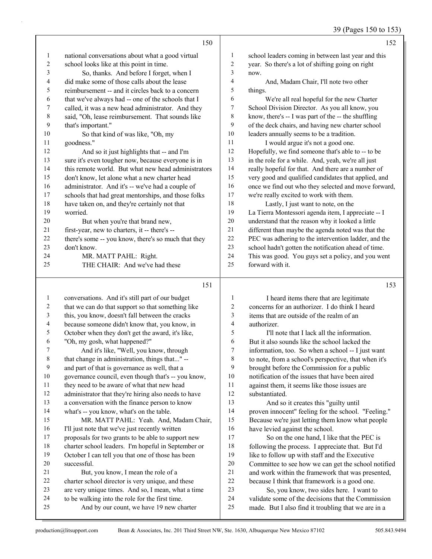39 (Pages 150 to 153)

|                  | 150                                                 |                          | 152                                                  |
|------------------|-----------------------------------------------------|--------------------------|------------------------------------------------------|
| $\mathbf{1}$     | national conversations about what a good virtual    | $\mathbf{1}$             | school leaders coming in between last year and this  |
| $\boldsymbol{2}$ | school looks like at this point in time.            | $\sqrt{2}$               | year. So there's a lot of shifting going on right    |
| 3                | So, thanks. And before I forget, when I             | 3                        | now.                                                 |
| 4                | did make some of those calls about the lease        | 4                        | And, Madam Chair, I'll note two other                |
| 5                | reimbursement -- and it circles back to a concern   | 5                        | things.                                              |
| 6                | that we've always had -- one of the schools that I  | 6                        | We're all real hopeful for the new Charter           |
| $\boldsymbol{7}$ | called, it was a new head administrator. And they   | $\boldsymbol{7}$         | School Division Director. As you all know, you       |
| $\,$ 8 $\,$      | said, "Oh, lease reimbursement. That sounds like    | 8                        | know, there's -- I was part of the -- the shuffling  |
| 9                | that's important."                                  | 9                        | of the deck chairs, and having new charter school    |
| 10               | So that kind of was like, "Oh, my                   | 10                       | leaders annually seems to be a tradition.            |
| 11               | goodness."                                          | 11                       | I would argue it's not a good one.                   |
| 12               | And so it just highlights that -- and I'm           | 12                       | Hopefully, we find someone that's able to -- to be   |
| 13               | sure it's even tougher now, because everyone is in  | 13                       | in the role for a while. And, yeah, we're all just   |
| 14               | this remote world. But what new head administrators | 14                       | really hopeful for that. And there are a number of   |
| 15               | don't know, let alone what a new charter head       | 15                       | very good and qualified candidates that applied, and |
| 16               | administrator. And it's -- we've had a couple of    | 16                       | once we find out who they selected and move forward, |
| 17               | schools that had great mentorships, and those folks | 17                       | we're really excited to work with them.              |
| 18               | have taken on, and they're certainly not that       | 18                       | Lastly, I just want to note, on the                  |
| 19               | worried.                                            | 19                       | La Tierra Montessori agenda item, I appreciate -- I  |
| 20               | But when you're that brand new,                     | 20                       | understand that the reason why it looked a little    |
| 21               | first-year, new to charters, it -- there's --       | 21                       | different than maybe the agenda noted was that the   |
| 22               | there's some -- you know, there's so much that they | 22                       | PEC was adhering to the intervention ladder, and the |
| 23               | don't know.                                         | 23                       | school hadn't gotten the notification ahead of time. |
| 24               | MR. MATT PAHL: Right.                               | 24                       | This was good. You guys set a policy, and you went   |
| 25               | THE CHAIR: And we've had these                      | 25                       | forward with it.                                     |
|                  | 151                                                 |                          | 153                                                  |
| $\mathbf{1}$     | conversations. And it's still part of our budget    | $\mathbf{1}$             | I heard items there that are legitimate              |
| $\sqrt{2}$       | that we can do that support so that something like  | $\overline{c}$           | concerns for an authorizer. I do think I heard       |
| $\mathfrak{Z}$   | this, you know, doesn't fall between the cracks     | 3                        | items that are outside of the realm of an            |
| $\overline{4}$   | because someone didn't know that, you know, in      | $\overline{\mathcal{L}}$ | authorizer.                                          |
| 5                | October when they don't get the award, it's like,   | 5                        | I'll note that I lack all the information.           |
| 6                | "Oh, my gosh, what happened?"                       | 6                        | But it also sounds like the school lacked the        |
| 7                | And it's like, "Well, you know, through             | $\boldsymbol{7}$         | information, too. So when a school -- I just want    |
| 8                | that change in administration, things that" --      | 8                        | to note, from a school's perspective, that when it's |
| 9                | and part of that is governance as well, that a      | 9                        | brought before the Commission for a public           |

- governance council, even though that's -- you know,
- they need to be aware of what that new head
- 12 administrator that they're hiring also needs to have
- a conversation with the finance person to know
- what's -- you know, what's on the table.
- 15 MR. MATT PAHL: Yeah. And, Madam Chair, I'll just note that we've just recently written proposals for two grants to be able to support new charter school leaders. I'm hopeful in September or October I can tell you that one of those has been successful.
- 21 But, you know, I mean the role of a charter school director is very unique, and these are very unique times. And so, I mean, what a time to be walking into the role for the first time.
- 25 And by our count, we have 19 new charter
- notification of the issues that have been aired against them, it seems like those issues are substantiated. 13 And so it creates this "guilty until proven innocent" feeling for the school. "Feeling." Because we're just letting them know what people have levied against the school. 17 So on the one hand, I like that the PEC is following the process. I appreciate that. But I'd 19 like to follow up with staff and the Executive Committee to see how we can get the school notified and work within the framework that was presented, because I think that framework is a good one. 23 So, you know, two sides here. I want to validate some of the decisions that the Commission made. But I also find it troubling that we are in a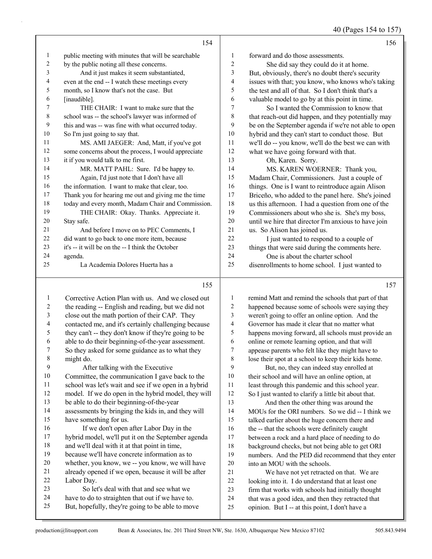40 (Pages 154 to 157)

|    | 154                                                 |                | 156                                                  |
|----|-----------------------------------------------------|----------------|------------------------------------------------------|
| 1  | public meeting with minutes that will be searchable | 1              | forward and do those assessments.                    |
| 2  | by the public noting all these concerns.            | $\overline{c}$ | She did say they could do it at home.                |
| 3  | And it just makes it seem substantiated,            | 3              | But, obviously, there's no doubt there's security    |
| 4  | even at the end -- I watch these meetings every     | 4              | issues with that; you know, who knows who's taking   |
| 5  | month, so I know that's not the case. But           | 5              | the test and all of that. So I don't think that's a  |
| 6  | [inaudible].                                        | 6              | valuable model to go by at this point in time.       |
| 7  | THE CHAIR: I want to make sure that the             | 7              | So I wanted the Commission to know that              |
| 8  | school was -- the school's lawyer was informed of   | 8              | that reach-out did happen, and they potentially may  |
| 9  | this and was -- was fine with what occurred today.  | 9              | be on the September agenda if we're not able to open |
| 10 | So I'm just going to say that.                      | 10             | hybrid and they can't start to conduct those. But    |
| 11 | MS. AMI JAEGER: And, Matt, if you've got            | 11             | we'll do -- you know, we'll do the best we can with  |
| 12 | some concerns about the process, I would appreciate | 12             | what we have going forward with that.                |
| 13 | it if you would talk to me first.                   | 13             | Oh, Karen. Sorry.                                    |
| 14 | MR. MATT PAHL: Sure. I'd be happy to.               | 14             | MS. KAREN WOERNER: Thank you,                        |
| 15 | Again, I'd just note that I don't have all          | 15             | Madam Chair, Commissioners. Just a couple of         |
| 16 | the information. I want to make that clear, too.    | 16             | things. One is I want to reintroduce again Alison    |
| 17 | Thank you for hearing me out and giving me the time | 17             | Briceño, who added to the panel here. She's joined   |
| 18 | today and every month, Madam Chair and Commission.  | 18             | us this afternoon. I had a question from one of the  |
| 19 | THE CHAIR: Okay. Thanks. Appreciate it.             | 19             | Commissioners about who she is. She's my boss,       |
| 20 | Stay safe.                                          | 20             | until we hire that director I'm anxious to have join |
| 21 | And before I move on to PEC Comments, I             | 21             | us. So Alison has joined us.                         |
| 22 | did want to go back to one more item, because       | 22             | I just wanted to respond to a couple of              |
| 23 | it's -- it will be on the -- I think the October    | 23             | things that were said during the comments here.      |
| 24 | agenda.                                             | 24             | One is about the charter school                      |
| 25 | La Academia Dolores Huerta has a                    | 25             | disenrollments to home school. I just wanted to      |
|    | 155                                                 |                | 157                                                  |

#### 

|        | Corrective Action Plan with us. And we closed out    | 1  | remind Matt and remind the schools that part of that |
|--------|------------------------------------------------------|----|------------------------------------------------------|
| 2      | the reading -- English and reading, but we did not   | 2  | happened because some of schools were saying they    |
| 3      | close out the math portion of their CAP. They        | 3  | weren't going to offer an online option. And the     |
| 4      | contacted me, and it's certainly challenging because | 4  | Governor has made it clear that no matter what       |
| 5      | they can't -- they don't know if they're going to be | 5  | happens moving forward, all schools must provide an  |
| 6      | able to do their beginning-of-the-year assessment.   | 6  | online or remote learning option, and that will      |
| 7      | So they asked for some guidance as to what they      | 7  | appease parents who felt like they might have to     |
| 8      | might do.                                            | 8  | lose their spot at a school to keep their kids home. |
| 9      | After talking with the Executive                     | 9  | But, no, they can indeed stay enrolled at            |
| 10     | Committee, the communication I gave back to the      | 10 | their school and will have an online option, at      |
| 11     | school was let's wait and see if we open in a hybrid | 11 | least through this pandemic and this school year.    |
| 12     | model. If we do open in the hybrid model, they will  | 12 | So I just wanted to clarify a little bit about that. |
| 13     | be able to do their beginning-of-the-year            | 13 | And then the other thing was around the              |
| 14     | assessments by bringing the kids in, and they will   | 14 | MOUs for the ORI numbers. So we did -- I think we    |
| 15     | have something for us.                               | 15 | talked earlier about the huge concern there and      |
| 16     | If we don't open after Labor Day in the              | 16 | the -- that the schools were definitely caught       |
| 17     | hybrid model, we'll put it on the September agenda   | 17 | between a rock and a hard place of needing to do     |
| 18     | and we'll deal with it at that point in time,        | 18 | background checks, but not being able to get ORI     |
| 19     | because we'll have concrete information as to        | 19 | numbers. And the PED did recommend that they enter   |
| 20     | whether, you know, we -- you know, we will have      | 20 | into an MOU with the schools.                        |
| 21     | already opened if we open, because it will be after  | 21 | We have not yet retracted on that. We are            |
| $22\,$ | Labor Day.                                           | 22 | looking into it. I do understand that at least one   |
| 23     | So let's deal with that and see what we              | 23 | firm that works with schools had initially thought   |
| 24     | have to do to straighten that out if we have to.     | 24 | that was a good idea, and then they retracted that   |
| 25     | But, hopefully, they're going to be able to move     | 25 | opinion. But I -- at this point, I don't have a      |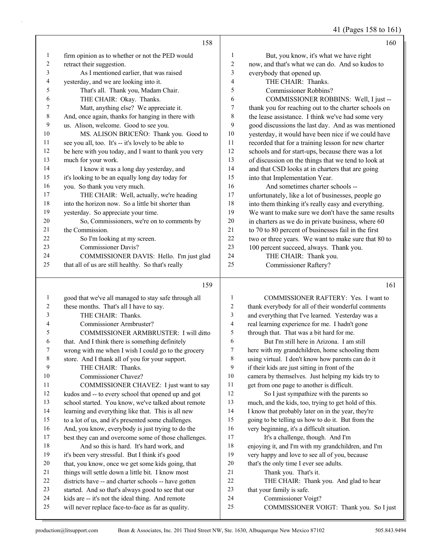41 (Pages 158 to 161)

|              | 158                                                  |                | 160                                                  |
|--------------|------------------------------------------------------|----------------|------------------------------------------------------|
| 1            | firm opinion as to whether or not the PED would      | 1              | But, you know, it's what we have right               |
| 2            | retract their suggestion.                            | $\overline{c}$ | now, and that's what we can do. And so kudos to      |
| 3            | As I mentioned earlier, that was raised              | 3              | everybody that opened up.                            |
| 4            | yesterday, and we are looking into it.               | 4              | THE CHAIR: Thanks.                                   |
| 5            | That's all. Thank you, Madam Chair.                  | 5              | <b>Commissioner Robbins?</b>                         |
| 6            | THE CHAIR: Okay. Thanks.                             | 6              | COMMISSIONER ROBBINS: Well, I just --                |
| 7            | Matt, anything else? We appreciate it.               | $\tau$         | thank you for reaching out to the charter schools on |
| 8            | And, once again, thanks for hanging in there with    | 8              | the lease assistance. I think we've had some very    |
| 9            | us. Alison, welcome. Good to see you.                | 9              | good discussions the last day. And as was mentioned  |
| 10           | MS. ALISON BRICEÑO: Thank you. Good to               | 10             | yesterday, it would have been nice if we could have  |
| 11           | see you all, too. It's -- it's lovely to be able to  | 11             | recorded that for a training lesson for new charter  |
| 12           | be here with you today, and I want to thank you very | 12             | schools and for start-ups, because there was a lot   |
| 13           | much for your work.                                  | 13             | of discussion on the things that we tend to look at  |
| 14           | I know it was a long day yesterday, and              | 14             | and that CSD looks at in charters that are going     |
| 15           | it's looking to be an equally long day today for     | 15             | into that Implementation Year.                       |
| 16           | you. So thank you very much.                         | 16             | And sometimes charter schools --                     |
| 17           | THE CHAIR: Well, actually, we're heading             | 17             | unfortunately, like a lot of businesses, people go   |
| 18           | into the horizon now. So a little bit shorter than   | 18             | into them thinking it's really easy and everything.  |
| 19           | yesterday. So appreciate your time.                  | 19             | We want to make sure we don't have the same results  |
| 20           | So, Commissioners, we're on to comments by           | $20\,$         | in charters as we do in private business, where 60   |
| 21           | the Commission.                                      | 21             | to 70 to 80 percent of businesses fail in the first  |
| 22           | So I'm looking at my screen.                         | 22             | two or three years. We want to make sure that 80 to  |
| 23           | <b>Commissioner Davis?</b>                           | 23             | 100 percent succeed, always. Thank you.              |
| 24           | COMMISSIONER DAVIS: Hello. I'm just glad             | 24             | THE CHAIR: Thank you.                                |
| 25           | that all of us are still healthy. So that's really   | 25             | <b>Commissioner Raftery?</b>                         |
|              | 159                                                  |                | 161                                                  |
| $\mathbf{1}$ | good that we've all managed to stay safe through all | 1              | COMMISSIONER RAFTERY: Yes. I want to                 |
| 2            | these months. That's all I have to say.              | 2              | thank everybody for all of their wonderful comments  |
| 3            | THE CHAIR: Thanks.                                   | 3              | and everything that I've learned. Yesterday was a    |
| 4            | Commissioner Armbruster?                             | 4              | real learning experience for me. I hadn't gone       |
| 5            | COMMISSIONER ARMBRUSTER: I will ditto                | 5              | through that. That was a bit hard for me.            |
| 6            | that. And I think there is something definitely      | 6              | But I'm still here in Arizona. I am still            |
|              | wrong with me when I wish I could go to the grocery  | 7              | here with my grandchildren, home schooling them      |
| 8            | store. And I thank all of you for your support.      | 8              | using virtual. I don't know how parents can do it    |
| 9            | THE CHAIR: Thanks.                                   | 9              | if their kids are just sitting in front of the       |
| $10\,$       | Commissioner Chavez?                                 | $10\,$         | camera by themselves. Just helping my kids try to    |
| 11           | COMMISSIONER CHAVEZ: I just want to say              | 11             | get from one page to another is difficult.           |
| 12           | kudos and -- to every school that opened up and got  | 12             | So I just sympathize with the parents so             |
| 13           | school started. You know, we've talked about remote  | 13             | much, and the kids, too, trying to get hold of this. |

learning and everything like that. This is all new

 to a lot of us, and it's presented some challenges. And, you know, everybody is just trying to do the

 best they can and overcome some of those challenges. 18 And so this is hard. It's hard work, and it's been very stressful. But I think it's good

- that, you know, once we get some kids going, that
- things will settle down a little bit. I know most
- districts have -- and charter schools -- have gotten
- started. And so that's always good to see that our
- kids are -- it's not the ideal thing. And remote
- will never replace face-to-face as far as quality.

| 1              | COMMISSIONER RAFTERY: Yes. I want to                 |
|----------------|------------------------------------------------------|
| $\overline{2}$ | thank everybody for all of their wonderful comments  |
| 3              | and everything that I've learned. Yesterday was a    |
| $\overline{4}$ | real learning experience for me. I hadn't gone       |
| 5              | through that. That was a bit hard for me.            |
| 6              | But I'm still here in Arizona. I am still            |
| 7              | here with my grandchildren, home schooling them      |
| 8              | using virtual. I don't know how parents can do it    |
| 9              | if their kids are just sitting in front of the       |
| 10             | camera by themselves. Just helping my kids try to    |
| 11             | get from one page to another is difficult.           |
| 12             | So I just sympathize with the parents so             |
| 13             | much, and the kids, too, trying to get hold of this. |
| 14             | I know that probably later on in the year, they're   |
| 15             | going to be telling us how to do it. But from the    |
| 16             | very beginning, it's a difficult situation.          |
| 17             | It's a challenge, though. And I'm                    |
| 18             | enjoying it, and I'm with my grandchildren, and I'm  |
| 19             | very happy and love to see all of you, because       |
| 20             | that's the only time I ever see adults.              |
| 21             | Thank you. That's it.                                |
| 22             | THE CHAIR: Thank you. And glad to hear               |
| 23             | that your family is safe.                            |
| 24             | Commissioner Voigt?                                  |
| 25             | COMMISSIONER VOIGT: Thank you. So I just             |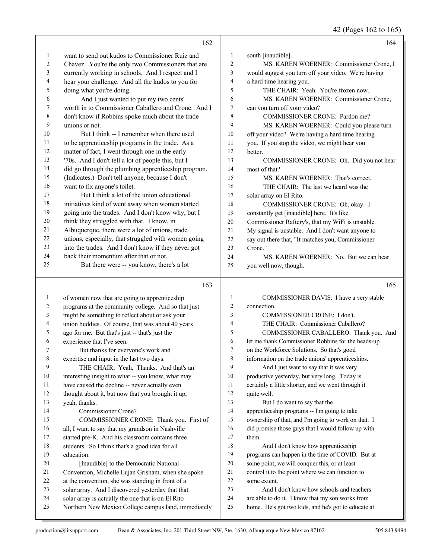42 (Pages 162 to 165)

|    | 162                                                  |                | 164                                                 |
|----|------------------------------------------------------|----------------|-----------------------------------------------------|
| 1  | want to send out kudos to Commissioner Ruiz and      | 1              | south [inaudible].                                  |
| 2  | Chavez. You're the only two Commissioners that are   | $\overline{c}$ | MS. KAREN WOERNER: Commissioner Crone, I            |
| 3  | currently working in schools. And I respect and I    | 3              | would suggest you turn off your video. We're having |
| 4  | hear your challenge. And all the kudos to you for    | 4              | a hard time hearing you.                            |
| 5  | doing what you're doing.                             | 5              | THE CHAIR: Yeah. You're frozen now.                 |
| 6  | And I just wanted to put my two cents'               | 6              | MS. KAREN WOERNER: Commissioner Crone,              |
| 7  | worth in to Commissioner Caballero and Crone. And I  | $\tau$         | can you turn off your video?                        |
| 8  | don't know if Robbins spoke much about the trade     | 8              | COMMISSIONER CRONE: Pardon me?                      |
| 9  | unions or not.                                       | 9              | MS. KAREN WOERNER: Could you please turn            |
| 10 | But I think -- I remember when there used            | 10             | off your video? We're having a hard time hearing    |
| 11 | to be apprenticeship programs in the trade. As a     | 11             | you. If you stop the video, we might hear you       |
| 12 | matter of fact, I went through one in the early      | 12             | better.                                             |
| 13 | '70s. And I don't tell a lot of people this, but I   | 13             | COMMISSIONER CRONE: Oh. Did you not hear            |
| 14 | did go through the plumbing apprenticeship program.  | 14             | most of that?                                       |
| 15 | (Indicates.) Don't tell anyone, because I don't      | 15             | MS. KAREN WOERNER: That's correct.                  |
| 16 | want to fix anyone's toilet.                         | 16             | THE CHAIR: The last we heard was the                |
| 17 | But I think a lot of the union educational           | 17             | solar array on El Rito.                             |
| 18 | initiatives kind of went away when women started     | 18             | COMMISSIONER CRONE: Oh, okay. I                     |
| 19 | going into the trades. And I don't know why, but I   | 19             | constantly get [inaudible] here. It's like          |
| 20 | think they struggled with that. I know, in           | $20\,$         | Commissioner Raftery's, that my WiFi is unstable.   |
| 21 | Albuquerque, there were a lot of unions, trade       | 21             | My signal is unstable. And I don't want anyone to   |
| 22 | unions, especially, that struggled with women going  | 22             | say out there that, "It matches you, Commissioner   |
| 23 | into the trades. And I don't know if they never got  | 23             | Crone."                                             |
| 24 | back their momentum after that or not.               | 24             | MS. KAREN WOERNER: No. But we can hear              |
| 25 | But there were -- you know, there's a lot            | 25             | you well now, though.                               |
|    | 163                                                  |                | 165                                                 |
| 1  | of women now that are going to apprenticeship        | $\mathbf{1}$   | COMMISSIONER DAVIS: I have a very stable            |
| 2  | programs at the community college. And so that just  | $\overline{c}$ | connection.                                         |
| 3  | might be something to reflect about or ask your      | 3              | COMMISSIONER CRONE: I don't.                        |
| 4  | union buddies. Of course, that was about 40 years    | 4              | THE CHAIR: Commissioner Caballero?                  |
| 5  | ago for me. But that's just -- that's just the       | 5              | COMMISSIONER CABALLERO: Thank you. And              |
| 6  | experience that I've seen.                           | 6              | let me thank Commissioner Robbins for the heads-up  |
|    | But thanks for everyone's work and                   | 7              | on the Workforce Solutions. So that's good          |
| 8  | expertise and input in the last two days.            | 8              | information on the trade unions' apprenticeships.   |
| 9  | THE CHAIR: Yeah. Thanks. And that's an               | 9              | And I just want to say that it was very             |
| 10 | interesting insight to what -- you know, what may    | 10             | productive yesterday, but very long. Today is       |
| 11 | have caused the decline -- never actually even       | 11             | certainly a little shorter, and we went through it  |
| 12 | thought about it, but now that you brought it up,    | 12             | quite well.                                         |
| 13 | yeah, thanks.                                        | 13             | But I do want to say that the                       |
| 14 | Commissioner Crone?                                  | 14             | apprenticeship programs -- I'm going to take        |
| 15 | COMMISSIONER CRONE: Thank you. First of              | 15             | ownership of that, and I'm going to work on that. I |
| 16 | all, I want to say that my grandson in Nashville     | 16             | did promise those guys that I would follow up with  |
| 17 | started pre-K. And his classroom contains three      | 17             | them.                                               |
| 18 | students. So I think that's a good idea for all      | 18             | And I don't know how apprenticeship                 |
| 19 | education.                                           | 19             | programs can happen in the time of COVID. But at    |
| 20 | [Inaudible] to the Democratic National               | 20             | some point, we will conquer this, or at least       |
| 21 | Convention, Michelle Lujan Grisham, when she spoke   | 21             | control it to the point where we can function to    |
| 22 | at the convention, she was standing in front of a    | 22             | some extent.                                        |
| 23 | solar array. And I discovered yesterday that that    | 23             | And I don't know how schools and teachers           |
| 24 | solar array is actually the one that is on El Rito   | 24<br>25       | are able to do it. I know that my son works from    |
| 25 | Northern New Mexico College campus land, immediately |                | home. He's got two kids, and he's got to educate at |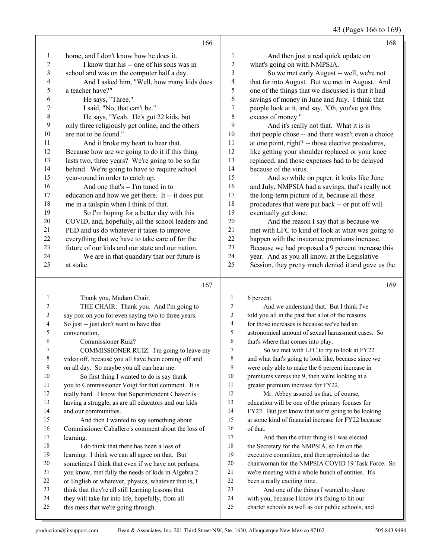43 (Pages 166 to 169)

|                | 166                                               |                | 168                                                 |
|----------------|---------------------------------------------------|----------------|-----------------------------------------------------|
| 1              | home, and I don't know how he does it.            | 1              | And then just a real quick update on                |
| $\overline{2}$ | I know that his -- one of his sons was in         | $\overline{c}$ | what's going on with NMPSIA.                        |
| 3              | school and was on the computer half a day.        | 3              | So we met early August -- well, we're not           |
| 4              | And I asked him, "Well, how many kids does        | 4              | that far into August. But we met in August. And     |
| 5              | a teacher have?"                                  | 5              | one of the things that we discussed is that it had  |
| 6              | He says, "Three."                                 | 6              | savings of money in June and July. I think that     |
| 7              | I said, "No, that can't be."                      | 7              | people look at it, and say, "Oh, you've got this    |
| 8              | He says, "Yeah. He's got 22 kids, but             | 8              | excess of money."                                   |
| 9              | only three religiously get online, and the others | 9              | And it's really not that. What it is is             |
| 10             | are not to be found."                             | 10             | that people chose -- and there wasn't even a choice |
| 11             | And it broke my heart to hear that.               | 11             | at one point, right? -- those elective procedures,  |
| 12             | Because how are we going to do it if this thing   | 12             | like getting your shoulder replaced or your knee    |
| 13             | lasts two, three years? We're going to be so far  | 13             | replaced, and those expenses had to be delayed      |
| 14             | behind. We're going to have to require school     | 14             | because of the virus.                               |
| 15             | year-round in order to catch up.                  | 15             | And so while on paper, it looks like June           |
| 16             | And one that's -- I'm tuned in to                 | 16             | and July, NMPSIA had a savings, that's really not   |
| 17             | education and how we get there. It -- it does put | 17             | the long-term picture of it, because all those      |
| 18             | me in a tailspin when I think of that.            | 18             | procedures that were put back -- or put off will    |
| 19             | So I'm hoping for a better day with this          | 19             | eventually get done.                                |
| 20             | COVID, and, hopefully, all the school leaders and | 20             | And the reason I say that is because we             |
| 21             | PED and us do whatever it takes to improve        | 21             | met with LFC to kind of look at what was going to   |
| 22             | everything that we have to take care of for the   | 22             | happen with the insurance premiums increase.        |
| 23             | future of our kids and our state and our nation.  | 23             | Because we had proposed a 9 percent increase this   |
| 24             | We are in that quandary that our future is        | 24             | year. And as you all know, at the Legislative       |
| 25             | at stake.                                         | 25             | Session, they pretty much denied it and gave us the |
|                | 167                                               |                | 169                                                 |
| $\blacksquare$ | Thank you Madam Chair                             |                | 6 norcant                                           |

|    | Thank you, Madam Chair.                              | 1  | 6 percent.                                           |
|----|------------------------------------------------------|----|------------------------------------------------------|
| 2  | THE CHAIR: Thank you. And I'm going to               | 2  | And we understand that. But I think I've             |
| 3  | say pox on you for even saying two to three years.   | 3  | told you all in the past that a lot of the reasons   |
| 4  | So just -- just don't want to have that              | 4  | for those increases is because we've had an          |
| 5  | conversation.                                        | 5  | astronomical amount of sexual harassment cases. So   |
| 6  | Commissioner Ruiz?                                   | 6  | that's where that comes into play.                   |
| 7  | COMMISSIONER RUIZ: I'm going to leave my             | 7  | So we met with LFC to try to look at FY22            |
| 8  | video off, because you all have been coming off and  | 8  | and what that's going to look like, because since we |
| 9  | on all day. So maybe you all can hear me.            | 9  | were only able to make the 6 percent increase in     |
| 10 | So first thing I wanted to do is say thank           | 10 | premiums versus the 9, then we're looking at a       |
| 11 | you to Commissioner Voigt for that comment. It is    | 11 | greater premium increase for FY22.                   |
| 12 | really hard. I know that Superintendent Chavez is    | 12 | Mr. Abbey assured us that, of course,                |
| 13 | having a struggle, as are all educators and our kids | 13 | education will be one of the primary focuses for     |
| 14 | and our communities.                                 | 14 | FY22. But just know that we're going to be looking   |
| 15 | And then I wanted to say something about             | 15 | at some kind of financial increase for FY22 because  |
| 16 | Commissioner Caballero's comment about the loss of   | 16 | of that.                                             |
| 17 | learning.                                            | 17 | And then the other thing is I was elected            |
| 18 | I do think that there has been a loss of             | 18 | the Secretary for the NMPSIA, so I'm on the          |
| 19 | learning. I think we can all agree on that. But      | 19 | executive committee, and then appointed as the       |
| 20 | sometimes I think that even if we have not perhaps,  | 20 | chairwoman for the NMPSIA COVID 19 Task Force. So    |
| 21 | you know, met fully the needs of kids in Algebra 2   | 21 | we're meeting with a whole bunch of entities. It's   |
| 22 | or English or whatever, physics, whatever that is, I | 22 | been a really exciting time.                         |
| 23 | think that they're all still learning lessons that   | 23 | And one of the things I wanted to share              |
| 24 | they will take far into life, hopefully, from all    | 24 | with you, because I know it's fixing to hit our      |
| 25 | this mess that we're going through.                  | 25 | charter schools as well as our public schools, and   |
|    |                                                      |    |                                                      |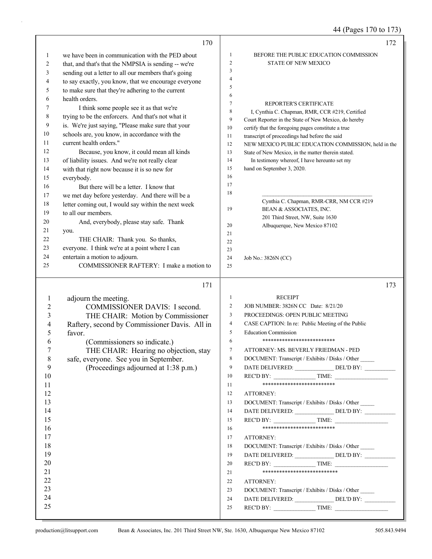## 44 (Pages 170 to 173)

|                | 170                                                  |                | 172                                                                                                  |
|----------------|------------------------------------------------------|----------------|------------------------------------------------------------------------------------------------------|
| 1              | we have been in communication with the PED about     | 1              | BEFORE THE PUBLIC EDUCATION COMMISSION                                                               |
| 2              | that, and that's that the NMPSIA is sending -- we're | $\mathfrak{2}$ | STATE OF NEW MEXICO                                                                                  |
| 3              | sending out a letter to all our members that's going | 3              |                                                                                                      |
| 4              | to say exactly, you know, that we encourage everyone | $\overline{4}$ |                                                                                                      |
| 5              | to make sure that they're adhering to the current    | 5              |                                                                                                      |
| 6              | health orders.                                       | 6              |                                                                                                      |
| 7              | I think some people see it as that we're             | 7              | REPORTER'S CERTIFICATE                                                                               |
| 8              | trying to be the enforcers. And that's not what it   | 8              | I, Cynthia C. Chapman, RMR, CCR #219, Certified                                                      |
| 9              | is. We're just saying, "Please make sure that your   | 9              | Court Reporter in the State of New Mexico, do hereby                                                 |
| 10             | schools are, you know, in accordance with the        | 10             | certify that the foregoing pages constitute a true                                                   |
| 11             | current health orders."                              | 11<br>12       | transcript of proceedings had before the said<br>NEW MEXICO PUBLIC EDUCATION COMMISSION, held in the |
| 12             | Because, you know, it could mean all kinds           | 13             | State of New Mexico, in the matter therein stated.                                                   |
| 13             | of liability issues. And we're not really clear      | 14             | In testimony whereof, I have hereunto set my                                                         |
| 14             | with that right now because it is so new for         | 15             | hand on September 3, 2020.                                                                           |
| 15             | everybody.                                           | 16             |                                                                                                      |
| 16             | But there will be a letter. I know that              | 17             |                                                                                                      |
| 17             | we met day before yesterday. And there will be a     | 18             |                                                                                                      |
| 18             | letter coming out, I would say within the next week  |                | Cynthia C. Chapman, RMR-CRR, NM CCR #219                                                             |
| 19             | to all our members.                                  | 19             | BEAN & ASSOCIATES, INC.                                                                              |
| 20             | And, everybody, please stay safe. Thank              |                | 201 Third Street, NW, Suite 1630                                                                     |
| 21             | you.                                                 | 20             | Albuquerque, New Mexico 87102                                                                        |
| 22             | THE CHAIR: Thank you. So thanks,                     | 21             |                                                                                                      |
| 23             | everyone. I think we're at a point where I can       | 22             |                                                                                                      |
| 24             | entertain a motion to adjourn.                       | 23<br>24       |                                                                                                      |
| 25             | COMMISSIONER RAFTERY: I make a motion to             | 25             | Job No.: 3826N (CC)                                                                                  |
|                |                                                      |                |                                                                                                      |
|                | 171                                                  |                | 173                                                                                                  |
| $\mathbf{1}$   | adjourn the meeting.                                 | $\mathbf{1}$   | <b>RECEIPT</b>                                                                                       |
| $\overline{c}$ | COMMISSIONER DAVIS: I second.                        | 2              | JOB NUMBER: 3826N CC Date: 8/21/20                                                                   |
| 3              | THE CHAIR: Motion by Commissioner                    | 3              | PROCEEDINGS: OPEN PUBLIC MEETING                                                                     |
| $\overline{4}$ | Raftery, second by Commissioner Davis. All in        | 4              | CASE CAPTION: In re: Public Meeting of the Public                                                    |
| 5              | favor.                                               | 5              | <b>Education Commission</b>                                                                          |
| 6              | (Commissioners so indicate.)                         | 6              | **************************                                                                           |
| 7              | THE CHAIR: Hearing no objection, stay                | 7              | ATTORNEY: MS. BEVERLY FRIEDMAN - PED                                                                 |
| 8              | safe, everyone. See you in September.                | 8              | DOCUMENT: Transcript / Exhibits / Disks / Other                                                      |
| 9              | (Proceedings adjourned at 1:38 p.m.)                 | 9              | DATE DELIVERED: DEL'D BY:                                                                            |
| 10             |                                                      | 10             | REC'D BY:<br>TIME:                                                                                   |
| 11             |                                                      | 11             | **************************                                                                           |
| 12             |                                                      | 12             | ATTORNEY:                                                                                            |
| 13             |                                                      | 13             | DOCUMENT: Transcript / Exhibits / Disks / Other                                                      |
| 14             |                                                      | 14             | DATE DELIVERED: DEL'D BY:                                                                            |
| 15             |                                                      | 15             | REC'D BY: TIME:                                                                                      |
| 16             |                                                      | 16             | **************************                                                                           |
| 17             |                                                      | 17             | ATTORNEY:                                                                                            |
| 18             |                                                      | 18             | DOCUMENT: Transcript / Exhibits / Disks / Other                                                      |
| 19             |                                                      | 19             | DATE DELIVERED: ________________ DEL'D BY: ___________                                               |
| 20             |                                                      | 20             |                                                                                                      |
| 21             |                                                      | 21             | ***************************                                                                          |
| 22             |                                                      | 22             | ATTORNEY:                                                                                            |
| 23             |                                                      |                |                                                                                                      |
|                |                                                      | 23             | DOCUMENT: Transcript / Exhibits / Disks / Other                                                      |
| 24             |                                                      | 24             | DATE DELIVERED: ________________ DEL'D BY: ___________                                               |
| 25             |                                                      | 25             | REC'D BY: $\qquad \qquad \qquad \text{TIME:}$                                                        |